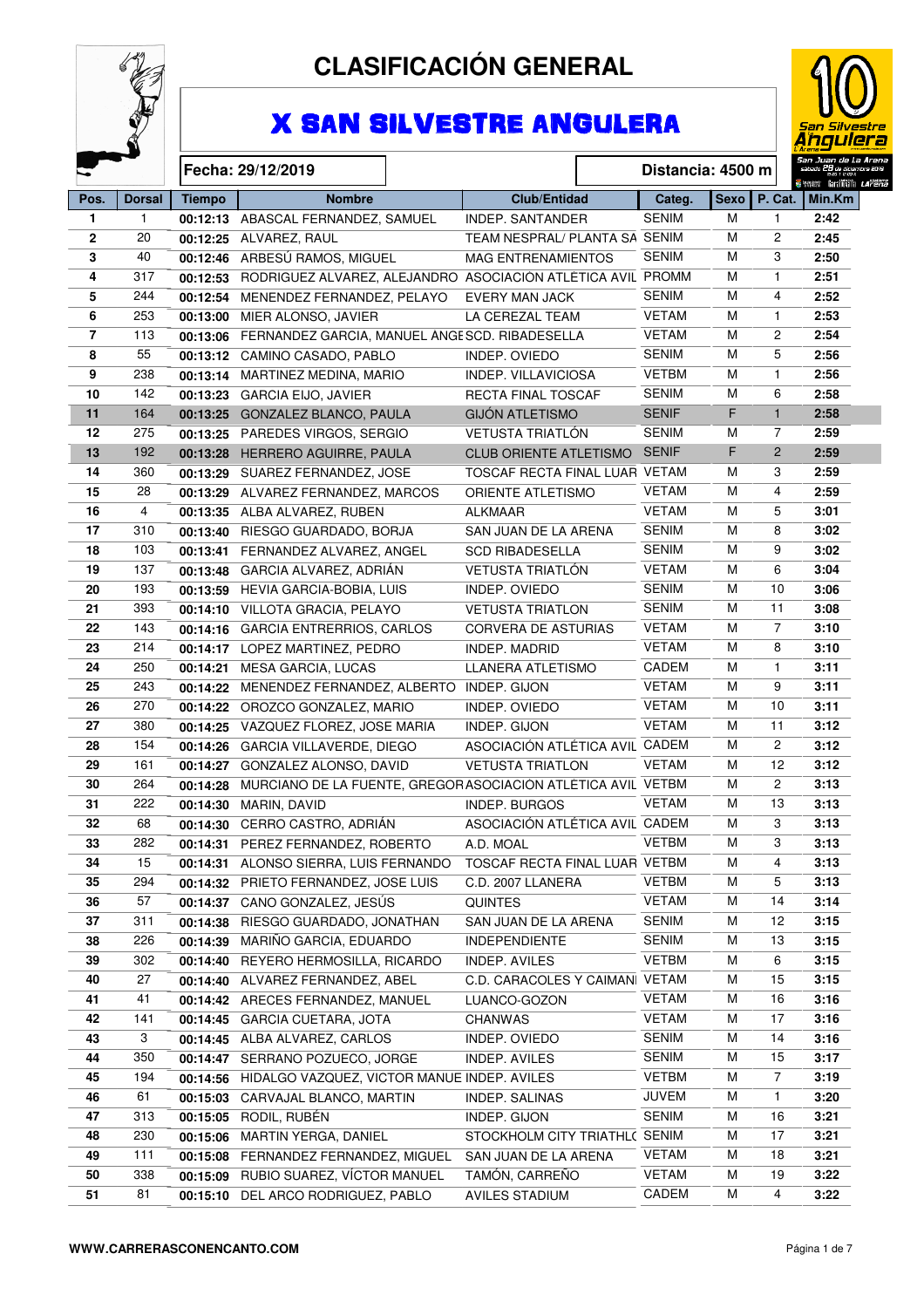

# **CLASIFICACIÓN GENERAL**

# X SAN SILVESTRE ANGULERA



|                |               |               |                                                                      |                                |                   |             |                         | San Juan de La Aren.                  |
|----------------|---------------|---------------|----------------------------------------------------------------------|--------------------------------|-------------------|-------------|-------------------------|---------------------------------------|
|                |               |               | Fecha: 29/12/2019                                                    |                                | Distancia: 4500 m |             |                         |                                       |
| Pos.           | <b>Dorsal</b> | <b>Tiempo</b> | <b>Nombre</b>                                                        | <b>Club/Entidad</b>            | Categ.            | <b>Sexo</b> | $\vert$ P. Cat. $\vert$ | iwww faniffili <i>Lafen</i><br>Min.Km |
| $\mathbf{1}$   | $\mathbf{1}$  |               | 00:12:13 ABASCAL FERNANDEZ, SAMUEL                                   | <b>INDEP. SANTANDER</b>        | <b>SENIM</b>      | м           | $\mathbf{1}$            | 2:42                                  |
| $\mathbf{2}$   | 20            |               | 00:12:25 ALVAREZ, RAUL                                               | TEAM NESPRAL/ PLANTA SA SENIM  |                   | м           | $\overline{2}$          | 2:45                                  |
| 3              | 40            |               | 00:12:46 ARBESÚ RAMOS, MIGUEL                                        | <b>MAG ENTRENAMIENTOS</b>      | <b>SENIM</b>      | м           | 3                       | 2:50                                  |
| 4              | 317           |               | 00:12:53 RODRIGUEZ ALVAREZ, ALEJANDRO ASOCIACIÓN ATLÉTICA AVIL PROMM |                                |                   | M           | $\mathbf{1}$            | 2:51                                  |
| 5              | 244           |               | 00:12:54 MENENDEZ FERNANDEZ, PELAYO                                  | <b>EVERY MAN JACK</b>          | <b>SENIM</b>      | м           | 4                       | 2:52                                  |
| 6              | 253           |               | 00:13:00 MIER ALONSO, JAVIER                                         | LA CEREZAL TEAM                | <b>VETAM</b>      | M           | $\mathbf{1}$            | 2:53                                  |
| $\overline{7}$ | 113           |               | 00:13:06 FERNANDEZ GARCIA, MANUEL ÁNGESCD. RIBADESELLA               |                                | <b>VETAM</b>      | M           | 2                       | 2:54                                  |
| 8              | 55            |               | 00:13:12 CAMINO CASADO, PABLO                                        | INDEP. OVIEDO                  | <b>SENIM</b>      | M           | 5                       | 2:56                                  |
| 9              | 238           |               | 00:13:14 MARTINEZ MEDINA, MARIO                                      | <b>INDEP. VILLAVICIOSA</b>     | <b>VETBM</b>      | M           | $\mathbf{1}$            | 2:56                                  |
| 10             | 142           |               | 00:13:23 GARCIA EIJO, JAVIER                                         | <b>RECTA FINAL TOSCAF</b>      | <b>SENIM</b>      | м           | 6                       | 2:58                                  |
| 11             | 164           |               | 00:13:25 GONZALEZ BLANCO, PAULA                                      | <b>GIJÓN ATLETISMO</b>         | <b>SENIF</b>      | F           | $\mathbf{1}$            | 2:58                                  |
| 12             | 275           | 00:13:25      | PAREDES VIRGOS, SERGIO                                               | VETUSTA TRIATLÓN               | <b>SENIM</b>      | M           | $\overline{7}$          | 2:59                                  |
| 13             | 192           | 00:13:28      | HERRERO AGUIRRE, PAULA                                               | <b>CLUB ORIENTE ATLETISMO</b>  | <b>SENIF</b>      | F           | $\overline{2}$          | 2:59                                  |
| 14             | 360           |               | 00:13:29 SUAREZ FERNANDEZ, JOSE                                      | TOSCAF RECTA FINAL LUAR VETAM  |                   | M           | 3                       | 2:59                                  |
| 15             | 28            |               | 00:13:29 ALVAREZ FERNANDEZ, MARCOS                                   | ORIENTE ATLETISMO              | <b>VETAM</b>      | M           | 4                       | 2:59                                  |
| 16             | 4             |               | 00:13:35 ALBA ALVAREZ, RUBEN                                         | <b>ALKMAAR</b>                 | <b>VETAM</b>      | м           | 5                       | 3:01                                  |
| 17             | 310           |               | 00:13:40 RIESGO GUARDADO, BORJA                                      | SAN JUAN DE LA ARENA           | <b>SENIM</b>      | M           | 8                       | 3:02                                  |
| 18             | 103           |               | 00:13:41 FERNANDEZ ALVAREZ, ANGEL                                    | <b>SCD RIBADESELLA</b>         | <b>SENIM</b>      | M           | 9                       | 3:02                                  |
| 19             | 137           |               | 00:13:48 GARCIA ALVAREZ, ADRIÁN                                      | VETUSTA TRIATLÓN               | <b>VETAM</b>      | M           | 6                       | 3:04                                  |
| 20             | 193           |               | 00:13:59 HEVIA GARCIA-BOBIA, LUIS                                    | INDEP. OVIEDO                  | <b>SENIM</b>      | м           | 10                      | 3:06                                  |
| 21             | 393           |               | 00:14:10 VILLOTA GRACIA, PELAYO                                      | <b>VETUSTA TRIATLON</b>        | <b>SENIM</b>      | м           | 11                      | 3:08                                  |
| 22             | 143           |               | 00:14:16 GARCIA ENTRERRIOS, CARLOS                                   | <b>CORVERA DE ASTURIAS</b>     | <b>VETAM</b>      | м           | $\overline{7}$          | 3:10                                  |
| 23             | 214           |               | 00:14:17 LOPEZ MARTINEZ, PEDRO                                       | <b>INDEP. MADRID</b>           | <b>VETAM</b>      | м           | 8                       | 3:10                                  |
| 24             | 250           |               | 00:14:21 MESA GARCIA, LUCAS                                          | <b>LLANERA ATLETISMO</b>       | CADEM             | M           | $\mathbf{1}$            | 3:11                                  |
| 25             | 243           |               | 00:14:22 MENENDEZ FERNANDEZ, ALBERTO INDEP. GIJON                    |                                | VETAM             | M           | 9                       | 3:11                                  |
| 26             | 270           |               | 00:14:22 OROZCO GONZALEZ, MARIO                                      | INDEP. OVIEDO                  | <b>VETAM</b>      | м           | 10                      | 3:11                                  |
| 27             | 380           |               | 00:14:25 VAZQUEZ FLOREZ, JOSE MARIA                                  | INDEP. GIJON                   | <b>VETAM</b>      | М           | 11                      | 3:12                                  |
| 28             | 154           |               | 00:14:26 GARCIA VILLAVERDE, DIEGO                                    | ASOCIACIÓN ATLÉTICA AVIL CADEM |                   | M           | $\mathbf{2}$            | 3:12                                  |
| 29             | 161           |               | 00:14:27 GONZALEZ ALONSO, DAVID                                      | <b>VETUSTA TRIATLON</b>        | <b>VETAM</b>      | M           | 12                      | 3:12                                  |
| 30             | 264           | 00:14:28      | MURCIANO DE LA FUENTE, GREGORASOCIACIÓN ATLÉTICA AVIL VETBM          |                                |                   | M           | $\overline{c}$          | 3:13                                  |
| 31             | 222           | 00:14:30      | MARIN, DAVID                                                         | <b>INDEP. BURGOS</b>           | <b>VETAM</b>      | м           | 13                      | 3:13                                  |
| 32             | 68            |               | 00:14:30 CERRO CASTRO, ADRIÁN                                        | ASOCIACIÓN ATLÉTICA AVIL CADEM |                   | м           | 3                       | 3:13                                  |
| 33             | 282           |               | 00:14:31 PEREZ FERNANDEZ, ROBERTO                                    | A.D. MOAL                      | <b>VETBM</b>      | M           | 3                       | 3:13                                  |
| 34             | 15            |               | 00:14:31 ALONSO SIERRA, LUIS FERNANDO TOSCAF RECTA FINAL LUAR VETBM  |                                |                   | м           | 4                       | 3:13                                  |
| 35             | 294           |               | 00:14:32 PRIETO FERNANDEZ, JOSE LUIS                                 | C.D. 2007 LLANERA              | <b>VETBM</b>      | м           | 5                       | 3:13                                  |
| 36             | 57            |               | 00:14:37 CANO GONZALEZ, JESÚS                                        | <b>QUINTES</b>                 | <b>VETAM</b>      | М           | 14                      | 3:14                                  |
| 37             | 311           |               | 00:14:38 RIESGO GUARDADO, JONATHAN                                   | SAN JUAN DE LA ARENA           | <b>SENIM</b>      | м           | 12                      | 3:15                                  |
| 38             | 226           |               | 00:14:39 MARIÑO GARCIA, EDUARDO                                      | <b>INDEPENDIENTE</b>           | <b>SENIM</b>      | м           | 13                      | 3:15                                  |
| 39             | 302           |               | 00:14:40 REYERO HERMOSILLA, RICARDO                                  | INDEP. AVILES                  | <b>VETBM</b>      | M           | 6                       | 3:15                                  |
| 40             | 27            |               | 00:14:40 ALVAREZ FERNANDEZ, ABEL                                     | C.D. CARACOLES Y CAIMAN        | VETAM             | M           | 15                      | 3:15                                  |
| 41             | 41            |               | 00:14:42 ARECES FERNANDEZ, MANUEL                                    | LUANCO-GOZON                   | <b>VETAM</b>      | M           | 16                      | 3:16                                  |
| 42             | 141           |               | 00:14:45 GARCIA CUETARA, JOTA                                        | CHANWAS                        | <b>VETAM</b>      | м           | 17                      | 3:16                                  |
| 43             | 3             |               | 00:14:45 ALBA ALVAREZ, CARLOS                                        | INDEP. OVIEDO                  | <b>SENIM</b>      | М           | 14                      | 3:16                                  |
| 44             | 350           |               | 00:14:47 SERRANO POZUECO, JORGE                                      | INDEP. AVILES                  | <b>SENIM</b>      | M           | 15                      | 3:17                                  |
| 45             | 194           |               | 00:14:56 HIDALGO VAZQUEZ, VICTOR MANUE INDEP. AVILES                 |                                | <b>VETBM</b>      | м           | $\overline{7}$          | 3:19                                  |
| 46             | 61            |               | 00:15:03 CARVAJAL BLANCO, MARTIN                                     | INDEP. SALINAS                 | <b>JUVEM</b>      | M           | $\mathbf{1}$            | 3:20                                  |
| 47             | 313           |               | 00:15:05 RODIL, RUBÉN                                                | INDEP. GIJON                   | <b>SENIM</b>      | M           | 16                      | 3:21                                  |
| 48             | 230           |               | 00:15:06 MARTIN YERGA, DANIEL                                        | STOCKHOLM CITY TRIATHL( SENIM  |                   | M           | 17                      | 3:21                                  |
| 49             | 111           |               | 00:15:08 FERNANDEZ FERNANDEZ, MIGUEL                                 | SAN JUAN DE LA ARENA           | <b>VETAM</b>      | м           | 18                      | 3:21                                  |
| 50             | 338           |               | 00:15:09 RUBIO SUAREZ, VÍCTOR MANUEL                                 | TAMÓN, CARREÑO                 | <b>VETAM</b>      | M           | 19                      | 3:22                                  |
| 51             | 81            |               | 00:15:10 DEL ARCO RODRIGUEZ, PABLO                                   | AVILES STADIUM                 | CADEM             | M           | 4                       | 3:22                                  |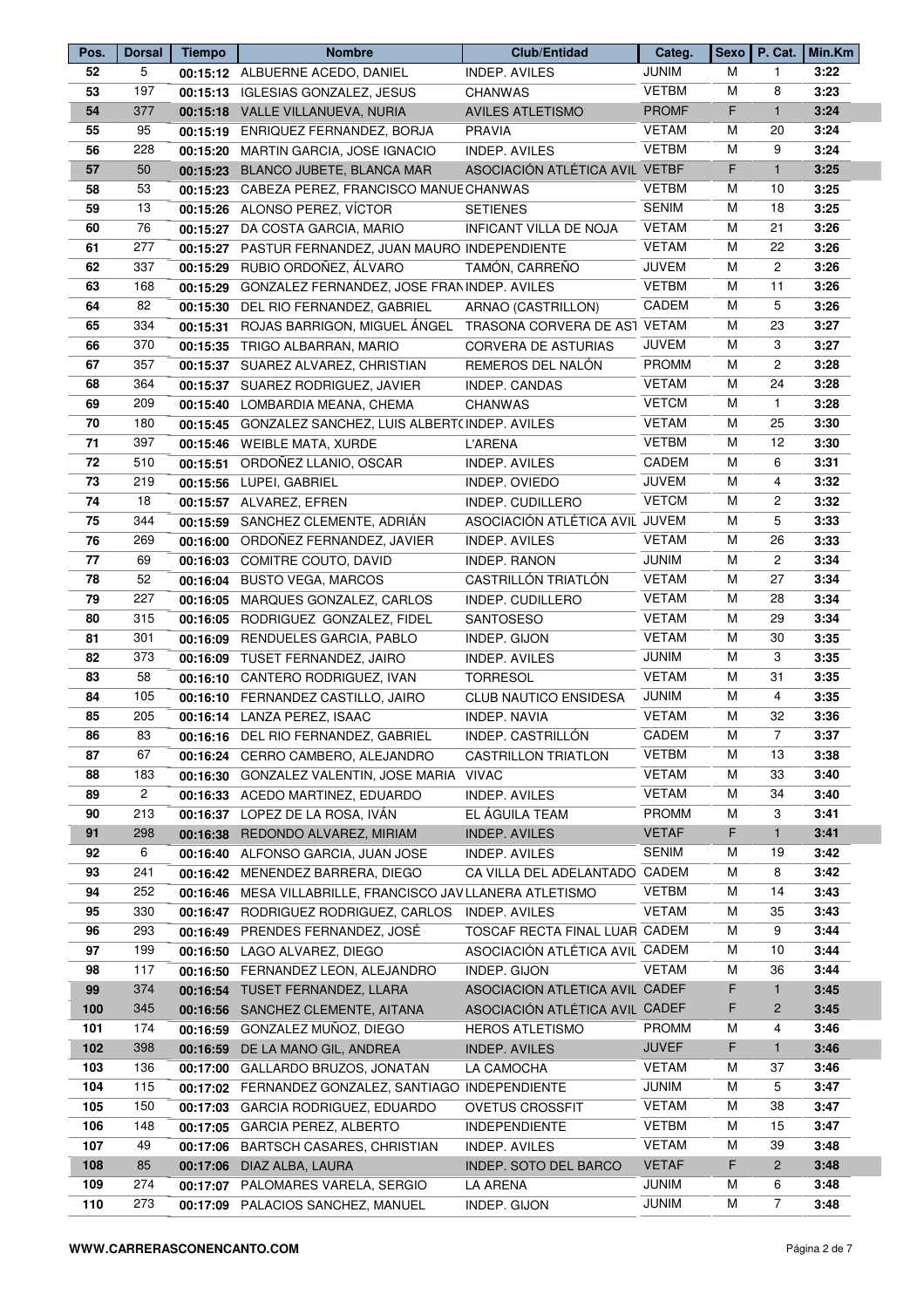| Pos.       | <b>Dorsal</b> | <b>Tiempo</b> | <b>Nombre</b>                                                      | Club/Entidad                   | Categ.       |    |                | Sexo   P. Cat.   Min.Km |
|------------|---------------|---------------|--------------------------------------------------------------------|--------------------------------|--------------|----|----------------|-------------------------|
| 52         | 5             |               | 00:15:12 ALBUERNE ACEDO, DANIEL                                    | <b>INDEP. AVILES</b>           | <b>JUNIM</b> | м  | $\mathbf{1}$   | 3:22                    |
| 53         | 197           |               | 00:15:13 IGLESIAS GONZALEZ, JESUS                                  | <b>CHANWAS</b>                 | <b>VETBM</b> | M  | 8              | 3:23                    |
| 54         | 377           |               | 00:15:18 VALLE VILLANUEVA, NURIA                                   | <b>AVILES ATLETISMO</b>        | <b>PROMF</b> | F  | $\mathbf{1}$   | 3:24                    |
| 55         | 95            |               | 00:15:19 ENRIQUEZ FERNANDEZ, BORJA                                 | <b>PRAVIA</b>                  | <b>VETAM</b> | М  | 20             | 3:24                    |
| 56         | 228           |               | 00:15:20 MARTIN GARCIA, JOSE IGNACIO                               | <b>INDEP. AVILES</b>           | <b>VETBM</b> | M  | 9              | 3:24                    |
| 57         | 50            |               | 00:15:23 BLANCO JUBETE, BLANCA MAR                                 | ASOCIACIÓN ATLÉTICA AVIL VETBF |              | F. | $\mathbf{1}$   | 3:25                    |
| 58         | 53            |               | 00:15:23 CABEZA PEREZ, FRANCISCO MANUECHANWAS                      |                                | <b>VETBM</b> | М  | 10             | 3:25                    |
| 59         | 13            |               | 00:15:26 ALONSO PEREZ, VÍCTOR                                      | <b>SETIENES</b>                | <b>SENIM</b> | м  | 18             | 3:25                    |
| 60         | 76            |               | 00:15:27 DA COSTA GARCIA, MARIO                                    | INFICANT VILLA DE NOJA         | <b>VETAM</b> | м  | 21             | 3:26                    |
| 61         | 277           |               | 00:15:27 PASTUR FERNANDEZ, JUAN MAURO INDEPENDIENTE                |                                | <b>VETAM</b> | м  | 22             | 3:26                    |
| 62         | 337           | 00:15:29      | RUBIO ORDOÑEZ, ÁLVARO                                              | TAMÓN, CARREÑO                 | <b>JUVEM</b> | М  | $\overline{2}$ | 3:26                    |
| 63         | 168           |               | 00:15:29 GONZALEZ FERNANDEZ, JOSE FRAN INDEP. AVILES               |                                | <b>VETBM</b> | м  | 11             | 3:26                    |
| 64         | 82            |               | 00:15:30 DEL RIO FERNANDEZ, GABRIEL                                | ARNAO (CASTRILLON)             | CADEM        | м  | 5              | 3:26                    |
| 65         | 334           |               | 00:15:31 ROJAS BARRIGON, MIGUEL ÁNGEL TRASONA CORVERA DE AS1 VETAM |                                |              | М  | 23             | 3:27                    |
|            | 370           |               |                                                                    |                                | <b>JUVEM</b> | M  | 3              | 3:27                    |
| 66         |               |               | 00:15:35 TRIGO ALBARRAN, MARIO                                     | CORVERA DE ASTURIAS            |              |    | $\mathbf{2}$   |                         |
| 67         | 357           |               | 00:15:37 SUAREZ ALVAREZ, CHRISTIAN                                 | REMEROS DEL NALÓN              | <b>PROMM</b> | М  |                | 3:28                    |
| 68         | 364           |               | 00:15:37 SUAREZ RODRIGUEZ, JAVIER                                  | INDEP. CANDAS                  | <b>VETAM</b> | М  | 24             | 3:28                    |
| 69         | 209           |               | 00:15:40 LOMBARDIA MEANA, CHEMA                                    | <b>CHANWAS</b>                 | <b>VETCM</b> | м  | $\mathbf{1}$   | 3:28                    |
| 70         | 180           |               | 00:15:45 GONZALEZ SANCHEZ, LUIS ALBERT(INDEP. AVILES               |                                | <b>VETAM</b> | М  | 25             | 3:30                    |
| 71         | 397           |               | 00:15:46 WEIBLE MATA, XURDE                                        | <b>L'ARENA</b>                 | <b>VETBM</b> | М  | 12             | 3:30                    |
| 72         | 510           |               | 00:15:51 ORDOÑEZ LLANIO, OSCAR                                     | <b>INDEP. AVILES</b>           | CADEM        | М  | 6              | 3:31                    |
| 73         | 219           |               | 00:15:56 LUPEI, GABRIEL                                            | INDEP. OVIEDO                  | <b>JUVEM</b> | М  | 4              | 3:32                    |
| 74         | 18            |               | 00:15:57 ALVAREZ, EFREN                                            | INDEP. CUDILLERO               | <b>VETCM</b> | М  | $\overline{c}$ | 3:32                    |
| 75         | 344           |               | 00:15:59 SANCHEZ CLEMENTE, ADRIÁN                                  | ASOCIACIÓN ATLÉTICA AVIL JUVEM |              | M  | 5              | 3:33                    |
| 76         | 269           |               | 00:16:00 ORDOÑEZ FERNANDEZ, JAVIER                                 | <b>INDEP. AVILES</b>           | <b>VETAM</b> | M  | 26             | 3:33                    |
| 77         | 69            |               | 00:16:03 COMITRE COUTO, DAVID                                      | <b>INDEP. RANON</b>            | <b>JUNIM</b> | M  | $\overline{2}$ | 3:34                    |
| 78         | 52            |               | 00:16:04 BUSTO VEGA, MARCOS                                        | CASTRILLÓN TRIATLÓN            | <b>VETAM</b> | м  | 27             | 3:34                    |
| 79         | 227           |               | 00:16:05 MARQUES GONZALEZ, CARLOS                                  | INDEP. CUDILLERO               | <b>VETAM</b> | м  | 28             | 3:34                    |
| 80         | 315           |               | 00:16:05 RODRIGUEZ GONZALEZ, FIDEL                                 | SANTOSESO                      | <b>VETAM</b> | м  | 29             | 3:34                    |
| 81         | 301           | 00:16:09      | RENDUELES GARCIA, PABLO                                            | INDEP. GIJON                   | <b>VETAM</b> | м  | 30             | 3:35                    |
| 82         | 373           | 00:16:09      | TUSET FERNANDEZ, JAIRO                                             | <b>INDEP. AVILES</b>           | <b>JUNIM</b> | М  | 3              | 3:35                    |
| 83         | 58            |               | 00:16:10 CANTERO RODRIGUEZ, IVAN                                   | <b>TORRESOL</b>                | <b>VETAM</b> | M  | 31             | 3:35                    |
| 84         | 105           |               | 00:16:10 FERNANDEZ CASTILLO, JAIRO                                 | CLUB NAUTICO ENSIDESA          | <b>JUNIM</b> | м  | 4              | 3:35                    |
| 85         | 205           |               | 00:16:14 LANZA PEREZ, ISAAC                                        | <b>INDEP, NAVIA</b>            | <b>VETAM</b> | М  | 32             | 3:36                    |
| 86         | 83            |               | 00:16:16 DEL RIO FERNANDEZ, GABRIEL                                | INDEP. CASTRILLÓN              | CADEM        | м  | $\overline{7}$ | 3:37                    |
| 87         | 67            |               | 00:16:24 CERRO CAMBERO, ALEJANDRO                                  | <b>CASTRILLON TRIATLON</b>     | <b>VETBM</b> | м  | 13             | 3:38                    |
| 88         | 183           |               | 00:16:30 GONZALEZ VALENTIN, JOSE MARIA                             | <b>VIVAC</b>                   | <b>VETAM</b> | М  | 33             | 3:40                    |
| 89         | $\mathbf{2}$  |               | 00:16:33 ACEDO MARTINEZ, EDUARDO                                   | <b>INDEP. AVILES</b>           | <b>VETAM</b> | м  | 34             | 3:40                    |
| 90         | 213           |               | 00:16:37 LOPEZ DE LA ROSA, IVAN                                    | EL ÁGUILA TEAM                 | <b>PROMM</b> | м  | 3              | 3:41                    |
| 91         | 298           | 00:16:38      | REDONDO ALVAREZ, MIRIAM                                            | <b>INDEP. AVILES</b>           | <b>VETAF</b> | F  | $\mathbf{1}$   | 3:41                    |
| 92         | 6             | 00:16:40      | ALFONSO GARCIA, JUAN JOSE                                          | <b>INDEP. AVILES</b>           | <b>SENIM</b> | М  | 19             | 3:42                    |
| 93         | 241           | 00:16:42      | MENENDEZ BARRERA, DIEGO                                            | CA VILLA DEL ADELANTADO CADEM  |              | М  | 8              | 3:42                    |
| 94         | 252           | 00:16:46      | MESA VILLABRILLE, FRANCISCO JAVLLANERA ATLETISMO                   |                                | <b>VETBM</b> | М  | 14             | 3:43                    |
| 95         | 330           |               | 00:16:47 RODRIGUEZ RODRIGUEZ, CARLOS                               | INDEP. AVILES                  | <b>VETAM</b> | М  | 35             | 3:43                    |
| 96         | 293           | 00:16:49      | PRENDES FERNANDEZ, JOSÉ                                            | TOSCAF RECTA FINAL LUAR CADEM  |              | М  | 9              | 3:44                    |
| 97         | 199           | 00:16:50      | LAGO ALVAREZ, DIEGO                                                | ASOCIACIÓN ATLÉTICA AVIL CADEM |              | М  | 10             | 3:44                    |
| 98         | 117           |               | 00:16:50 FERNANDEZ LEON, ALEJANDRO                                 | INDEP. GIJON                   | <b>VETAM</b> | М  | 36             | 3:44                    |
| 99         | 374           | 00:16:54      | TUSET FERNANDEZ, LLARA                                             | ASOCIACIÓN ATLÉTICA AVIL CADEF |              | F  | $\mathbf{1}$   | 3:45                    |
| 100        | 345           |               | 00:16:56 SANCHEZ CLEMENTE, AITANA                                  | ASOCIACIÓN ATLÉTICA AVIL CADEF |              | F  | $\overline{c}$ | 3:45                    |
| 101        | 174           | 00:16:59      | GONZALEZ MUÑOZ, DIEGO                                              | <b>HEROS ATLETISMO</b>         | <b>PROMM</b> | М  | 4              | 3:46                    |
| 102        | 398           | 00:16:59      | DE LA MANO GIL, ANDREA                                             | <b>INDEP. AVILES</b>           | <b>JUVEF</b> | F  | $\mathbf{1}$   | 3:46                    |
| 103        | 136           | 00:17:00      | GALLARDO BRUZOS, JONATAN                                           | LA CAMOCHA                     | <b>VETAM</b> | М  | 37             | 3:46                    |
| 104        | 115           |               | 00:17:02 FERNANDEZ GONZALEZ, SANTIAGO INDEPENDIENTE                |                                | <b>JUNIM</b> | М  | 5              | 3:47                    |
| 105        | 150           | 00:17:03      | GARCIA RODRIGUEZ, EDUARDO                                          | <b>OVETUS CROSSFIT</b>         | <b>VETAM</b> | M  | 38             | 3:47                    |
|            | 148           |               |                                                                    |                                | <b>VETBM</b> | М  | 15             | 3:47                    |
| 106<br>107 | 49            |               | 00:17:05 GARCIA PEREZ, ALBERTO                                     | <b>INDEPENDIENTE</b>           | <b>VETAM</b> | М  | 39             | 3:48                    |
|            |               | 00:17:06      | <b>BARTSCH CASARES, CHRISTIAN</b>                                  | INDEP. AVILES                  |              | F  | $\overline{2}$ |                         |
| 108        | 85            |               | 00:17:06 DIAZ ALBA, LAURA                                          | INDEP. SOTO DEL BARCO          | <b>VETAF</b> |    |                | 3:48                    |
| 109        | 274           |               | 00:17:07 PALOMARES VARELA, SERGIO                                  | LA ARENA                       | JUNIM        | М  | 6              | 3:48                    |
| 110        | 273           |               | 00:17:09 PALACIOS SANCHEZ, MANUEL                                  | INDEP. GIJON                   | <b>JUNIM</b> | м  | 7              | 3:48                    |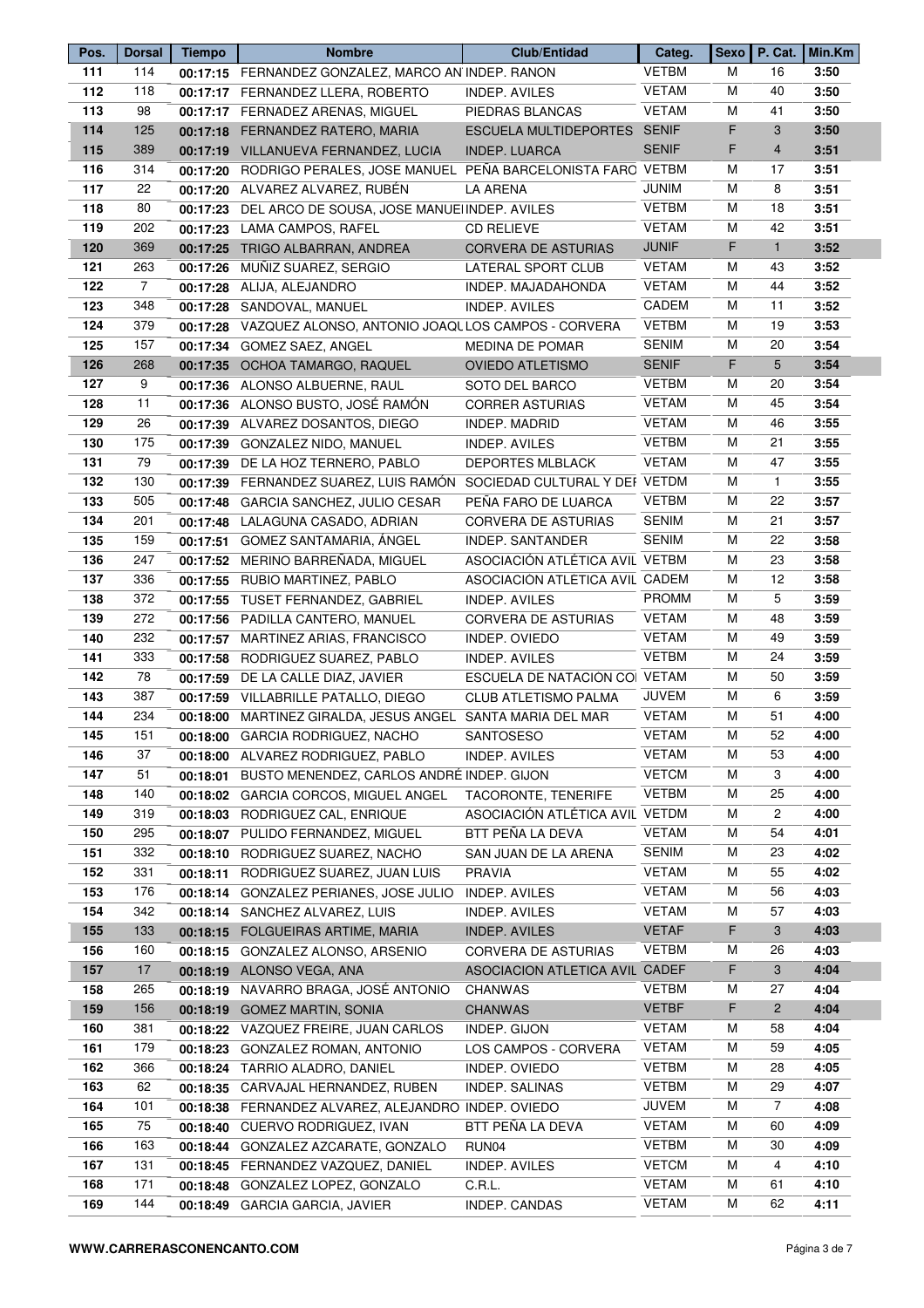| Pos. | <b>Dorsal</b>  | <b>Tiempo</b> | <b>Nombre</b>                                                       | <b>Club/Entidad</b>            | Categ.       | <b>Sexo</b> |                | P. Cat.   Min.Km |
|------|----------------|---------------|---------------------------------------------------------------------|--------------------------------|--------------|-------------|----------------|------------------|
| 111  | 114            |               | 00:17:15 FERNANDEZ GONZALEZ, MARCO AN INDEP. RANON                  |                                | <b>VETBM</b> | м           | 16             | 3:50             |
| 112  | 118            |               | 00:17:17 FERNANDEZ LLERA, ROBERTO                                   | INDEP. AVILES                  | <b>VETAM</b> | M           | 40             | 3:50             |
| 113  | 98             |               | 00:17:17 FERNADEZ ARENAS, MIGUEL                                    | PIEDRAS BLANCAS                | <b>VETAM</b> | M           | 41             | 3:50             |
| 114  | 125            |               | 00:17:18 FERNANDEZ RATERO, MARIA                                    | ESCUELA MULTIDEPORTES SENIF    |              | F           | $\mathbf{3}$   | 3:50             |
| 115  | 389            |               | 00:17:19 VILLANUEVA FERNANDEZ, LUCIA                                | <b>INDEP. LUARCA</b>           | <b>SENIF</b> | F           | $\overline{4}$ | 3:51             |
| 116  | 314            |               | 00:17:20 RODRIGO PERALES, JOSE MANUEL PEÑA BARCELONISTA FARO VETBM  |                                |              | м           | 17             | 3:51             |
| 117  | 22             |               | 00:17:20 ALVAREZ ALVAREZ, RUBÉN                                     | <b>LA ARENA</b>                | <b>JUNIM</b> | м           | 8              | 3:51             |
| 118  | 80             |               | 00:17:23 DEL ARCO DE SOUSA, JOSE MANUEIINDEP. AVILES                |                                | <b>VETBM</b> | M           | 18             | 3:51             |
| 119  | 202            |               | 00:17:23 LAMA CAMPOS, RAFEL                                         | <b>CD RELIEVE</b>              | <b>VETAM</b> | M           | 42             | 3:51             |
| 120  | 369            | 00:17:25      | TRIGO ALBARRAN, ANDREA                                              | CORVERA DE ASTURIAS            | <b>JUNIF</b> | F           | $\mathbf{1}$   | 3:52             |
| 121  | 263            |               | 00:17:26 MUÑIZ SUAREZ, SERGIO                                       | LATERAL SPORT CLUB             | <b>VETAM</b> | м           | 43             | 3:52             |
| 122  | $\overline{7}$ |               | 00:17:28 ALIJA, ALEJANDRO                                           | INDEP. MAJADAHONDA             | <b>VETAM</b> | м           | 44             | 3:52             |
| 123  | 348            |               | 00:17:28 SANDOVAL, MANUEL                                           | <b>INDEP. AVILES</b>           | CADEM        | м           | 11             | 3:52             |
| 124  | 379            |               | 00:17:28 VAZQUEZ ALONSO, ANTONIO JOAQUIOS CAMPOS - CORVERA          |                                | <b>VETBM</b> | M           | 19             | 3:53             |
| 125  | 157            |               | 00:17:34 GOMEZ SAEZ, ANGEL                                          | <b>MEDINA DE POMAR</b>         | <b>SENIM</b> | M           | 20             | 3:54             |
|      | 268            |               |                                                                     |                                | <b>SENIF</b> | F           | 5              | 3:54             |
| 126  |                |               | 00:17:35 OCHOA TAMARGO, RAQUEL                                      | <b>OVIEDO ATLETISMO</b>        |              |             |                |                  |
| 127  | 9              |               | 00:17:36 ALONSO ALBUERNE, RAUL                                      | SOTO DEL BARCO                 | VETBM        | м           | 20             | 3:54             |
| 128  | 11             |               | 00:17:36 ALONSO BUSTO, JOSÉ RAMÓN                                   | <b>CORRER ASTURIAS</b>         | <b>VETAM</b> | M           | 45             | 3:54             |
| 129  | 26             |               | 00:17:39 ALVAREZ DOSANTOS, DIEGO                                    | <b>INDEP. MADRID</b>           | <b>VETAM</b> | M           | 46             | 3:55             |
| 130  | 175            |               | 00:17:39 GONZALEZ NIDO, MANUEL                                      | <b>INDEP. AVILES</b>           | <b>VETBM</b> | M           | 21             | 3:55             |
| 131  | 79             |               | 00:17:39 DE LA HOZ TERNERO, PABLO                                   | <b>DEPORTES MLBLACK</b>        | <b>VETAM</b> | M           | 47             | 3:55             |
| 132  | 130            |               | 00:17:39 FERNANDEZ SUAREZ, LUIS RAMÓN SOCIEDAD CULTURAL Y DEI VETDM |                                |              | M           | $\mathbf{1}$   | 3:55             |
| 133  | 505            |               | 00:17:48 GARCIA SANCHEZ, JULIO CESAR                                | PEÑA FARO DE LUARCA            | <b>VETBM</b> | M           | 22             | 3:57             |
| 134  | 201            |               | 00:17:48 LALAGUNA CASADO, ADRIAN                                    | <b>CORVERA DE ASTURIAS</b>     | <b>SENIM</b> | M           | 21             | 3:57             |
| 135  | 159            |               | 00:17:51 GOMEZ SANTAMARIA, ÁNGEL                                    | INDEP. SANTANDER               | <b>SENIM</b> | M           | 22             | 3:58             |
| 136  | 247            |               | 00:17:52 MERINO BARREÑADA, MIGUEL                                   | ASOCIACIÓN ATLÉTICA AVIL VETBM |              | м           | 23             | 3:58             |
| 137  | 336            |               | 00:17:55 RUBIO MARTINEZ, PABLO                                      | ASOCIACIÓN ATLÉTICA AVIL CADEM |              | м           | 12             | 3:58             |
| 138  | 372            |               | 00:17:55 TUSET FERNANDEZ, GABRIEL                                   | <b>INDEP. AVILES</b>           | <b>PROMM</b> | м           | 5              | 3:59             |
| 139  | 272            |               | 00:17:56 PADILLA CANTERO, MANUEL                                    | CORVERA DE ASTURIAS            | <b>VETAM</b> | M           | 48             | 3:59             |
| 140  | 232            |               | 00:17:57 MARTINEZ ARIAS, FRANCISCO                                  | INDEP. OVIEDO                  | <b>VETAM</b> | M           | 49             | 3:59             |
| 141  | 333            |               | 00:17:58 RODRIGUEZ SUAREZ, PABLO                                    | INDEP. AVILES                  | <b>VETBM</b> | M           | 24             | 3:59             |
| 142  | 78             |               | 00:17:59 DE LA CALLE DIAZ, JAVIER                                   | ESCUELA DE NATACIÓN CO VETAM   |              | M           | 50             | 3:59             |
| 143  | 387            |               | 00:17:59 VILLABRILLE PATALLO, DIEGO                                 | CLUB ATLETISMO PALMA           | <b>JUVEM</b> | м           | 6              | 3:59             |
| 144  | 234            |               | 00:18:00 MARTINEZ GIRALDA, JESUS ANGEL SANTA MARIA DEL MAR          |                                | <b>VETAM</b> | M           | 51             | 4:00             |
| 145  | 151            |               | 00:18:00 GARCIA RODRIGUEZ, NACHO                                    | SANTOSESO                      | <b>VETAM</b> | м           | 52             | 4:00             |
| 146  | 37             |               | 00:18:00 ALVAREZ RODRIGUEZ, PABLO                                   | <b>INDEP. AVILES</b>           | <b>VETAM</b> | M           | 53             | 4:00             |
| 147  | 51             | 00:18:01      | BUSTO MENENDEZ, CARLOS ANDRÉ INDEP. GIJON                           |                                | <b>VETCM</b> | м           | 3              | 4:00             |
| 148  | 140            |               | 00:18:02 GARCIA CORCOS, MIGUEL ANGEL                                | TACORONTE, TENERIFE            | <b>VETBM</b> | м           | 25             | 4:00             |
| 149  | 319            |               |                                                                     |                                |              | M           | 2              | 4:00             |
| 150  | 295            |               | 00:18:03 RODRIGUEZ CAL, ENRIQUE<br>PULIDO FERNANDEZ, MIGUEL         | ASOCIACIÓN ATLÉTICA AVIL VETDM | <b>VETAM</b> | м           | 54             | 4:01             |
|      |                | 00:18:07      |                                                                     | BTT PEÑA LA DEVA               |              |             |                |                  |
| 151  | 332            |               | 00:18:10 RODRIGUEZ SUAREZ, NACHO                                    | SAN JUAN DE LA ARENA           | <b>SENIM</b> | м           | 23             | 4:02             |
| 152  | 331            | 00:18:11      | RODRIGUEZ SUAREZ, JUAN LUIS                                         | <b>PRAVIA</b>                  | <b>VETAM</b> | м           | 55             | 4:02             |
| 153  | 176            |               | 00:18:14 GONZALEZ PERIANES, JOSE JULIO                              | <b>INDEP. AVILES</b>           | <b>VETAM</b> | м           | 56             | 4:03             |
| 154  | 342            |               | 00:18:14 SANCHEZ ALVAREZ, LUIS                                      | <b>INDEP. AVILES</b>           | <b>VETAM</b> | м           | 57             | 4:03             |
| 155  | 133            |               | 00:18:15 FOLGUEIRAS ARTIME, MARIA                                   | <b>INDEP. AVILES</b>           | <b>VETAF</b> | F           | 3              | 4:03             |
| 156  | 160            |               | 00:18:15 GONZALEZ ALONSO, ARSENIO                                   | <b>CORVERA DE ASTURIAS</b>     | <b>VETBM</b> | M           | 26             | 4:03             |
| 157  | 17             |               | 00:18:19 ALONSO VEGA, ANA                                           | ASOCIACION ATLETICA AVIL CADEF |              | F           | 3              | 4:04             |
| 158  | 265            | 00:18:19      | NAVARRO BRAGA, JOSÉ ANTONIO                                         | <b>CHANWAS</b>                 | <b>VETBM</b> | м           | 27             | 4:04             |
| 159  | 156            |               | 00:18:19 GOMEZ MARTIN, SONIA                                        | <b>CHANWAS</b>                 | <b>VETBF</b> | F           | $\overline{2}$ | 4:04             |
| 160  | 381            | 00:18:22      | VAZQUEZ FREIRE, JUAN CARLOS                                         | INDEP. GIJON                   | <b>VETAM</b> | M           | 58             | 4:04             |
| 161  | 179            | 00:18:23      | GONZALEZ ROMAN, ANTONIO                                             | LOS CAMPOS - CORVERA           | <b>VETAM</b> | M           | 59             | 4:05             |
| 162  | 366            | 00:18:24      | TARRIO ALADRO, DANIEL                                               | INDEP. OVIEDO                  | <b>VETBM</b> | M           | 28             | 4:05             |
| 163  | 62             | 00:18:35      | CARVAJAL HERNANDEZ, RUBEN                                           | <b>INDEP. SALINAS</b>          | <b>VETBM</b> | м           | 29             | 4:07             |
| 164  | 101            |               | 00:18:38 FERNANDEZ ALVAREZ, ALEJANDRO INDEP. OVIEDO                 |                                | <b>JUVEM</b> | м           | $\overline{7}$ | 4:08             |
| 165  | 75             | 00:18:40      | CUERVO RODRIGUEZ, IVAN                                              | BTT PEÑA LA DEVA               | <b>VETAM</b> | M           | 60             | 4:09             |
| 166  | 163            |               | 00:18:44 GONZALEZ AZCARATE, GONZALO                                 | RUN04                          | <b>VETBM</b> | M           | 30             | 4:09             |
| 167  | 131            |               | 00:18:45 FERNANDEZ VAZQUEZ, DANIEL                                  | <b>INDEP. AVILES</b>           | <b>VETCM</b> | M           | 4              | 4:10             |
| 168  | 171            | 00:18:48      | GONZALEZ LOPEZ, GONZALO                                             | C.R.L.                         | <b>VETAM</b> | м           | 61             | 4:10             |
| 169  | 144            |               |                                                                     |                                | <b>VETAM</b> | M           | 62             | 4:11             |
|      |                |               | 00:18:49 GARCIA GARCIA, JAVIER                                      | INDEP. CANDAS                  |              |             |                |                  |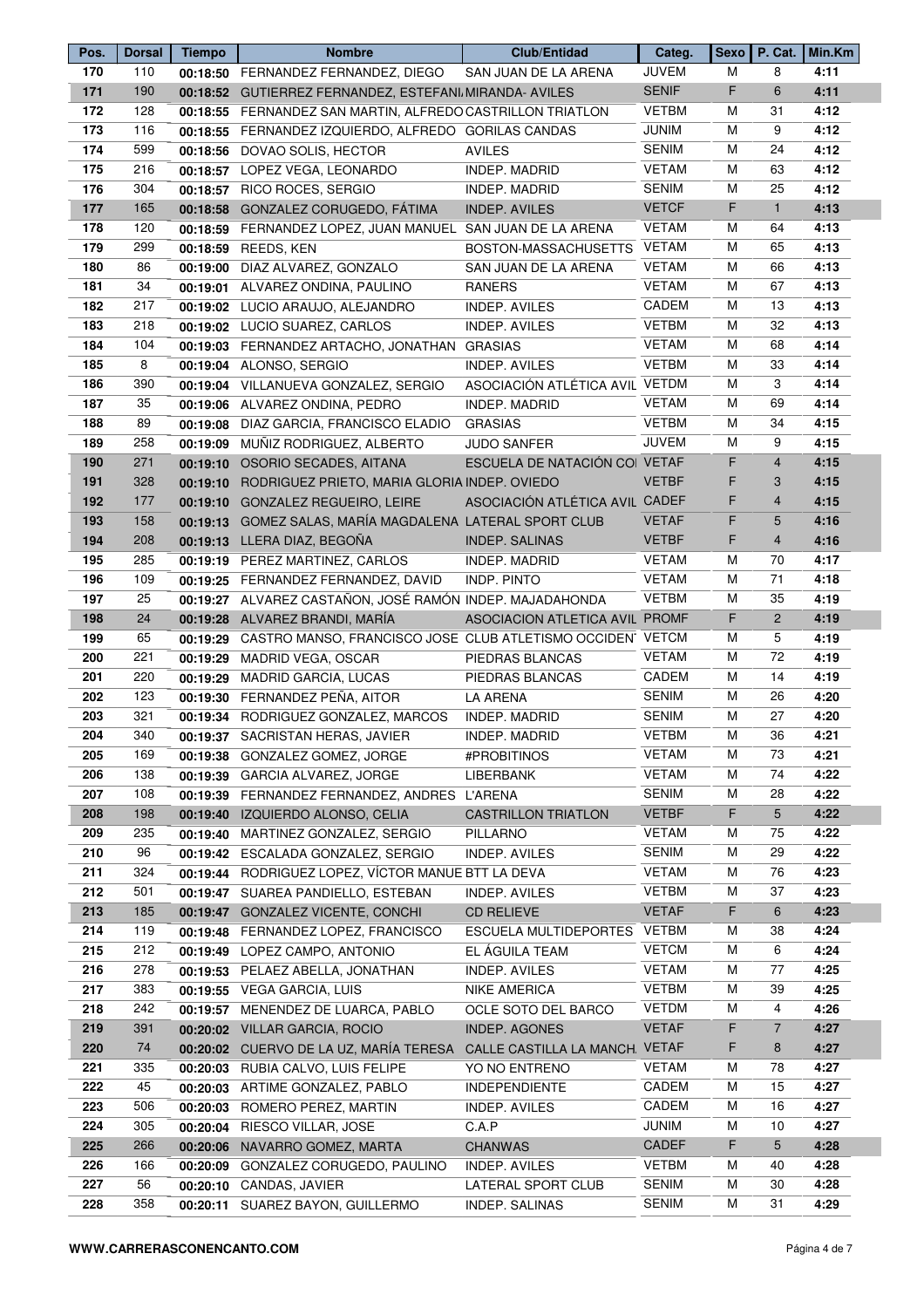| Pos. | <b>Dorsal</b> | <b>Tiempo</b> | <b>Nombre</b>                                                        | <b>Club/Entidad</b>            | Categ.       | <b>Sexo</b> |                | P. Cat.   Min.Km |
|------|---------------|---------------|----------------------------------------------------------------------|--------------------------------|--------------|-------------|----------------|------------------|
| 170  | 110           |               | 00:18:50 FERNANDEZ FERNANDEZ, DIEGO                                  | SAN JUAN DE LA ARENA           | <b>JUVEM</b> | м           | 8              | 4:11             |
| 171  | 190           |               | 00:18:52 GUTIERREZ FERNANDEZ, ESTEFANI MIRANDA- AVILES               |                                | <b>SENIF</b> | F           | 6              | 4:11             |
| 172  | 128           |               | 00:18:55 FERNANDEZ SAN MARTIN, ALFREDO CASTRILLON TRIATLON           |                                | <b>VETBM</b> | M           | 31             | 4:12             |
| 173  | 116           |               | 00:18:55 FERNANDEZ IZQUIERDO, ALFREDO GORILAS CANDAS                 |                                | <b>JUNIM</b> | M           | 9              | 4:12             |
| 174  | 599           |               | 00:18:56 DOVAO SOLIS, HECTOR                                         | <b>AVILES</b>                  | <b>SENIM</b> | M           | 24             | 4:12             |
| 175  | 216           |               | 00:18:57 LOPEZ VEGA, LEONARDO                                        | <b>INDEP. MADRID</b>           | <b>VETAM</b> | м           | 63             | 4:12             |
| 176  | 304           |               | 00:18:57 RICO ROCES, SERGIO                                          | <b>INDEP. MADRID</b>           | <b>SENIM</b> | M           | 25             | 4:12             |
| 177  | 165           |               | 00:18:58 GONZALEZ CORUGEDO, FÁTIMA                                   | <b>INDEP. AVILES</b>           | <b>VETCF</b> | F           | $\mathbf{1}$   | 4:13             |
| 178  | 120           |               | 00:18:59 FERNANDEZ LOPEZ, JUAN MANUEL SAN JUAN DE LA ARENA           |                                | <b>VETAM</b> | M           | 64             | 4:13             |
| 179  | 299           |               | 00:18:59 REEDS, KEN                                                  | BOSTON-MASSACHUSETTS           | <b>VETAM</b> | M           | 65             | 4:13             |
| 180  | 86            |               | 00:19:00 DIAZ ALVAREZ, GONZALO                                       | SAN JUAN DE LA ARENA           | <b>VETAM</b> | м           | 66             | 4:13             |
| 181  | 34            |               | 00:19:01 ALVAREZ ONDINA, PAULINO                                     | <b>RANERS</b>                  | <b>VETAM</b> | м           | 67             | 4:13             |
| 182  | 217           |               | 00:19:02 LUCIO ARAUJO, ALEJANDRO                                     | <b>INDEP. AVILES</b>           | CADEM        | м           | 13             | 4:13             |
| 183  | 218           |               | 00:19:02 LUCIO SUAREZ, CARLOS                                        | <b>INDEP. AVILES</b>           | <b>VETBM</b> | M           | 32             | 4:13             |
| 184  | 104           |               | 00:19:03 FERNANDEZ ARTACHO, JONATHAN GRASIAS                         |                                | <b>VETAM</b> | M           | 68             | 4:14             |
| 185  | 8             |               | 00:19:04 ALONSO, SERGIO                                              | <b>INDEP. AVILES</b>           | <b>VETBM</b> | м           | 33             | 4:14             |
| 186  | 390           |               | 00:19:04 VILLANUEVA GONZALEZ, SERGIO                                 | ASOCIACIÓN ATLÉTICA AVIL VETDM |              | м           | 3              | 4:14             |
| 187  | 35            |               |                                                                      | <b>INDEP. MADRID</b>           | <b>VETAM</b> | M           | 69             | 4:14             |
|      | 89            |               | 00:19:06 ALVAREZ ONDINA, PEDRO                                       |                                | <b>VETBM</b> | M           | 34             | 4:15             |
| 188  |               | 00:19:08      | DIAZ GARCIA, FRANCISCO ELADIO                                        | <b>GRASIAS</b>                 | <b>JUVEM</b> | M           | 9              |                  |
| 189  | 258           |               | 00:19:09 MUÑIZ RODRIGUEZ, ALBERTO                                    | <b>JUDO SANFER</b>             |              |             |                | 4:15             |
| 190  | 271           |               | 00:19:10 OSORIO SECADES, AITANA                                      | ESCUELA DE NATACIÓN CO VETAF   |              | F           | $\overline{4}$ | 4:15             |
| 191  | 328           |               | 00:19:10 RODRIGUEZ PRIETO, MARIA GLORIA INDEP. OVIEDO                |                                | <b>VETBF</b> | F           | 3              | 4:15             |
| 192  | 177           |               | 00:19:10 GONZALEZ REGUEIRO, LEIRE                                    | ASOCIACIÓN ATLÉTICA AVIL CADEF |              | F           | $\overline{4}$ | 4:15             |
| 193  | 158           |               | 00:19:13 GOMEZ SALAS, MARÍA MAGDALENA LATERAL SPORT CLUB             |                                | <b>VETAF</b> | F           | 5              | 4:16             |
| 194  | 208           |               | 00:19:13 LLERA DIAZ, BEGOÑA                                          | <b>INDEP. SALINAS</b>          | <b>VETBF</b> | F           | $\overline{4}$ | 4:16             |
| 195  | 285           |               | 00:19:19 PEREZ MARTINEZ, CARLOS                                      | INDEP. MADRID                  | <b>VETAM</b> | м           | 70             | 4:17             |
| 196  | 109           |               | 00:19:25 FERNANDEZ FERNANDEZ, DAVID                                  | <b>INDP. PINTO</b>             | <b>VETAM</b> | м           | 71             | 4:18             |
| 197  | 25            |               | 00:19:27 ALVAREZ CASTAÑON, JOSÉ RAMÓN INDEP. MAJADAHONDA             |                                | <b>VETBM</b> | м           | 35             | 4:19             |
| 198  | 24            |               | 00:19:28 ALVAREZ BRANDI, MARÍA                                       | ASOCIACION ATLETICA AVIL PROMF |              | F           | $\overline{2}$ | 4:19             |
| 199  | 65            |               | 00:19:29 CASTRO MANSO, FRANCISCO JOSE CLUB ATLETISMO OCCIDEN VETCM   |                                |              | M           | 5              | 4:19             |
| 200  | 221           |               | 00:19:29 MADRID VEGA, OSCAR                                          | PIEDRAS BLANCAS                | <b>VETAM</b> | M           | 72             | 4:19             |
| 201  | 220           |               | 00:19:29 MADRID GARCIA, LUCAS                                        | PIEDRAS BLANCAS                | CADEM        | м           | 14             | 4:19             |
| 202  | 123           |               | 00:19:30 FERNANDEZ PEÑA, AITOR                                       | LA ARENA                       | <b>SENIM</b> | м           | 26             | 4:20             |
| 203  | 321           |               | 00:19:34 RODRIGUEZ GONZALEZ, MARCOS                                  | INDEP. MADRID                  | <b>SENIM</b> | M           | 27             | 4:20             |
| 204  | 340           |               | 00:19:37 SACRISTAN HERAS, JAVIER                                     | INDEP. MADRID                  | VETBM        | м           | 36             | 4:21             |
| 205  | 169           |               | 00:19:38 GONZALEZ GOMEZ, JORGE                                       | #PROBITINOS                    | <b>VETAM</b> | M           | 73             | 4:21             |
| 206  | 138           |               | 00:19:39 GARCIA ALVAREZ, JORGE                                       | LIBERBANK                      | <b>VETAM</b> | м           | 74             | 4:22             |
| 207  | 108           |               | 00:19:39 FERNANDEZ FERNANDEZ, ANDRES L'ARENA                         |                                | <b>SENIM</b> | м           | 28             | 4:22             |
| 208  | 198           | 00:19:40      | IZQUIERDO ALONSO, CELIA                                              | <b>CASTRILLON TRIATLON</b>     | <b>VETBF</b> | F           | 5              | 4:22             |
| 209  | 235           | 00:19:40      | MARTINEZ GONZALEZ, SERGIO                                            | <b>PILLARNO</b>                | <b>VETAM</b> | M           | 75             | 4:22             |
| 210  | 96            |               | 00:19:42 ESCALADA GONZALEZ, SERGIO                                   | <b>INDEP. AVILES</b>           | <b>SENIM</b> | M           | 29             | 4:22             |
| 211  | 324           |               | 00:19:44 RODRIGUEZ LOPEZ, VÍCTOR MANUE BTT LA DEVA                   |                                | <b>VETAM</b> | м           | 76             | 4:23             |
| 212  | 501           |               | 00:19:47 SUAREA PANDIELLO, ESTEBAN                                   | INDEP. AVILES                  | <b>VETBM</b> | м           | 37             | 4:23             |
| 213  | 185           |               | 00:19:47 GONZALEZ VICENTE, CONCHI                                    | <b>CD RELIEVE</b>              | <b>VETAF</b> | F           | 6              | 4:23             |
| 214  | 119           |               |                                                                      | ESCUELA MULTIDEPORTES VETBM    |              | M           | 38             | 4:24             |
|      | 212           |               | 00:19:48 FERNANDEZ LOPEZ, FRANCISCO                                  |                                | <b>VETCM</b> | M           | 6              |                  |
| 215  |               |               | 00:19:49 LOPEZ CAMPO, ANTONIO                                        | EL AGUILA TEAM                 |              |             |                | 4:24             |
| 216  | 278           | 00:19:53      | PELAEZ ABELLA, JONATHAN                                              | <b>INDEP. AVILES</b>           | <b>VETAM</b> | М           | 77             | 4:25             |
| 217  | 383           |               | 00:19:55 VEGA GARCIA, LUIS                                           | <b>NIKE AMERICA</b>            | <b>VETBM</b> | м           | 39             | 4:25             |
| 218  | 242           | 00:19:57      | MENENDEZ DE LUARCA, PABLO                                            | OCLE SOTO DEL BARCO            | <b>VETDM</b> | м           | 4              | 4:26             |
| 219  | 391           |               | 00:20:02 VILLAR GARCIA, ROCIO                                        | <b>INDEP. AGONES</b>           | <b>VETAF</b> | F           | $\overline{7}$ | 4:27             |
| 220  | 74            |               | 00:20:02 CUERVO DE LA UZ, MARÍA TERESA CALLE CASTILLA LA MANCH VETAF |                                |              | F           | 8              | 4:27             |
| 221  | 335           |               | 00:20:03 RUBIA CALVO, LUIS FELIPE                                    | YO NO ENTRENO                  | <b>VETAM</b> | M           | 78             | 4:27             |
| 222  | 45            |               | 00:20:03 ARTIME GONZALEZ, PABLO                                      | <b>INDEPENDIENTE</b>           | CADEM        | м           | 15             | 4:27             |
| 223  | 506           |               | 00:20:03 ROMERO PEREZ, MARTIN                                        | <b>INDEP. AVILES</b>           | CADEM        | м           | 16             | 4:27             |
| 224  | 305           |               | 00:20:04 RIESCO VILLAR, JOSE                                         | C.A.P                          | <b>JUNIM</b> | м           | 10             | 4:27             |
| 225  | 266           |               | 00:20:06 NAVARRO GOMEZ, MARTA                                        | <b>CHANWAS</b>                 | CADEF        | F           | 5              | 4:28             |
| 226  | 166           | 00:20:09      | GONZALEZ CORUGEDO, PAULINO                                           | INDEP. AVILES                  | <b>VETBM</b> | M           | 40             | 4:28             |
| 227  | 56            |               | 00:20:10 CANDAS, JAVIER                                              | LATERAL SPORT CLUB             | <b>SENIM</b> | м           | 30             | 4:28             |
| 228  | 358           |               | 00:20:11 SUAREZ BAYON, GUILLERMO                                     | INDEP. SALINAS                 | <b>SENIM</b> | М           | 31             | 4:29             |
|      |               |               |                                                                      |                                |              |             |                |                  |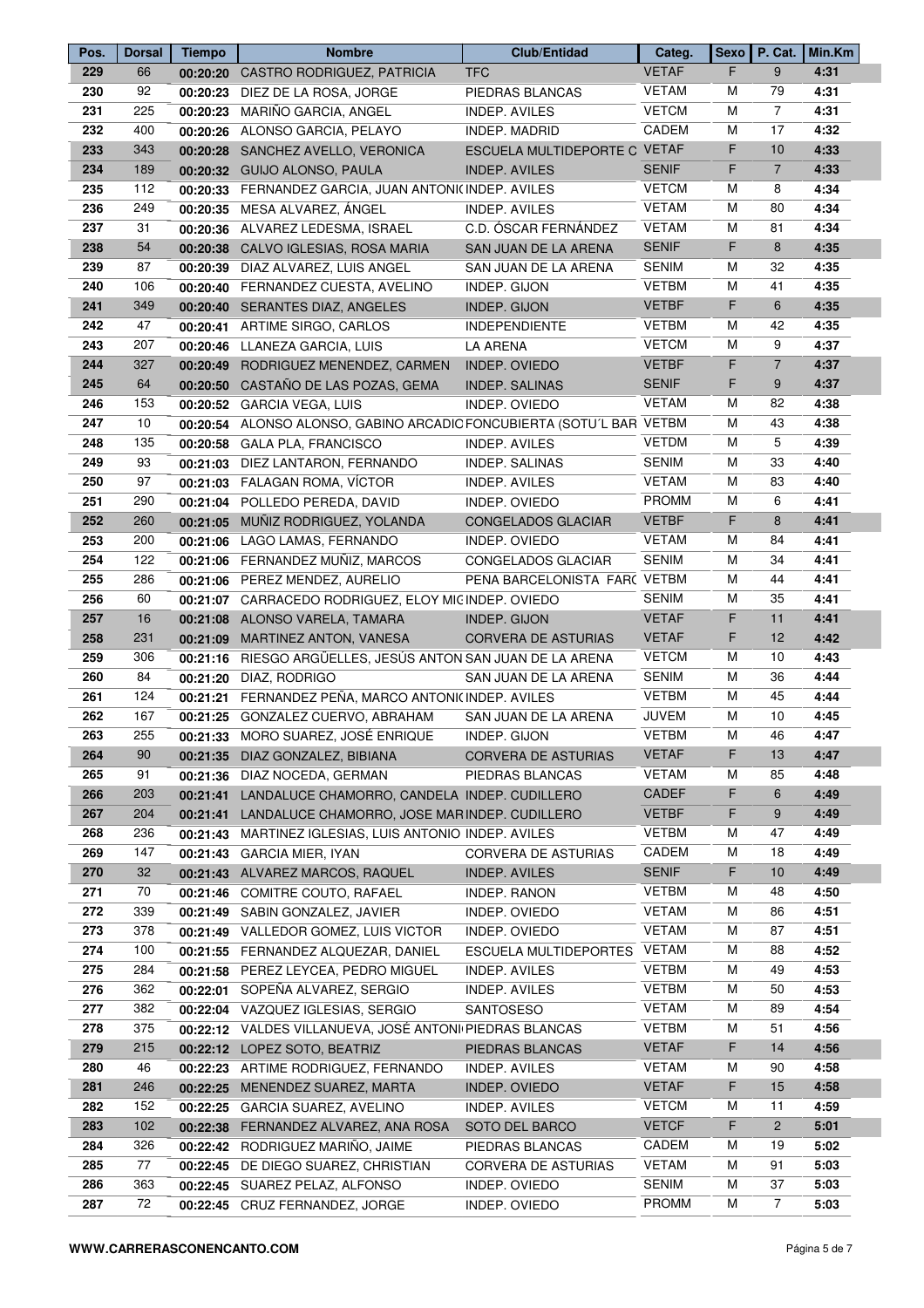| Pos. | <b>Dorsal</b> | <b>Tiempo</b> | <b>Nombre</b>                                               | <b>Club/Entidad</b>          | Categ.       | <b>Sexo</b> |                | P. Cat.   Min.Km |
|------|---------------|---------------|-------------------------------------------------------------|------------------------------|--------------|-------------|----------------|------------------|
| 229  | 66            |               | 00:20:20 CASTRO RODRIGUEZ, PATRICIA                         | <b>TFC</b>                   | <b>VETAF</b> | F.          | 9              | 4:31             |
| 230  | 92            | 00:20:23      | DIEZ DE LA ROSA, JORGE                                      | PIEDRAS BLANCAS              | <b>VETAM</b> | М           | 79             | 4:31             |
| 231  | 225           |               | 00:20:23 MARIÑO GARCIA, ANGEL                               | <b>INDEP. AVILES</b>         | <b>VETCM</b> | M           | $\overline{7}$ | 4:31             |
| 232  | 400           |               | 00:20:26 ALONSO GARCIA, PELAYO                              | <b>INDEP. MADRID</b>         | CADEM        | M           | 17             | 4:32             |
| 233  | 343           |               | 00:20:28 SANCHEZ AVELLO, VERONICA                           | ESCUELA MULTIDEPORTE C VETAF |              | F           | 10             | 4:33             |
| 234  | 189           |               | 00:20:32 GUIJO ALONSO, PAULA                                | <b>INDEP. AVILES</b>         | <b>SENIF</b> | F           | $\overline{7}$ | 4:33             |
| 235  | 112           |               | 00:20:33 FERNANDEZ GARCIA, JUAN ANTONI(INDEP. AVILES        |                              | <b>VETCM</b> | М           | 8              | 4:34             |
| 236  | 249           |               | 00:20:35 MESA ALVAREZ, ÁNGEL                                | <b>INDEP. AVILES</b>         | <b>VETAM</b> | М           | 80             | 4:34             |
| 237  | 31            |               | 00:20:36 ALVAREZ LEDESMA, ISRAEL                            | C.D. ÓSCAR FERNÁNDEZ         | <b>VETAM</b> | M           | 81             | 4:34             |
| 238  | 54            |               | 00:20:38 CALVO IGLESIAS, ROSA MARIA                         | SAN JUAN DE LA ARENA         | <b>SENIF</b> | F           | 8              | 4:35             |
| 239  | 87            |               | 00:20:39 DIAZ ALVAREZ, LUIS ANGEL                           | SAN JUAN DE LA ARENA         | SENIM        | М           | 32             | 4:35             |
| 240  | 106           |               | 00:20:40 FERNANDEZ CUESTA, AVELINO                          | INDEP. GIJON                 | <b>VETBM</b> | М           | 41             | 4:35             |
| 241  | 349           |               | 00:20:40 SERANTES DIAZ, ANGELES                             | INDEP. GIJON                 | <b>VETBF</b> | F           | 6              | 4:35             |
| 242  | 47            |               | 00:20:41 ARTIME SIRGO, CARLOS                               | <b>INDEPENDIENTE</b>         | <b>VETBM</b> | M           | 42             | 4:35             |
| 243  | 207           |               | 00:20:46 LLANEZA GARCIA, LUIS                               | <b>LA ARENA</b>              | <b>VETCM</b> | M           | 9              | 4:37             |
| 244  | 327           |               |                                                             |                              | <b>VETBF</b> | F           | $\overline{7}$ | 4:37             |
|      |               | 00:20:49      | RODRIGUEZ MENENDEZ, CARMEN                                  | INDEP. OVIEDO                |              |             |                |                  |
| 245  | 64            |               | 00:20:50 CASTAÑO DE LAS POZAS, GEMA                         | <b>INDEP. SALINAS</b>        | <b>SENIF</b> | F           | 9              | 4:37<br>4:38     |
| 246  | 153           |               | 00:20:52 GARCIA VEGA, LUIS                                  | INDEP. OVIEDO                | <b>VETAM</b> | М           | 82             |                  |
| 247  | 10            | 00:20:54      | ALONSO ALONSO, GABINO ARCADIO FONCUBIERTA (SOTU'L BAR VETBM |                              |              | M           | 43             | 4:38             |
| 248  | 135           |               | 00:20:58 GALA PLA, FRANCISCO                                | <b>INDEP. AVILES</b>         | <b>VETDM</b> | M           | 5              | 4:39             |
| 249  | 93            |               | 00:21:03 DIEZ LANTARON, FERNANDO                            | INDEP. SALINAS               | SENIM        | М           | 33             | 4:40             |
| 250  | 97            |               | 00:21:03 FALAGAN ROMA, VÍCTOR                               | <b>INDEP. AVILES</b>         | <b>VETAM</b> | М           | 83             | 4:40             |
| 251  | 290           |               | 00:21:04 POLLEDO PEREDA, DAVID                              | INDEP. OVIEDO                | <b>PROMM</b> | М           | 6              | 4:41             |
| 252  | 260           |               | 00:21:05 MUÑIZ RODRIGUEZ, YOLANDA                           | CONGELADOS GLACIAR           | <b>VETBF</b> | F           | 8              | 4:41             |
| 253  | 200           |               | 00:21:06 LAGO LAMAS, FERNANDO                               | INDEP. OVIEDO                | <b>VETAM</b> | M           | 84             | 4:41             |
| 254  | 122           |               | 00:21:06 FERNANDEZ MUÑIZ, MARCOS                            | CONGELADOS GLACIAR           | <b>SENIM</b> | М           | 34             | 4:41             |
| 255  | 286           |               | 00:21:06 PEREZ MENDEZ, AURELIO                              | PEÑA BARCELONISTA FAR( VETBM |              | М           | 44             | 4:41             |
| 256  | 60            |               | 00:21:07 CARRACEDO RODRIGUEZ, ELOY MIC INDEP. OVIEDO        |                              | <b>SENIM</b> | М           | 35             | 4:41             |
| 257  | 16            |               | 00:21:08 ALONSO VARELA, TAMARA                              | INDEP. GIJON                 | <b>VETAF</b> | F           | 11             | 4:41             |
| 258  | 231           |               | 00:21:09 MARTINEZ ANTON, VANESA                             | <b>CORVERA DE ASTURIAS</b>   | <b>VETAF</b> | F           | 12             | 4:42             |
| 259  | 306           |               | 00:21:16 RIESGO ARGÜELLES, JESÚS ANTON SAN JUAN DE LA ARENA |                              | <b>VETCM</b> | М           | 10             | 4:43             |
| 260  | 84            |               | 00:21:20 DIAZ, RODRIGO                                      | SAN JUAN DE LA ARENA         | SENIM        | М           | 36             | 4:44             |
| 261  | 124           |               | 00:21:21 FERNANDEZ PEÑA, MARCO ANTONI(INDEP. AVILES         |                              | <b>VETBM</b> | М           | 45             | 4:44             |
| 262  | 167           |               | 00:21:25 GONZALEZ CUERVO, ABRAHAM                           | SAN JUAN DE LA ARENA         | <b>JUVEM</b> | М           | 10             | 4:45             |
| 263  | 255           |               | 00:21:33 MORO SUAREZ, JOSÉ ENRIQUE                          | INDEP. GIJON                 | <b>VETBM</b> | M           | 46             | 4:47             |
| 264  | 90            |               | 00:21:35 DIAZ GONZALEZ, BIBIANA                             | <b>CORVERA DE ASTURIAS</b>   | <b>VETAF</b> | F.          | 13             | 4:47             |
| 265  | 91            |               | 00:21:36 DIAZ NOCEDA, GERMAN                                | PIEDRAS BLANCAS              | <b>VETAM</b> | М           | 85             | 4:48             |
| 266  | 203           | 00:21:41      | LANDALUCE CHAMORRO, CANDELA INDEP. CUDILLERO                |                              | <b>CADEF</b> | F.          | 6              | 4:49             |
| 267  | 204           | 00:21:41      | LANDALUCE CHAMORRO, JOSE MARINDEP. CUDILLERO                |                              | <b>VETBF</b> | F           | 9              | 4:49             |
| 268  | 236           | 00:21:43      | MARTINEZ IGLESIAS, LUIS ANTONIO INDEP. AVILES               |                              | <b>VETBM</b> | М           | 47             | 4:49             |
| 269  | 147           |               | 00:21:43 GARCIA MIER, IYAN                                  | CORVERA DE ASTURIAS          | CADEM        | М           | 18             | 4:49             |
| 270  | 32            |               | 00:21:43 ALVAREZ MARCOS, RAQUEL                             | <b>INDEP. AVILES</b>         | <b>SENIF</b> | F           | 10             | 4:49             |
| 271  | 70            |               | 00:21:46 COMITRE COUTO, RAFAEL                              | INDEP. RANON                 | <b>VETBM</b> | M           | 48             | 4:50             |
| 272  | 339           | 00:21:49      | SABIN GONZALEZ, JAVIER                                      | INDEP. OVIEDO                | <b>VETAM</b> | M           | 86             | 4:51             |
|      | 378           |               |                                                             |                              | <b>VETAM</b> | M           | 87             |                  |
| 273  | 100           |               | 00:21:49 VALLEDOR GOMEZ, LUIS VICTOR                        | INDEP. OVIEDO                |              | М           | 88             | 4:51             |
| 274  |               |               | 00:21:55 FERNANDEZ ALQUEZAR, DANIEL                         | ESCUELA MULTIDEPORTES VETAM  |              |             |                | 4:52             |
| 275  | 284           |               | 00:21:58 PEREZ LEYCEA, PEDRO MIGUEL                         | <b>INDEP. AVILES</b>         | <b>VETBM</b> | М           | 49             | 4:53             |
| 276  | 362           | 00:22:01      | SOPEÑA ALVAREZ, SERGIO                                      | INDEP. AVILES                | <b>VETBM</b> | М           | 50             | 4:53             |
| 277  | 382           |               | 00:22:04 VAZQUEZ IGLESIAS, SERGIO                           | SANTOSESO                    | <b>VETAM</b> | М           | 89             | 4:54             |
| 278  | 375           |               | 00:22:12 VALDES VILLANUEVA, JOSÉ ANTONI PIEDRAS BLANCAS     |                              | <b>VETBM</b> | М           | 51             | 4:56             |
| 279  | 215           |               | 00:22:12 LOPEZ SOTO, BEATRIZ                                | PIEDRAS BLANCAS              | <b>VETAF</b> | F           | 14             | 4:56             |
| 280  | 46            |               | 00:22:23 ARTIME RODRIGUEZ, FERNANDO                         | <b>INDEP. AVILES</b>         | <b>VETAM</b> | М           | 90             | 4:58             |
| 281  | 246           | 00:22:25      | MENENDEZ SUAREZ, MARTA                                      | INDEP. OVIEDO                | <b>VETAF</b> | F           | 15             | 4:58             |
| 282  | 152           | 00:22:25      | <b>GARCIA SUAREZ, AVELINO</b>                               | <b>INDEP. AVILES</b>         | <b>VETCM</b> | M           | 11             | 4:59             |
| 283  | 102           |               | 00:22:38 FERNANDEZ ALVAREZ, ANA ROSA                        | SOTO DEL BARCO               | <b>VETCF</b> | F           | $\overline{2}$ | 5:01             |
| 284  | 326           |               | 00:22:42 RODRIGUEZ MARIÑO, JAIME                            | PIEDRAS BLANCAS              | CADEM        | М           | 19             | 5:02             |
| 285  | 77            |               | 00:22:45 DE DIEGO SUAREZ, CHRISTIAN                         | <b>CORVERA DE ASTURIAS</b>   | <b>VETAM</b> | М           | 91             | 5:03             |
| 286  | 363           |               | 00:22:45 SUAREZ PELAZ, ALFONSO                              | INDEP. OVIEDO                | SENIM        | м           | 37             | 5:03             |
| 287  | 72            |               | 00:22:45 CRUZ FERNANDEZ, JORGE                              | INDEP. OVIEDO                | <b>PROMM</b> | М           | $\overline{7}$ | 5:03             |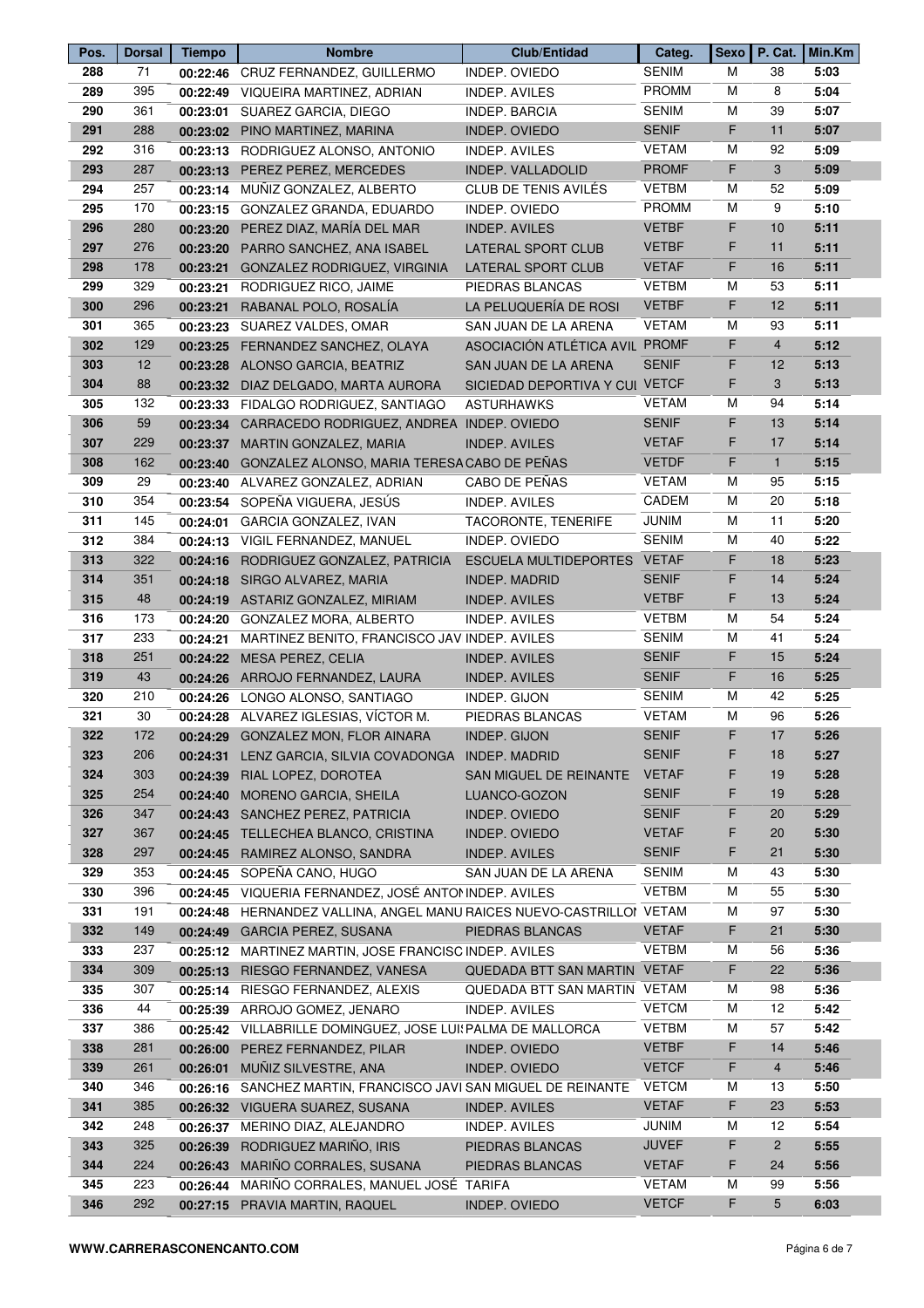| Pos. | <b>Dorsal</b> | <b>Tiempo</b> | <b>Nombre</b>                                                        | <b>Club/Entidad</b>            | Categ.       | <b>Sexo</b> |                | P. Cat.   Min.Km |
|------|---------------|---------------|----------------------------------------------------------------------|--------------------------------|--------------|-------------|----------------|------------------|
| 288  | 71            |               | 00:22:46 CRUZ FERNANDEZ, GUILLERMO                                   | INDEP. OVIEDO                  | <b>SENIM</b> | м           | 38             | 5:03             |
| 289  | 395           |               | 00:22:49 VIQUEIRA MARTINEZ, ADRIAN                                   | <b>INDEP. AVILES</b>           | <b>PROMM</b> | M           | 8              | 5:04             |
| 290  | 361           |               | 00:23:01 SUAREZ GARCIA, DIEGO                                        | <b>INDEP. BARCIA</b>           | <b>SENIM</b> | M           | 39             | 5:07             |
| 291  | 288           |               | 00:23:02 PINO MARTINEZ, MARINA                                       | INDEP. OVIEDO                  | <b>SENIF</b> | F           | 11             | 5:07             |
| 292  | 316           |               | 00:23:13 RODRIGUEZ ALONSO, ANTONIO                                   | <b>INDEP. AVILES</b>           | <b>VETAM</b> | M           | 92             | 5:09             |
| 293  | 287           |               | 00:23:13 PEREZ PEREZ, MERCEDES                                       | <b>INDEP. VALLADOLID</b>       | <b>PROMF</b> | F           | 3              | 5:09             |
| 294  | 257           |               | 00:23:14 MUÑIZ GONZALEZ, ALBERTO                                     | CLUB DE TENIS AVILÉS           | <b>VETBM</b> | м           | 52             | 5:09             |
| 295  | 170           |               | 00:23:15 GONZALEZ GRANDA, EDUARDO                                    | INDEP. OVIEDO                  | <b>PROMM</b> | M           | 9              | 5:10             |
| 296  | 280           |               | 00:23:20 PEREZ DIAZ, MARÍA DEL MAR                                   | <b>INDEP. AVILES</b>           | <b>VETBF</b> | F.          | 10             | 5:11             |
| 297  | 276           |               | 00:23:20 PARRO SANCHEZ, ANA ISABEL                                   | LATERAL SPORT CLUB             | <b>VETBF</b> | F           | 11             | 5:11             |
| 298  | 178           |               | 00:23:21 GONZALEZ RODRIGUEZ, VIRGINIA                                | <b>LATERAL SPORT CLUB</b>      | <b>VETAF</b> | F           | 16             | 5:11             |
| 299  | 329           | 00:23:21      | RODRIGUEZ RICO, JAIME                                                | PIEDRAS BLANCAS                | <b>VETBM</b> | M           | 53             | 5:11             |
| 300  | 296           | 00:23:21      | RABANAL POLO, ROSALÍA                                                | LA PELUQUERÍA DE ROSI          | <b>VETBF</b> | F           | 12             | 5:11             |
| 301  | 365           |               | 00:23:23 SUAREZ VALDES, OMAR                                         | SAN JUAN DE LA ARENA           | <b>VETAM</b> | М           | 93             | 5:11             |
| 302  | 129           |               | 00:23:25 FERNANDEZ SANCHEZ, OLAYA                                    | ASOCIACIÓN ATLÉTICA AVIL PROMF |              | F           | $\overline{4}$ | 5:12             |
| 303  | 12            |               | 00:23:28 ALONSO GARCIA, BEATRIZ                                      | SAN JUAN DE LA ARENA           | <b>SENIF</b> | F           | 12             | 5:13             |
| 304  | 88            |               | 00:23:32 DIAZ DELGADO, MARTA AURORA                                  | SICIEDAD DEPORTIVA Y CUI VETCF |              | F           | 3              | 5:13             |
| 305  | 132           |               | 00:23:33 FIDALGO RODRIGUEZ, SANTIAGO                                 | <b>ASTURHAWKS</b>              | VETAM        | M           | 94             | 5:14             |
| 306  | 59            |               | 00:23:34 CARRACEDO RODRIGUEZ, ANDREA INDEP. OVIEDO                   |                                | <b>SENIF</b> | F           | 13             | 5:14             |
| 307  | 229           |               | 00:23:37 MARTIN GONZALEZ, MARIA                                      | <b>INDEP. AVILES</b>           | <b>VETAF</b> | F           | 17             | 5:14             |
| 308  | 162           |               | 00:23:40 GONZALEZ ALONSO, MARIA TERESA CABO DE PEÑAS                 |                                | <b>VETDF</b> | F           | $\mathbf{1}$   | 5:15             |
| 309  | 29            |               | 00:23:40 ALVAREZ GONZALEZ, ADRIAN                                    | CABO DE PEÑAS                  | VETAM        | М           | 95             | 5:15             |
| 310  | 354           |               | 00:23:54 SOPEÑA VIGUERA, JESÚS                                       | <b>INDEP. AVILES</b>           | CADEM        | M           | 20             | 5:18             |
| 311  | 145           | 00:24:01      | GARCIA GONZALEZ, IVAN                                                | TACORONTE, TENERIFE            | <b>JUNIM</b> | M           | 11             | 5:20             |
| 312  | 384           |               | 00:24:13 VIGIL FERNANDEZ, MANUEL                                     | INDEP. OVIEDO                  | <b>SENIM</b> | M           | 40             | 5:22             |
| 313  | 322           |               | 00:24:16 RODRIGUEZ GONZALEZ, PATRICIA                                | <b>ESCUELA MULTIDEPORTES</b>   | <b>VETAF</b> | F           | 18             | 5:23             |
| 314  | 351           |               | 00:24:18 SIRGO ALVAREZ, MARIA                                        | <b>INDEP. MADRID</b>           | <b>SENIF</b> | F           | 14             | 5:24             |
| 315  | 48            |               | 00:24:19 ASTARIZ GONZALEZ, MIRIAM                                    | <b>INDEP. AVILES</b>           | <b>VETBF</b> | F           | 13             | 5:24             |
| 316  | 173           | 00:24:20      | GONZALEZ MORA, ALBERTO                                               | INDEP. AVILES                  | <b>VETBM</b> | M           | 54             | 5:24             |
| 317  | 233           | 00:24:21      | MARTINEZ BENITO, FRANCISCO JAV INDEP. AVILES                         |                                | <b>SENIM</b> | м           | 41             | 5:24             |
| 318  | 251           |               | 00:24:22 MESA PEREZ, CELIA                                           | <b>INDEP. AVILES</b>           | <b>SENIF</b> | F           | 15             | 5:24             |
| 319  | 43            |               | 00:24:26 ARROJO FERNANDEZ, LAURA                                     | <b>INDEP. AVILES</b>           | <b>SENIF</b> | F           | 16             | 5:25             |
| 320  | 210           |               | 00:24:26 LONGO ALONSO, SANTIAGO                                      | INDEP. GIJON                   | <b>SENIM</b> | М           | 42             | 5:25             |
| 321  | 30            |               | 00:24:28 ALVAREZ IGLESIAS, VÍCTOR M.                                 | PIEDRAS BLANCAS                | <b>VETAM</b> | M           | 96             | 5:26             |
| 322  | 172           |               | 00:24:29 GONZALEZ MON, FLOR AINARA                                   | <b>INDEP. GIJON</b>            | <b>SENIF</b> | F           | 17             | 5:26             |
| 323  | 206           |               | 00:24:31 LENZ GARCIA, SILVIA COVADONGA INDEP. MADRID                 |                                | <b>SENIF</b> | F           | 18             | 5:27             |
| 324  | 303           |               | 00:24:39 RIAL LOPEZ, DOROTEA                                         | SAN MIGUEL DE REINANTE         | <b>VETAF</b> | F           | 19             | 5:28             |
| 325  | 254           |               | 00:24:40 MORENO GARCIA, SHEILA                                       | LUANCO-GOZON                   | <b>SENIF</b> | F           | 19             | 5:28             |
| 326  | 347           |               | 00:24:43 SANCHEZ PEREZ, PATRICIA                                     | INDEP. OVIEDO                  | <b>SENIF</b> | F.          | 20             | 5:29             |
| 327  | 367           |               | 00:24:45 TELLECHEA BLANCO, CRISTINA                                  | INDEP. OVIEDO                  | <b>VETAF</b> | F           | 20             | 5:30             |
| 328  | 297           |               | 00:24:45 RAMIREZ ALONSO, SANDRA                                      | <b>INDEP. AVILES</b>           | <b>SENIF</b> | F           | 21             | 5:30             |
| 329  | 353           |               | 00:24:45 SOPEÑA CANO, HUGO                                           | SAN JUAN DE LA ARENA           | <b>SENIM</b> | M           | 43             | 5:30             |
| 330  | 396           |               | 00:24:45 VIQUERIA FERNANDEZ, JOSÉ ANTOMINDEP. AVILES                 |                                | <b>VETBM</b> | м           | 55             | 5:30             |
| 331  | 191           |               | 00:24:48 HERNANDEZ VALLINA, ANGEL MANU RAICES NUEVO-CASTRILLOI VETAM |                                |              | М           | 97             | 5:30             |
| 332  | 149           |               | 00:24:49 GARCIA PEREZ, SUSANA                                        | PIEDRAS BLANCAS                | <b>VETAF</b> | F           | 21             | 5:30             |
| 333  | 237           |               | 00:25:12 MARTINEZ MARTIN, JOSE FRANCISC INDEP. AVILES                |                                | <b>VETBM</b> | M           | 56             | 5:36             |
| 334  | 309           |               | 00:25:13 RIESGO FERNANDEZ, VANESA                                    | QUEDADA BTT SAN MARTIN VETAF   |              | F           | 22             | 5:36             |
| 335  | 307           |               | 00:25:14 RIESGO FERNANDEZ, ALEXIS                                    | QUEDADA BTT SAN MARTIN VETAM   |              | M           | 98             | 5:36             |
| 336  | 44            |               | 00:25:39 ARROJO GOMEZ, JENARO                                        | INDEP. AVILES                  | <b>VETCM</b> | м           | 12             | 5:42             |
| 337  | 386           |               | 00:25:42 VILLABRILLE DOMINGUEZ, JOSE LUI: PALMA DE MALLORCA          |                                | <b>VETBM</b> | M           | 57             | 5:42             |
| 338  | 281           | 00:26:00      | PEREZ FERNANDEZ, PILAR                                               | INDEP. OVIEDO                  | <b>VETBF</b> | F           | 14             | 5:46             |
| 339  | 261           |               | 00:26:01 MUÑIZ SILVESTRE, ANA                                        | INDEP. OVIEDO                  | <b>VETCF</b> | F           | $\overline{4}$ | 5:46             |
| 340  | 346           |               | 00:26:16 SANCHEZ MARTIN, FRANCISCO JAVI SAN MIGUEL DE REINANTE       |                                | VETCM        | M           | 13             | 5:50             |
| 341  | 385           |               | 00:26:32 VIGUERA SUAREZ, SUSANA                                      | <b>INDEP. AVILES</b>           | <b>VETAF</b> | F.          | 23             | 5:53             |
| 342  | 248           |               | 00:26:37 MERINO DIAZ, ALEJANDRO                                      | <b>INDEP. AVILES</b>           | <b>JUNIM</b> | М           | 12             | 5:54             |
| 343  | 325           | 00:26:39      | RODRIGUEZ MARIÑO, IRIS                                               | PIEDRAS BLANCAS                | <b>JUVEF</b> | F           | $\overline{2}$ | 5:55             |
| 344  | 224           |               | 00:26:43 MARIÑO CORRALES, SUSANA                                     | PIEDRAS BLANCAS                | <b>VETAF</b> | F           | 24             | 5:56             |
| 345  | 223           |               | 00:26:44 MARIÑO CORRALES, MANUEL JOSÉ TARIFA                         |                                | <b>VETAM</b> | М           | 99             | 5:56             |
| 346  | 292           |               | 00:27:15 PRAVIA MARTIN, RAQUEL                                       | <b>INDEP. OVIEDO</b>           | <b>VETCF</b> | F.          | 5              | 6:03             |
|      |               |               |                                                                      |                                |              |             |                |                  |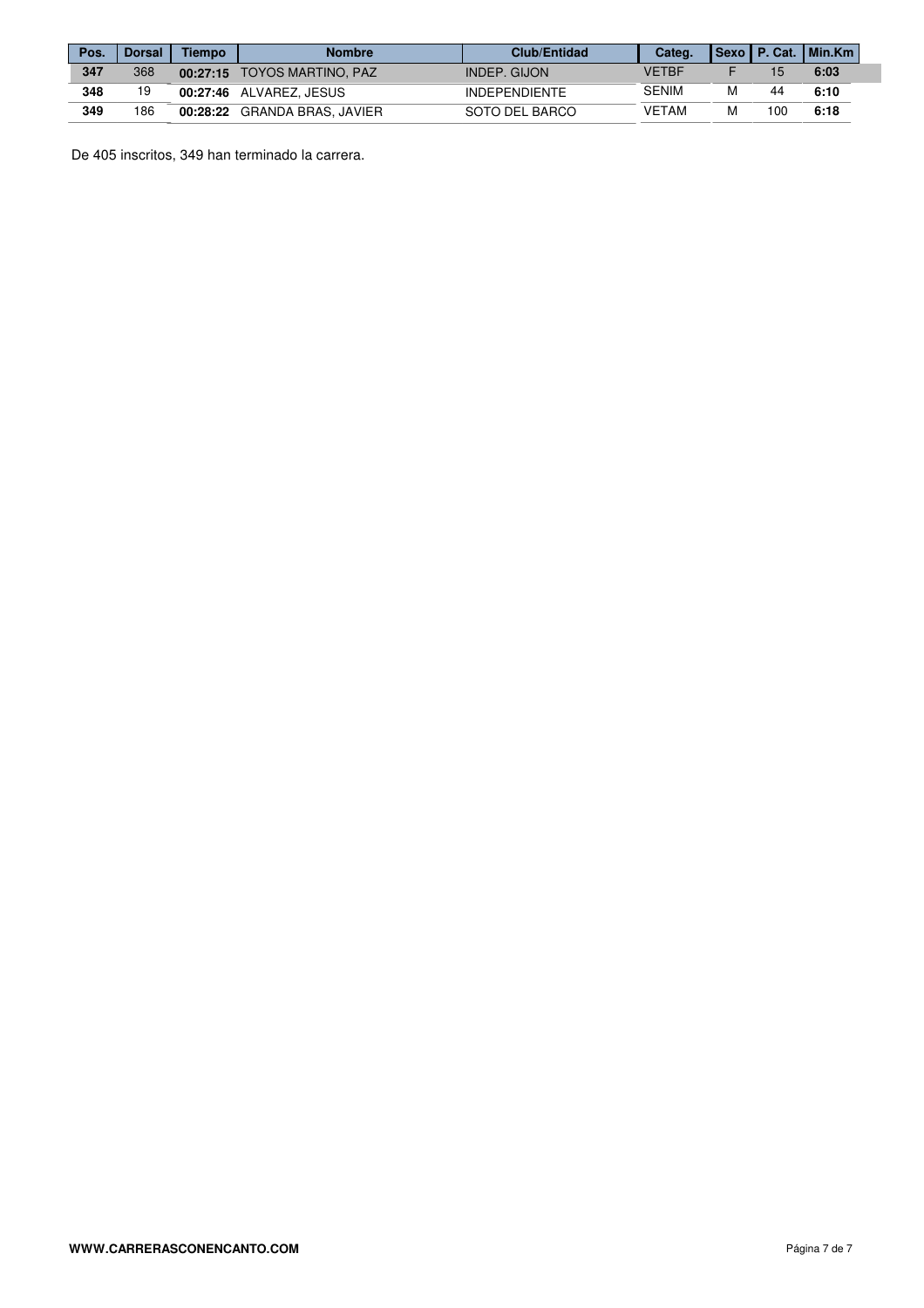| Pos. | <b>Dorsal</b> | <b>Tiempo</b> | <b>Nombre</b>               | <b>Club/Entidad</b>  | Categ.       |    | Sexo    P. Cat.    Min.Km |
|------|---------------|---------------|-----------------------------|----------------------|--------------|----|---------------------------|
| 347  | 368           |               | 00:27:15 TOYOS MARTINO, PAZ | INDEP. GIJON         | VFTRF        |    | 6:03                      |
| 348  | 19            |               | 00:27:46 ALVAREZ. JESUS     | <b>INDEPENDIENTE</b> | <b>SENIM</b> | 44 | 6:10                      |
| 349  | 186           | 00:28:22      | GRANDA BRAS, JAVIER         | SOTO DEL BARCO       | VETAM        | 00 | 6:18                      |

De 405 inscritos, 349 han terminado la carrera.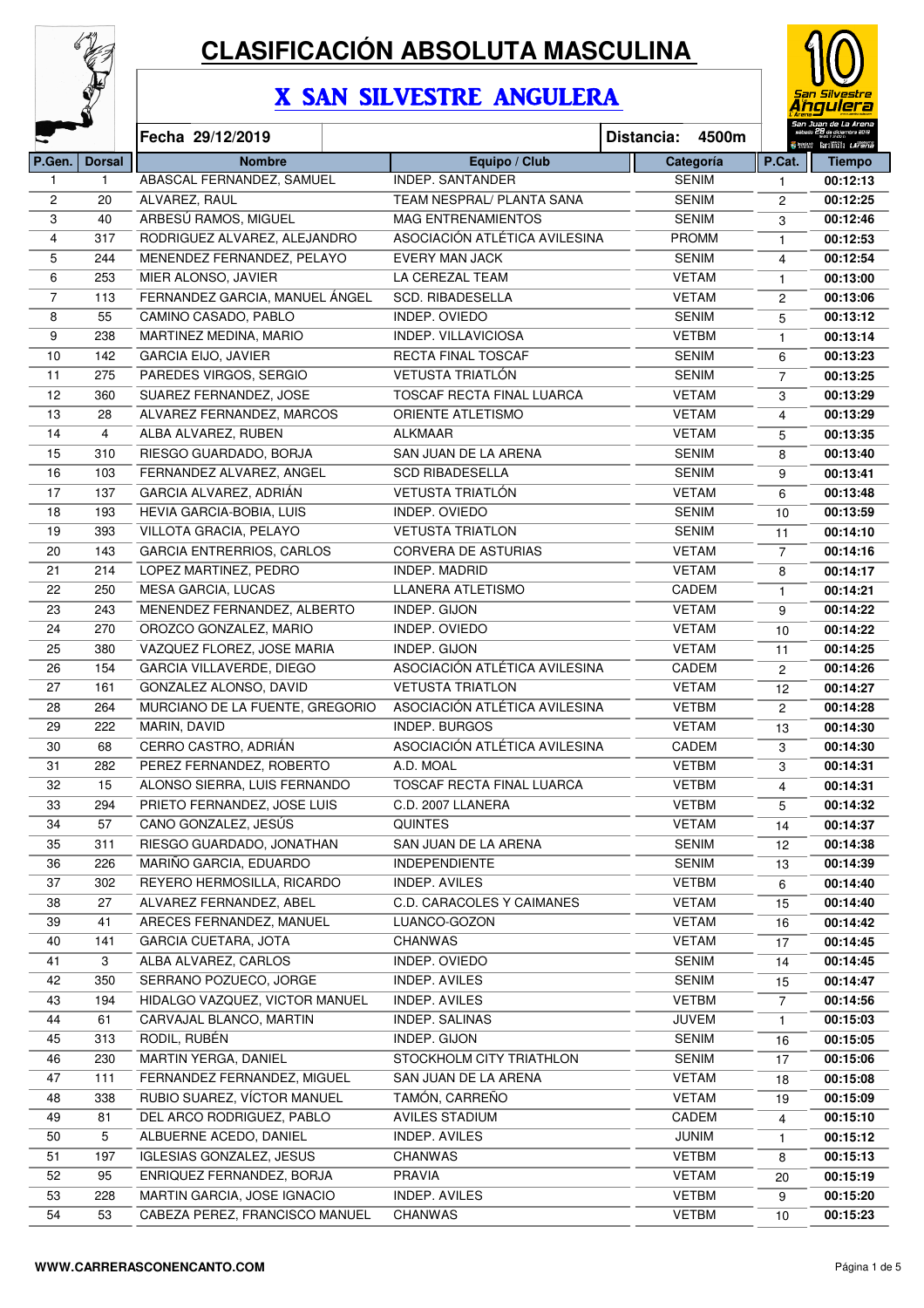

# **CLASIFICACIÓN ABSOLUTA MASCULINA**

## X SAN SILVESTRE ANGULERA



|                |               | Fecha 29/12/2019                 |                                  | 4500m<br>Distancia: |                | Senes landitin <i>Larena</i> |
|----------------|---------------|----------------------------------|----------------------------------|---------------------|----------------|------------------------------|
| P.Gen.         | <b>Dorsal</b> | <b>Nombre</b>                    | Equipo / Club                    | Categoría           | P.Cat.         | <b>Tiempo</b>                |
| $\mathbf{1}$   | 1             | ABASCAL FERNANDEZ, SAMUEL        | INDEP. SANTANDER                 | <b>SENIM</b>        | 1              | 00:12:13                     |
| 2              | 20            | ALVAREZ, RAUL                    | TEAM NESPRAL/ PLANTA SANA        | <b>SENIM</b>        | 2              | 00:12:25                     |
| 3              | 40            | ARBESÚ RAMOS, MIGUEL             | <b>MAG ENTRENAMIENTOS</b>        | <b>SENIM</b>        | 3              | 00:12:46                     |
| 4              | 317           | RODRIGUEZ ALVAREZ, ALEJANDRO     | ASOCIACIÓN ATLÉTICA AVILESINA    | <b>PROMM</b>        | $\mathbf{1}$   | 00:12:53                     |
| 5              | 244           | MENENDEZ FERNANDEZ, PELAYO       | <b>EVERY MAN JACK</b>            | SENIM               | $\overline{4}$ | 00:12:54                     |
| 6              | 253           | MIER ALONSO, JAVIER              | LA CEREZAL TEAM                  | <b>VETAM</b>        | $\mathbf{1}$   | 00:13:00                     |
| $\overline{7}$ | 113           | FERNANDEZ GARCIA, MANUEL ÁNGEL   | <b>SCD. RIBADESELLA</b>          | <b>VETAM</b>        | $\overline{c}$ | 00:13:06                     |
| 8              | 55            | CAMINO CASADO, PABLO             | INDEP. OVIEDO                    | <b>SENIM</b>        | 5              | 00:13:12                     |
| 9              | 238           | MARTINEZ MEDINA, MARIO           | INDEP. VILLAVICIOSA              | <b>VETBM</b>        | $\mathbf{1}$   | 00:13:14                     |
| $10$           | 142           | <b>GARCIA EIJO, JAVIER</b>       | RECTA FINAL TOSCAF               | <b>SENIM</b>        | 6              | 00:13:23                     |
| 11             | 275           | PAREDES VIRGOS, SERGIO           | <b>VETUSTA TRIATLÓN</b>          | <b>SENIM</b>        | $\overline{7}$ | 00:13:25                     |
| 12             | 360           | SUAREZ FERNANDEZ, JOSE           | TOSCAF RECTA FINAL LUARCA        | <b>VETAM</b>        | 3              | 00:13:29                     |
| 13             | 28            | ALVAREZ FERNANDEZ, MARCOS        | ORIENTE ATLETISMO                | <b>VETAM</b>        | 4              | 00:13:29                     |
| 14             | 4             | ALBA ALVAREZ, RUBEN              | ALKMAAR                          | <b>VETAM</b>        | 5              | 00:13:35                     |
| 15             | 310           | RIESGO GUARDADO, BORJA           | SAN JUAN DE LA ARENA             | SENIM               | 8              | 00:13:40                     |
| 16             | 103           | FERNANDEZ ALVAREZ, ANGEL         | <b>SCD RIBADESELLA</b>           | <b>SENIM</b>        | 9              | 00:13:41                     |
| 17             | 137           | GARCIA ALVAREZ, ADRIÁN           | <b>VETUSTA TRIATLÓN</b>          | <b>VETAM</b>        | 6              | 00:13:48                     |
| 18             | 193           | HEVIA GARCIA-BOBIA, LUIS         | INDEP. OVIEDO                    | <b>SENIM</b>        | 10             | 00:13:59                     |
| 19             | 393           | VILLOTA GRACIA, PELAYO           | <b>VETUSTA TRIATLON</b>          | <b>SENIM</b>        | 11             | 00:14:10                     |
| 20             | 143           | <b>GARCIA ENTRERRIOS, CARLOS</b> | <b>CORVERA DE ASTURIAS</b>       | <b>VETAM</b>        | $\overline{7}$ | 00:14:16                     |
| 21             | 214           | LOPEZ MARTINEZ, PEDRO            | INDEP. MADRID                    | <b>VETAM</b>        | 8              | 00:14:17                     |
| 22             | 250           | MESA GARCIA, LUCAS               | LLANERA ATLETISMO                | CADEM               | 1              | 00:14:21                     |
| 23             | 243           | MENENDEZ FERNANDEZ, ALBERTO      | INDEP. GIJON                     | <b>VETAM</b>        | 9              | 00:14:22                     |
| 24             | 270           | OROZCO GONZALEZ, MARIO           | INDEP. OVIEDO                    | <b>VETAM</b>        | 10             | 00:14:22                     |
| 25             | 380           | VAZQUEZ FLOREZ, JOSE MARIA       | INDEP. GIJON                     | <b>VETAM</b>        | 11             | 00:14:25                     |
| 26             | 154           | GARCIA VILLAVERDE, DIEGO         | ASOCIACIÓN ATLÉTICA AVILESINA    | CADEM               | $\overline{c}$ | 00:14:26                     |
| 27             | 161           | GONZALEZ ALONSO, DAVID           | <b>VETUSTA TRIATLON</b>          | <b>VETAM</b>        | 12             | 00:14:27                     |
| 28             | 264           | MURCIANO DE LA FUENTE, GREGORIO  | ASOCIACIÓN ATLÉTICA AVILESINA    | <b>VETBM</b>        | $\overline{c}$ | 00:14:28                     |
| 29             | 222           | MARIN, DAVID                     | INDEP. BURGOS                    | <b>VETAM</b>        | 13             | 00:14:30                     |
| 30             | 68            | CERRO CASTRO, ADRIÁN             | ASOCIACIÓN ATLÉTICA AVILESINA    | CADEM               | 3              | 00:14:30                     |
| 31             | 282           | PEREZ FERNANDEZ, ROBERTO         | A.D. MOAL                        | <b>VETBM</b>        | 3              | 00:14:31                     |
| 32             | 15            | ALONSO SIERRA, LUIS FERNANDO     | TOSCAF RECTA FINAL LUARCA        | <b>VETBM</b>        | $\overline{4}$ | 00:14:31                     |
| 33             | 294           | PRIETO FERNANDEZ, JOSE LUIS      | C.D. 2007 LLANERA                | <b>VETBM</b>        | 5              | 00:14:32                     |
| 34             | 57            | CANO GONZALEZ, JESÚS             | <b>QUINTES</b>                   | <b>VETAM</b>        | 14             | 00:14:37                     |
| 35             | 311           | RIESGO GUARDADO, JONATHAN        | SAN JUAN DE LA ARENA             | SENIM               | 12             | 00:14:38                     |
| 36             | 226           | MARIÑO GARCIA, EDUARDO           | <b>INDEPENDIENTE</b>             | SENIM               | 13             | 00:14:39                     |
| 37             | 302           | REYERO HERMOSILLA, RICARDO       | INDEP. AVILES                    | <b>VETBM</b>        | 6              | 00:14:40                     |
| 38             | 27            | ALVAREZ FERNANDEZ, ABEL          | <b>C.D. CARACOLES Y CAIMANES</b> | <b>VETAM</b>        | 15             | 00:14:40                     |
| 39             | 41            | ARECES FERNANDEZ, MANUEL         | LUANCO-GOZON                     | <b>VETAM</b>        | 16             | 00:14:42                     |
| 40             | 141           | <b>GARCIA CUETARA, JOTA</b>      | CHANWAS                          | <b>VETAM</b>        | 17             | 00:14:45                     |
| 41             | 3             | ALBA ALVAREZ, CARLOS             | INDEP. OVIEDO                    | SENIM               | 14             | 00:14:45                     |
| 42             | 350           | SERRANO POZUECO, JORGE           | INDEP. AVILES                    | SENIM               | 15             | 00:14:47                     |
| 43             | 194           | HIDALGO VAZQUEZ, VICTOR MANUEL   | INDEP. AVILES                    | <b>VETBM</b>        | 7              | 00:14:56                     |
| 44             | 61            | CARVAJAL BLANCO, MARTIN          | INDEP. SALINAS                   | <b>JUVEM</b>        | 1              | 00:15:03                     |
| 45             | 313           | RODIL, RUBÉN                     | INDEP. GIJON                     | SENIM               | 16             | 00:15:05                     |
| 46             | 230           | MARTIN YERGA, DANIEL             | STOCKHOLM CITY TRIATHLON         | SENIM               | 17             | 00:15:06                     |
| 47             | 111           | FERNANDEZ FERNANDEZ, MIGUEL      | SAN JUAN DE LA ARENA             | <b>VETAM</b>        | 18             | 00:15:08                     |
| 48             | 338           | RUBIO SUAREZ, VÍCTOR MANUEL      | TAMÓN, CARREÑO                   | <b>VETAM</b>        | 19             | 00:15:09                     |
| 49             | 81            | DEL ARCO RODRIGUEZ, PABLO        | AVILES STADIUM                   | CADEM               | 4              | 00:15:10                     |
| 50             | 5             | ALBUERNE ACEDO, DANIEL           | INDEP. AVILES                    | <b>JUNIM</b>        | 1              | 00:15:12                     |
| 51             | 197           | <b>IGLESIAS GONZALEZ, JESUS</b>  | <b>CHANWAS</b>                   | <b>VETBM</b>        | 8              | 00:15:13                     |
| 52             | 95            | ENRIQUEZ FERNANDEZ, BORJA        | <b>PRAVIA</b>                    | <b>VETAM</b>        | 20             | 00:15:19                     |
| 53             | 228           | MARTIN GARCIA, JOSE IGNACIO      | INDEP. AVILES                    | <b>VETBM</b>        | 9              | 00:15:20                     |
| 54             | 53            | CABEZA PEREZ, FRANCISCO MANUEL   | <b>CHANWAS</b>                   | <b>VETBM</b>        | 10             | 00:15:23                     |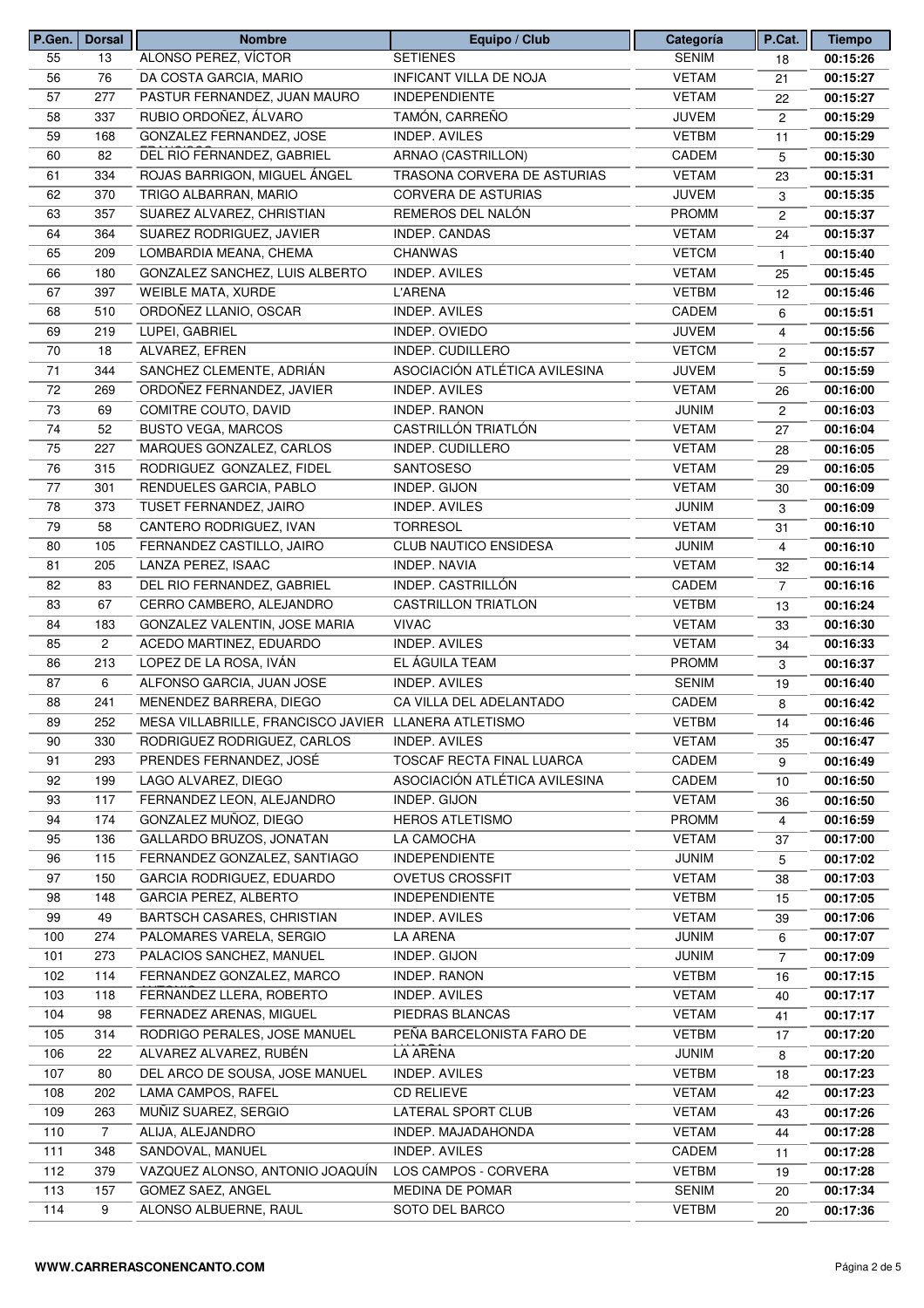| P.Gen. | Dorsal         | <b>Nombre</b>                                        | Equipo / Club                 | Categoría    | P.Cat.         | <b>Tiempo</b>        |
|--------|----------------|------------------------------------------------------|-------------------------------|--------------|----------------|----------------------|
| 55     | 13             | ALONSO PEREZ, VÍCTOR                                 | <b>SETIENES</b>               | <b>SENIM</b> | 18             | 00:15:26             |
| 56     | 76             | DA COSTA GARCIA, MARIO                               | INFICANT VILLA DE NOJA        | <b>VETAM</b> | 21             | 00:15:27             |
| 57     | 277            | PASTUR FERNANDEZ, JUAN MAURO                         | <b>INDEPENDIENTE</b>          | <b>VETAM</b> | 22             | 00:15:27             |
| 58     | 337            | RUBIO ORDOÑEZ, ÁLVARO                                | TAMÓN, CARREÑO                | <b>JUVEM</b> | 2              | 00:15:29             |
| 59     | 168            | GONZALEZ FERNANDEZ, JOSE                             | INDEP. AVILES                 | <b>VETBM</b> | 11             | 00:15:29             |
| 60     | 82             | DEL RIO FERNANDEZ, GABRIEL                           | ARNAO (CASTRILLON)            | CADEM        | 5              | 00:15:30             |
| 61     | 334            | ROJAS BARRIGON, MIGUEL ÁNGEL                         | TRASONA CORVERA DE ASTURIAS   | <b>VETAM</b> | 23             | 00:15:31             |
| 62     | 370            | TRIGO ALBARRAN, MARIO                                | <b>CORVERA DE ASTURIAS</b>    | <b>JUVEM</b> | 3              | 00:15:35             |
| 63     | 357            | SUAREZ ALVAREZ, CHRISTIAN                            | REMEROS DEL NALÓN             | <b>PROMM</b> | $\overline{2}$ | 00:15:37             |
| 64     | 364            | SUAREZ RODRIGUEZ, JAVIER                             | INDEP. CANDAS                 | <b>VETAM</b> | 24             | 00:15:37             |
| 65     | 209            | LOMBARDIA MEANA, CHEMA                               | <b>CHANWAS</b>                | <b>VETCM</b> | $\mathbf{1}$   | 00:15:40             |
| 66     | 180            | GONZALEZ SANCHEZ, LUIS ALBERTO                       | INDEP. AVILES                 | <b>VETAM</b> | 25             | 00:15:45             |
| 67     | 397            | WEIBLE MATA, XURDE                                   | <b>L'ARENA</b>                | <b>VETBM</b> | 12             | 00:15:46             |
| 68     | 510            | ORDOÑEZ LLANIO, OSCAR                                | INDEP. AVILES                 | CADEM        | 6              | 00:15:51             |
| 69     | 219            | LUPEI, GABRIEL                                       | INDEP. OVIEDO                 | <b>JUVEM</b> |                | 00:15:56             |
| 70     | 18             | ALVAREZ, EFREN                                       | INDEP. CUDILLERO              | <b>VETCM</b> | 4              |                      |
|        |                |                                                      |                               |              | 2              | 00:15:57             |
| 71     | 344            | SANCHEZ CLEMENTE, ADRIÁN                             | ASOCIACIÓN ATLÉTICA AVILESINA | <b>JUVEM</b> | 5              | 00:15:59             |
| 72     | 269            | ORDOÑEZ FERNANDEZ, JAVIER                            | <b>INDEP. AVILES</b>          | <b>VETAM</b> | 26             | 00:16:00             |
| 73     | 69             | COMITRE COUTO, DAVID                                 | INDEP. RANON                  | <b>JUNIM</b> | $\overline{2}$ | 00:16:03             |
| 74     | 52             | <b>BUSTO VEGA, MARCOS</b>                            | CASTRILLÓN TRIATLÓN           | <b>VETAM</b> | 27             | 00:16:04             |
| 75     | 227            | MARQUES GONZALEZ, CARLOS                             | INDEP. CUDILLERO              | <b>VETAM</b> | 28             | 00:16:05             |
| 76     | 315            | RODRIGUEZ GONZALEZ, FIDEL                            | SANTOSESO                     | <b>VETAM</b> | 29             | 00:16:05             |
| 77     | 301            | RENDUELES GARCIA, PABLO                              | <b>INDEP. GIJON</b>           | <b>VETAM</b> | 30             | 00:16:09             |
| 78     | 373            | TUSET FERNANDEZ, JAIRO                               | INDEP. AVILES                 | <b>JUNIM</b> | 3              | 00:16:09             |
| 79     | 58             | CANTERO RODRIGUEZ, IVAN                              | <b>TORRESOL</b>               | <b>VETAM</b> | 31             | 00:16:10             |
| 80     | 105            | FERNANDEZ CASTILLO, JAIRO                            | <b>CLUB NAUTICO ENSIDESA</b>  | <b>JUNIM</b> | 4              | 00:16:10             |
| 81     | 205            | LANZA PEREZ, ISAAC                                   | <b>INDEP. NAVIA</b>           | <b>VETAM</b> | 32             | 00:16:14             |
| 82     | 83             | DEL RIO FERNANDEZ, GABRIEL                           | INDEP. CASTRILLÓN             | CADEM        | $\overline{7}$ | 00:16:16             |
| 83     | 67             | CERRO CAMBERO, ALEJANDRO                             | <b>CASTRILLON TRIATLON</b>    | <b>VETBM</b> | 13             | 00:16:24             |
| 84     | 183            | GONZALEZ VALENTIN, JOSE MARIA                        | <b>VIVAC</b>                  | <b>VETAM</b> | 33             | 00:16:30             |
| 85     | $\overline{c}$ | ACEDO MARTINEZ, EDUARDO                              | INDEP. AVILES                 | <b>VETAM</b> | 34             | 00:16:33             |
| 86     | 213            | LOPEZ DE LA ROSA, IVÁN                               | EL ÁGUILA TEAM                | <b>PROMM</b> | 3              | 00:16:37             |
| 87     | 6              | ALFONSO GARCIA, JUAN JOSE                            | <b>INDEP. AVILES</b>          | <b>SENIM</b> | 19             | 00:16:40             |
| 88     | 241            | MENENDEZ BARRERA, DIEGO                              | CA VILLA DEL ADELANTADO       | CADEM        | 8              | 00:16:42             |
| 89     | 252            | MESA VILLABRILLE, FRANCISCO JAVIER LLANERA ATLETISMO |                               | VETBM        | 14             | 00:16:46             |
| 90     | 330            | RODRIGUEZ RODRIGUEZ, CARLOS                          | <b>INDEP. AVILES</b>          | <b>VETAM</b> | 35             | 00:16:47             |
| 91     | 293            | PRENDES FERNANDEZ, JOSÉ                              | TOSCAF RECTA FINAL LUARCA     | CADEM        | 9              | 00:16:49             |
| 92     | 199            | LAGO ALVAREZ, DIEGO                                  | ASOCIACIÓN ATLÉTICA AVILESINA | CADEM        | 10             | 00:16:50             |
| 93     | 117            | FERNANDEZ LEON, ALEJANDRO                            | INDEP. GIJON                  | <b>VETAM</b> | 36             | 00:16:50             |
| 94     | 174            | GONZALEZ MUÑOZ, DIEGO                                | <b>HEROS ATLETISMO</b>        | PROMM        | 4              | 00:16:59             |
| 95     | 136            | GALLARDO BRUZOS, JONATAN                             | LA CAMOCHA                    | <b>VETAM</b> | 37             | 00:17:00             |
| 96     | 115            | FERNANDEZ GONZALEZ, SANTIAGO                         | <b>INDEPENDIENTE</b>          | <b>JUNIM</b> |                |                      |
|        |                | GARCIA RODRIGUEZ, EDUARDO                            | <b>OVETUS CROSSFIT</b>        |              | 5              | 00:17:02<br>00:17:03 |
| 97     | 150            |                                                      |                               | <b>VETAM</b> | 38             |                      |
| 98     | 148            | GARCIA PEREZ, ALBERTO                                | <b>INDEPENDIENTE</b>          | <b>VETBM</b> | 15             | 00:17:05             |
| 99     | 49             | BARTSCH CASARES, CHRISTIAN                           | INDEP. AVILES                 | <b>VETAM</b> | 39             | 00:17:06             |
| 100    | 274            | PALOMARES VARELA, SERGIO                             | LA ARENA                      | <b>JUNIM</b> | 6              | 00:17:07             |
| 101    | 273            | PALACIOS SANCHEZ, MANUEL                             | INDEP. GIJON                  | <b>JUNIM</b> | 7              | 00:17:09             |
| 102    | 114            | FERNANDEZ GONZALEZ, MARCO                            | INDEP. RANON                  | <b>VETBM</b> | 16             | 00:17:15             |
| 103    | 118            | FERNANDEZ LLERA, ROBERTO                             | <b>INDEP. AVILES</b>          | <b>VETAM</b> | 40             | 00:17:17             |
| 104    | 98             | FERNADEZ ARENAS, MIGUEL                              | PIEDRAS BLANCAS               | <b>VETAM</b> | 41             | 00:17:17             |
| 105    | 314            | RODRIGO PERALES, JOSE MANUEL                         | PEÑA BARCELONISTA FARO DE     | <b>VETBM</b> | 17             | 00:17:20             |
| 106    | 22             | ALVAREZ ALVAREZ, RUBÉN                               | <b>LA ARENA</b>               | <b>JUNIM</b> | 8              | 00:17:20             |
| 107    | 80             | DEL ARCO DE SOUSA, JOSE MANUEL                       | INDEP. AVILES                 | <b>VETBM</b> | 18             | 00:17:23             |
| 108    | 202            | LAMA CAMPOS, RAFEL                                   | <b>CD RELIEVE</b>             | <b>VETAM</b> | 42             | 00:17:23             |
| 109    | 263            | MUÑIZ SUAREZ, SERGIO                                 | LATERAL SPORT CLUB            | <b>VETAM</b> | 43             | 00:17:26             |
| 110    | $\overline{7}$ | ALIJA, ALEJANDRO                                     | INDEP. MAJADAHONDA            | <b>VETAM</b> | 44             | 00:17:28             |
| 111    | 348            | SANDOVAL, MANUEL                                     | INDEP. AVILES                 | CADEM        | 11             | 00:17:28             |
| 112    | 379            | VAZQUEZ ALONSO, ANTONIO JOAQUÍN                      | LOS CAMPOS - CORVERA          | <b>VETBM</b> | 19             | 00:17:28             |
| 113    | 157            | GOMEZ SAEZ, ANGEL                                    | MEDINA DE POMAR               | SENIM        | 20             | 00:17:34             |
| 114    | 9              | ALONSO ALBUERNE, RAUL                                | SOTO DEL BARCO                | <b>VETBM</b> | 20             | 00:17:36             |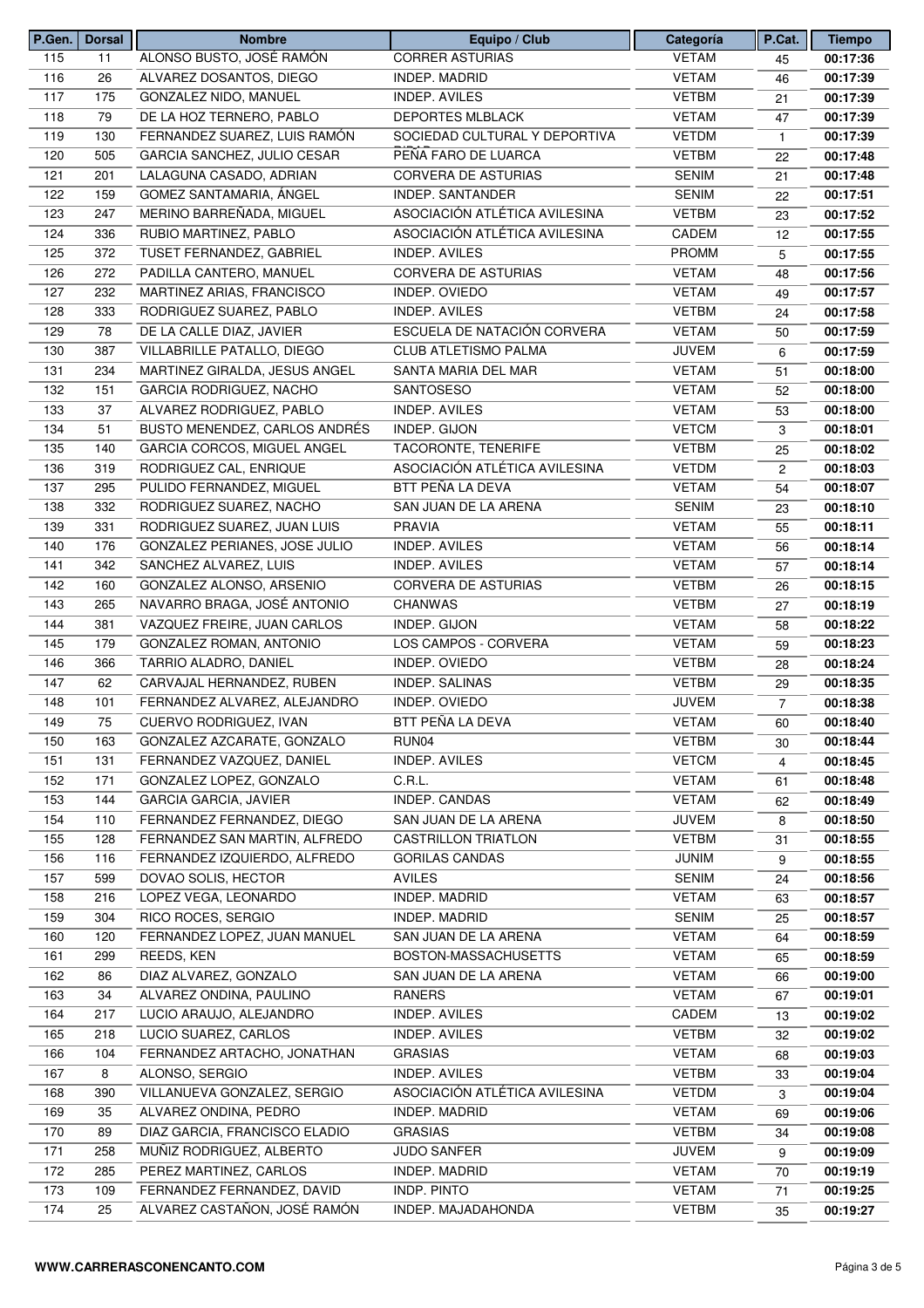| P.Gen. | <b>Dorsal</b> | <b>Nombre</b>                  | Equipo / Club                 | Categoría    | P.Cat.         | <b>Tiempo</b> |
|--------|---------------|--------------------------------|-------------------------------|--------------|----------------|---------------|
| 115    | 11            | ALONSO BUSTO, JOSÉ RAMÓN       | <b>CORRER ASTURIAS</b>        | <b>VETAM</b> | 45             | 00:17:36      |
| 116    | 26            | ALVAREZ DOSANTOS, DIEGO        | <b>INDEP. MADRID</b>          | <b>VETAM</b> | 46             | 00:17:39      |
| 117    | 175           | <b>GONZALEZ NIDO, MANUEL</b>   | INDEP. AVILES                 | <b>VETBM</b> | 21             | 00:17:39      |
| 118    | 79            | DE LA HOZ TERNERO, PABLO       | <b>DEPORTES MLBLACK</b>       | <b>VETAM</b> | 47             | 00:17:39      |
| 119    | 130           | FERNANDEZ SUAREZ, LUIS RAMÓN   | SOCIEDAD CULTURAL Y DEPORTIVA | <b>VETDM</b> | 1              | 00:17:39      |
| 120    | 505           | GARCIA SANCHEZ, JULIO CESAR    | PEÑA FARO DE LUARCA           | <b>VETBM</b> | 22             | 00:17:48      |
| 121    | 201           | LALAGUNA CASADO, ADRIAN        | <b>CORVERA DE ASTURIAS</b>    | <b>SENIM</b> | 21             | 00:17:48      |
| 122    | 159           | GOMEZ SANTAMARIA, ÁNGEL        | INDEP. SANTANDER              | <b>SENIM</b> | 22             | 00:17:51      |
| 123    | 247           | MERINO BARREÑADA, MIGUEL       | ASOCIACIÓN ATLÉTICA AVILESINA | <b>VETBM</b> | 23             | 00:17:52      |
| 124    | 336           | RUBIO MARTINEZ, PABLO          | ASOCIACIÓN ATLÉTICA AVILESINA | CADEM        | 12             | 00:17:55      |
| 125    | 372           | TUSET FERNANDEZ, GABRIEL       | INDEP. AVILES                 | <b>PROMM</b> | 5              | 00:17:55      |
| 126    | 272           | PADILLA CANTERO, MANUEL        | CORVERA DE ASTURIAS           | <b>VETAM</b> | 48             | 00:17:56      |
| 127    | 232           | MARTINEZ ARIAS, FRANCISCO      | INDEP. OVIEDO                 | <b>VETAM</b> |                | 00:17:57      |
| 128    | 333           | RODRIGUEZ SUAREZ, PABLO        | INDEP. AVILES                 | <b>VETBM</b> | 49             | 00:17:58      |
|        |               |                                |                               |              | 24             |               |
| 129    | 78            | DE LA CALLE DIAZ, JAVIER       | ESCUELA DE NATACIÓN CORVERA   | <b>VETAM</b> | 50             | 00:17:59      |
| 130    | 387           | VILLABRILLE PATALLO, DIEGO     | <b>CLUB ATLETISMO PALMA</b>   | <b>JUVEM</b> | 6              | 00:17:59      |
| 131    | 234           | MARTINEZ GIRALDA, JESUS ANGEL  | SANTA MARIA DEL MAR           | <b>VETAM</b> | 51             | 00:18:00      |
| 132    | 151           | <b>GARCIA RODRIGUEZ, NACHO</b> | SANTOSESO                     | <b>VETAM</b> | 52             | 00:18:00      |
| 133    | 37            | ALVAREZ RODRIGUEZ, PABLO       | INDEP. AVILES                 | <b>VETAM</b> | 53             | 00:18:00      |
| 134    | 51            | BUSTO MENENDEZ, CARLOS ANDRÉS  | INDEP. GIJON                  | <b>VETCM</b> | 3              | 00:18:01      |
| 135    | 140           | GARCIA CORCOS, MIGUEL ANGEL    | TACORONTE, TENERIFE           | <b>VETBM</b> | 25             | 00:18:02      |
| 136    | 319           | RODRIGUEZ CAL, ENRIQUE         | ASOCIACIÓN ATLÉTICA AVILESINA | <b>VETDM</b> | 2              | 00:18:03      |
| 137    | 295           | PULIDO FERNANDEZ, MIGUEL       | BTT PEÑA LA DEVA              | <b>VETAM</b> | 54             | 00:18:07      |
| 138    | 332           | RODRIGUEZ SUAREZ, NACHO        | SAN JUAN DE LA ARENA          | <b>SENIM</b> | 23             | 00:18:10      |
| 139    | 331           | RODRIGUEZ SUAREZ, JUAN LUIS    | <b>PRAVIA</b>                 | <b>VETAM</b> | 55             | 00:18:11      |
| 140    | 176           | GONZALEZ PERIANES, JOSE JULIO  | INDEP. AVILES                 | <b>VETAM</b> | 56             | 00:18:14      |
| 141    | 342           | SANCHEZ ALVAREZ, LUIS          | INDEP. AVILES                 | <b>VETAM</b> | 57             | 00:18:14      |
| 142    | 160           | GONZALEZ ALONSO, ARSENIO       | <b>CORVERA DE ASTURIAS</b>    | <b>VETBM</b> | 26             | 00:18:15      |
| 143    | 265           | NAVARRO BRAGA, JOSÉ ANTONIO    | <b>CHANWAS</b>                | <b>VETBM</b> | 27             | 00:18:19      |
| 144    | 381           | VAZQUEZ FREIRE, JUAN CARLOS    | INDEP. GIJON                  | <b>VETAM</b> | 58             | 00:18:22      |
| 145    | 179           | GONZALEZ ROMAN, ANTONIO        | LOS CAMPOS - CORVERA          | <b>VETAM</b> | 59             | 00:18:23      |
| 146    | 366           | TARRIO ALADRO, DANIEL          | INDEP. OVIEDO                 | <b>VETBM</b> | 28             | 00:18:24      |
| 147    | 62            | CARVAJAL HERNANDEZ, RUBEN      | INDEP. SALINAS                | <b>VETBM</b> | 29             | 00:18:35      |
| 148    | 101           | FERNANDEZ ALVAREZ, ALEJANDRO   | INDEP. OVIEDO                 | <b>JUVEM</b> | $\overline{7}$ | 00:18:38      |
| 149    | 75            | CUERVO RODRIGUEZ, IVAN         | BTT PEÑA LA DEVA              | <b>VETAM</b> |                |               |
|        |               |                                |                               |              | 60             | 00:18:40      |
| 150    | 163           | GONZALEZ AZCARATE, GONZALO     | RUN04                         | <b>VETBM</b> | 30             | 00:18:44      |
| 151    | 131           | FERNANDEZ VAZQUEZ, DANIEL      | INDEP. AVILES                 | <b>VETCM</b> | 4              | 00:18:45      |
| 152    | 171           | GONZALEZ LOPEZ, GONZALO        | C.R.L.                        | <b>VETAM</b> | 61             | 00:18:48      |
| 153    | 144           | <b>GARCIA GARCIA, JAVIER</b>   | INDEP. CANDAS                 | <b>VETAM</b> | 62             | 00:18:49      |
| 154    | 110           | FERNANDEZ FERNANDEZ, DIEGO     | SAN JUAN DE LA ARENA          | <b>JUVEM</b> | 8              | 00:18:50      |
| 155    | 128           | FERNANDEZ SAN MARTIN, ALFREDO  | <b>CASTRILLON TRIATLON</b>    | <b>VETBM</b> | 31             | 00:18:55      |
| 156    | 116           | FERNANDEZ IZQUIERDO, ALFREDO   | <b>GORILAS CANDAS</b>         | <b>JUNIM</b> | 9              | 00:18:55      |
| 157    | 599           | DOVAO SOLIS, HECTOR            | <b>AVILES</b>                 | <b>SENIM</b> | 24             | 00:18:56      |
| 158    | 216           | LOPEZ VEGA, LEONARDO           | INDEP. MADRID                 | <b>VETAM</b> | 63             | 00:18:57      |
| 159    | 304           | RICO ROCES, SERGIO             | INDEP. MADRID                 | <b>SENIM</b> | 25             | 00:18:57      |
| 160    | 120           | FERNANDEZ LOPEZ, JUAN MANUEL   | SAN JUAN DE LA ARENA          | <b>VETAM</b> | 64             | 00:18:59      |
| 161    | 299           | REEDS, KEN                     | BOSTON-MASSACHUSETTS          | <b>VETAM</b> | 65             | 00:18:59      |
| 162    | 86            | DIAZ ALVAREZ, GONZALO          | SAN JUAN DE LA ARENA          | <b>VETAM</b> | 66             | 00:19:00      |
| 163    | 34            | ALVAREZ ONDINA, PAULINO        | RANERS                        | <b>VETAM</b> | 67             | 00:19:01      |
| 164    | 217           | LUCIO ARAUJO, ALEJANDRO        | INDEP. AVILES                 | CADEM        | 13             | 00:19:02      |
| 165    | 218           | LUCIO SUAREZ, CARLOS           | INDEP. AVILES                 | <b>VETBM</b> | 32             | 00:19:02      |
| 166    | 104           | FERNANDEZ ARTACHO, JONATHAN    | <b>GRASIAS</b>                | <b>VETAM</b> | 68             | 00:19:03      |
| 167    | 8             | ALONSO, SERGIO                 | INDEP. AVILES                 | <b>VETBM</b> | 33             | 00:19:04      |
| 168    | 390           | VILLANUEVA GONZALEZ, SERGIO    | ASOCIACIÓN ATLÉTICA AVILESINA | <b>VETDM</b> | 3              | 00:19:04      |
| 169    | 35            | ALVAREZ ONDINA, PEDRO          | <b>INDEP. MADRID</b>          | <b>VETAM</b> | 69             | 00:19:06      |
| 170    | 89            | DIAZ GARCIA, FRANCISCO ELADIO  | <b>GRASIAS</b>                | <b>VETBM</b> |                | 00:19:08      |
| 171    | 258           | MUÑIZ RODRIGUEZ, ALBERTO       | JUDO SANFER                   | <b>JUVEM</b> | 34             |               |
|        |               |                                |                               |              | 9              | 00:19:09      |
| 172    | 285           | PEREZ MARTINEZ, CARLOS         | INDEP. MADRID                 | <b>VETAM</b> | 70             | 00:19:19      |
| 173    | 109           | FERNANDEZ FERNANDEZ, DAVID     | <b>INDP. PINTO</b>            | <b>VETAM</b> | 71             | 00:19:25      |
| 174    | 25            | ALVAREZ CASTAÑON, JOSÉ RAMÓN   | INDEP. MAJADAHONDA            | <b>VETBM</b> | 35             | 00:19:27      |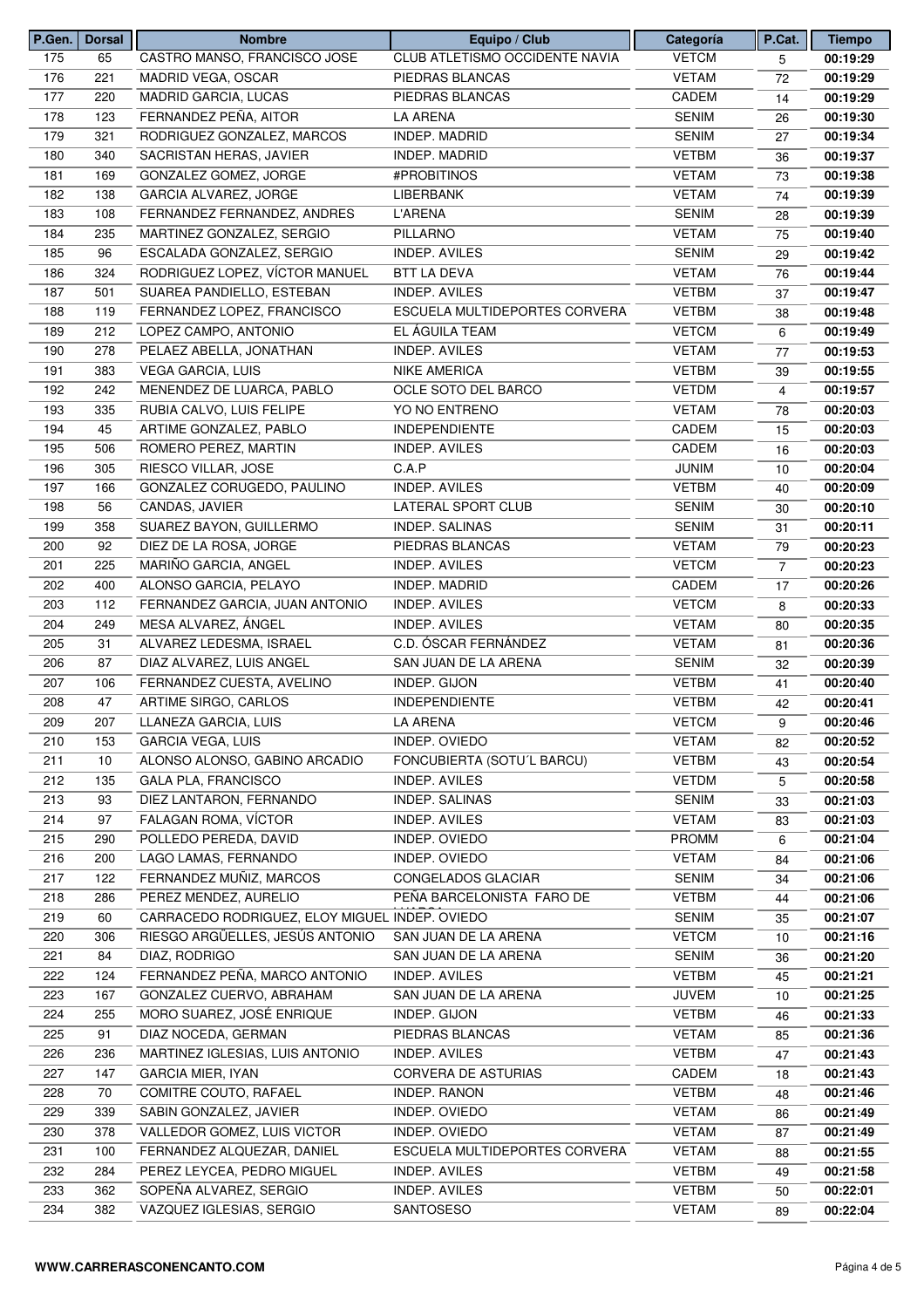| P.Gen. | Dorsal | <b>Nombre</b>                                  | Equipo / Club                  | Categoría    | P.Cat.         | <b>Tiempo</b> |
|--------|--------|------------------------------------------------|--------------------------------|--------------|----------------|---------------|
| 175    | 65     | CASTRO MANSO, FRANCISCO JOSE                   | CLUB ATLETISMO OCCIDENTE NAVIA | <b>VETCM</b> | 5              | 00:19:29      |
| 176    | 221    | MADRID VEGA, OSCAR                             | PIEDRAS BLANCAS                | <b>VETAM</b> | 72             | 00:19:29      |
| 177    | 220    | MADRID GARCIA, LUCAS                           | PIEDRAS BLANCAS                | CADEM        | 14             | 00:19:29      |
| 178    | 123    | FERNANDEZ PEÑA, AITOR                          | <b>LA ARENA</b>                | <b>SENIM</b> | 26             | 00:19:30      |
| 179    | 321    | RODRIGUEZ GONZALEZ, MARCOS                     | INDEP. MADRID                  | <b>SENIM</b> | 27             | 00:19:34      |
| 180    | 340    | SACRISTAN HERAS, JAVIER                        | <b>INDEP. MADRID</b>           | <b>VETBM</b> | 36             | 00:19:37      |
| 181    | 169    | GONZALEZ GOMEZ, JORGE                          | #PROBITINOS                    | <b>VETAM</b> | 73             | 00:19:38      |
| 182    | 138    | <b>GARCIA ALVAREZ, JORGE</b>                   | LIBERBANK                      | <b>VETAM</b> | 74             | 00:19:39      |
| 183    | 108    | FERNANDEZ FERNANDEZ, ANDRES                    | L'ARENA                        | <b>SENIM</b> | 28             | 00:19:39      |
| 184    | 235    | MARTINEZ GONZALEZ, SERGIO                      | PILLARNO                       | <b>VETAM</b> | 75             | 00:19:40      |
| 185    | 96     | ESCALADA GONZALEZ, SERGIO                      | <b>INDEP. AVILES</b>           | <b>SENIM</b> | 29             | 00:19:42      |
| 186    | 324    | RODRIGUEZ LOPEZ, VÍCTOR MANUEL                 | <b>BTT LA DEVA</b>             | <b>VETAM</b> | 76             | 00:19:44      |
| 187    | 501    | SUAREA PANDIELLO, ESTEBAN                      | <b>INDEP. AVILES</b>           | <b>VETBM</b> | 37             | 00:19:47      |
| 188    | 119    | FERNANDEZ LOPEZ, FRANCISCO                     | ESCUELA MULTIDEPORTES CORVERA  | <b>VETBM</b> | 38             | 00:19:48      |
| 189    | 212    | LOPEZ CAMPO, ANTONIO                           | EL ÁGUILA TEAM                 | <b>VETCM</b> |                |               |
|        |        | PELAEZ ABELLA, JONATHAN                        |                                |              | 6              | 00:19:49      |
| 190    | 278    |                                                | <b>INDEP. AVILES</b>           | <b>VETAM</b> | 77             | 00:19:53      |
| 191    | 383    | <b>VEGA GARCIA, LUIS</b>                       | <b>NIKE AMERICA</b>            | <b>VETBM</b> | 39             | 00:19:55      |
| 192    | 242    | MENENDEZ DE LUARCA, PABLO                      | OCLE SOTO DEL BARCO            | <b>VETDM</b> | $\overline{4}$ | 00:19:57      |
| 193    | 335    | RUBIA CALVO, LUIS FELIPE                       | YO NO ENTRENO                  | <b>VETAM</b> | 78             | 00:20:03      |
| 194    | 45     | ARTIME GONZALEZ, PABLO                         | <b>INDEPENDIENTE</b>           | CADEM        | 15             | 00:20:03      |
| 195    | 506    | ROMERO PEREZ, MARTIN                           | INDEP. AVILES                  | CADEM        | 16             | 00:20:03      |
| 196    | 305    | RIESCO VILLAR, JOSE                            | C.A.P                          | <b>JUNIM</b> | 10             | 00:20:04      |
| 197    | 166    | GONZALEZ CORUGEDO, PAULINO                     | INDEP. AVILES                  | <b>VETBM</b> | 40             | 00:20:09      |
| 198    | 56     | CANDAS, JAVIER                                 | LATERAL SPORT CLUB             | <b>SENIM</b> | 30             | 00:20:10      |
| 199    | 358    | SUAREZ BAYON, GUILLERMO                        | INDEP. SALINAS                 | <b>SENIM</b> | 31             | 00:20:11      |
| 200    | 92     | DIEZ DE LA ROSA, JORGE                         | PIEDRAS BLANCAS                | <b>VETAM</b> | 79             | 00:20:23      |
| 201    | 225    | MARIÑO GARCIA, ANGEL                           | INDEP. AVILES                  | <b>VETCM</b> | $\overline{7}$ | 00:20:23      |
| 202    | 400    | ALONSO GARCIA, PELAYO                          | INDEP. MADRID                  | CADEM        | 17             | 00:20:26      |
| 203    | 112    | FERNANDEZ GARCIA, JUAN ANTONIO                 | INDEP. AVILES                  | <b>VETCM</b> | 8              | 00:20:33      |
| 204    | 249    | MESA ALVAREZ, ÁNGEL                            | <b>INDEP. AVILES</b>           | <b>VETAM</b> | 80             | 00:20:35      |
| 205    | 31     | ALVAREZ LEDESMA, ISRAEL                        | C.D. ÓSCAR FERNÁNDEZ           | <b>VETAM</b> | 81             | 00:20:36      |
| 206    | 87     | DIAZ ALVAREZ, LUIS ANGEL                       | SAN JUAN DE LA ARENA           | <b>SENIM</b> | 32             | 00:20:39      |
| 207    | 106    | FERNANDEZ CUESTA, AVELINO                      | INDEP. GIJON                   | <b>VETBM</b> | 41             | 00:20:40      |
| 208    | 47     | ARTIME SIRGO, CARLOS                           | <b>INDEPENDIENTE</b>           | <b>VETBM</b> | 42             | 00:20:41      |
| 209    | 207    | LLANEZA GARCIA, LUIS                           | LA ARENA                       | <b>VETCM</b> | 9              | 00:20:46      |
| 210    | 153    | <b>GARCIA VEGA, LUIS</b>                       | INDEP. OVIEDO                  | <b>VETAM</b> | 82             | 00:20:52      |
| 211    | 10     | ALONSO ALONSO, GABINO ARCADIO                  | FONCUBIERTA (SOTU'L BARCU)     | <b>VETBM</b> |                | 00:20:54      |
| 212    | 135    | GALA PLA, FRANCISCO                            | INDEP. AVILES                  | <b>VETDM</b> | 43             | 00:20:58      |
|        |        |                                                |                                |              | 5              |               |
| 213    | 93     | DIEZ LANTARON, FERNANDO                        | INDEP. SALINAS                 | SENIM        | 33             | 00:21:03      |
| 214    | 97     | FALAGAN ROMA, VÍCTOR                           | INDEP. AVILES                  | <b>VETAM</b> | 83             | 00:21:03      |
| 215    | 290    | POLLEDO PEREDA, DAVID                          | INDEP. OVIEDO                  | <b>PROMM</b> | 6              | 00:21:04      |
| 216    | 200    | LAGO LAMAS, FERNANDO                           | INDEP. OVIEDO                  | <b>VETAM</b> | 84             | 00:21:06      |
| 217    | 122    | FERNANDEZ MUÑIZ, MARCOS                        | CONGELADOS GLACIAR             | <b>SENIM</b> | 34             | 00:21:06      |
| 218    | 286    | PEREZ MENDEZ, AURELIO                          | PEÑA BARCELONISTA FARO DE      | <b>VETBM</b> | 44             | 00:21:06      |
| 219    | 60     | CARRACEDO RODRIGUEZ, ELOY MIGUEL INDEP. OVIEDO |                                | <b>SENIM</b> | 35             | 00:21:07      |
| 220    | 306    | RIESGO ARGÜELLES, JESÚS ANTONIO                | SAN JUAN DE LA ARENA           | <b>VETCM</b> | 10             | 00:21:16      |
| 221    | 84     | DIAZ, RODRIGO                                  | SAN JUAN DE LA ARENA           | SENIM        | 36             | 00:21:20      |
| 222    | 124    | FERNANDEZ PEÑA, MARCO ANTONIO                  | <b>INDEP. AVILES</b>           | <b>VETBM</b> | 45             | 00:21:21      |
| 223    | 167    | GONZALEZ CUERVO, ABRAHAM                       | SAN JUAN DE LA ARENA           | <b>JUVEM</b> | 10             | 00:21:25      |
| 224    | 255    | MORO SUAREZ, JOSÉ ENRIQUE                      | INDEP. GIJON                   | <b>VETBM</b> | 46             | 00:21:33      |
| 225    | 91     | DIAZ NOCEDA, GERMAN                            | PIEDRAS BLANCAS                | <b>VETAM</b> | 85             | 00:21:36      |
| 226    | 236    | MARTINEZ IGLESIAS, LUIS ANTONIO                | INDEP. AVILES                  | <b>VETBM</b> | 47             | 00:21:43      |
| 227    | 147    | GARCIA MIER, IYAN                              | CORVERA DE ASTURIAS            | CADEM        | 18             | 00:21:43      |
| 228    | 70     | COMITRE COUTO, RAFAEL                          | INDEP. RANON                   | <b>VETBM</b> | 48             | 00:21:46      |
| 229    | 339    | SABIN GONZALEZ, JAVIER                         | INDEP. OVIEDO                  | <b>VETAM</b> | 86             | 00:21:49      |
| 230    | 378    | VALLEDOR GOMEZ, LUIS VICTOR                    | INDEP. OVIEDO                  | <b>VETAM</b> | 87             | 00:21:49      |
| 231    | 100    | FERNANDEZ ALQUEZAR, DANIEL                     | ESCUELA MULTIDEPORTES CORVERA  | <b>VETAM</b> | 88             | 00:21:55      |
| 232    | 284    | PEREZ LEYCEA, PEDRO MIGUEL                     | <b>INDEP. AVILES</b>           | <b>VETBM</b> | 49             | 00:21:58      |
| 233    | 362    | SOPEÑA ALVAREZ, SERGIO                         | INDEP. AVILES                  | <b>VETBM</b> | 50             | 00:22:01      |
| 234    | 382    | VAZQUEZ IGLESIAS, SERGIO                       | SANTOSESO                      | <b>VETAM</b> | 89             | 00:22:04      |
|        |        |                                                |                                |              |                |               |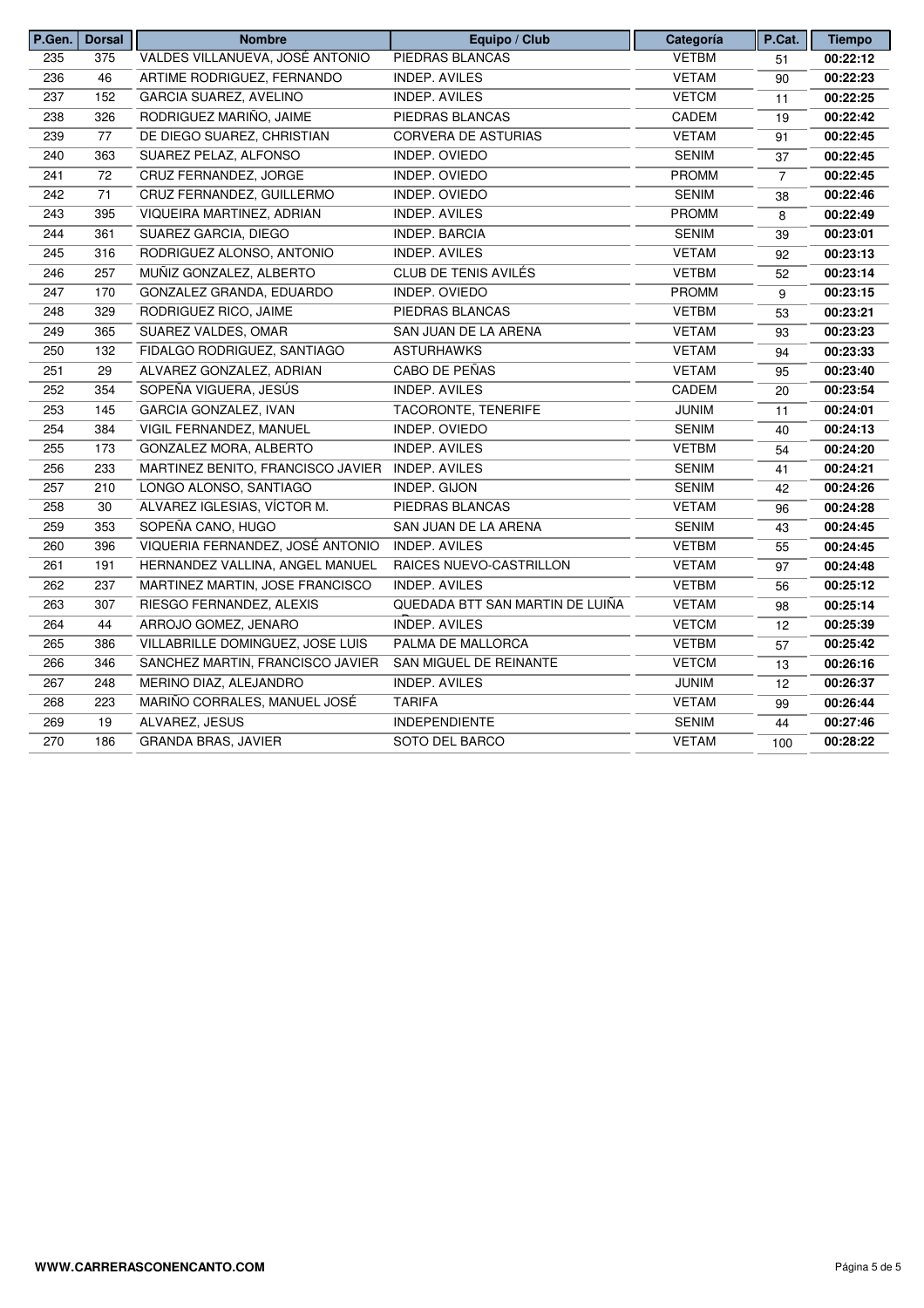| P.Gen. | <b>Dorsal</b> | <b>Nombre</b>                                   | Equipo / Club                   | Categoría    | P.Cat.         | <b>Tiempo</b> |
|--------|---------------|-------------------------------------------------|---------------------------------|--------------|----------------|---------------|
| 235    | 375           | VALDES VILLANUEVA, JOSÉ ANTONIO                 | PIEDRAS BLANCAS                 | <b>VETBM</b> | 51             | 00:22:12      |
| 236    | 46            | ARTIME RODRIGUEZ, FERNANDO                      | <b>INDEP. AVILES</b>            | <b>VETAM</b> | 90             | 00:22:23      |
| 237    | 152           | GARCIA SUAREZ, AVELINO                          | INDEP. AVILES                   | <b>VETCM</b> | 11             | 00:22:25      |
| 238    | 326           | RODRIGUEZ MARIÑO, JAIME                         | PIEDRAS BLANCAS                 | CADEM        | 19             | 00:22:42      |
| 239    | 77            | DE DIEGO SUAREZ, CHRISTIAN                      | CORVERA DE ASTURIAS             | <b>VETAM</b> | 91             | 00:22:45      |
| 240    | 363           | SUAREZ PELAZ, ALFONSO                           | INDEP. OVIEDO                   | <b>SENIM</b> | 37             | 00:22:45      |
| 241    | 72            | CRUZ FERNANDEZ, JORGE                           | INDEP. OVIEDO                   | <b>PROMM</b> | $\overline{7}$ | 00:22:45      |
| 242    | 71            | CRUZ FERNANDEZ, GUILLERMO                       | INDEP. OVIEDO                   | <b>SENIM</b> | 38             | 00:22:46      |
| 243    | 395           | VIQUEIRA MARTINEZ, ADRIAN                       | INDEP. AVILES                   | <b>PROMM</b> | 8              | 00:22:49      |
| 244    | 361           | SUAREZ GARCIA, DIEGO                            | INDEP. BARCIA                   | <b>SENIM</b> | 39             | 00:23:01      |
| 245    | 316           | RODRIGUEZ ALONSO, ANTONIO                       | <b>INDEP. AVILES</b>            | <b>VETAM</b> | 92             | 00:23:13      |
| 246    | 257           | MUÑIZ GONZALEZ, ALBERTO                         | <b>CLUB DE TENIS AVILÉS</b>     | <b>VETBM</b> | 52             | 00:23:14      |
| 247    | 170           | GONZALEZ GRANDA, EDUARDO                        | INDEP. OVIEDO                   | <b>PROMM</b> | 9              | 00:23:15      |
| 248    | 329           | RODRIGUEZ RICO, JAIME                           | PIEDRAS BLANCAS                 | <b>VETBM</b> | 53             | 00:23:21      |
| 249    | 365           | SUAREZ VALDES, OMAR                             | SAN JUAN DE LA ARENA            | <b>VETAM</b> | 93             | 00:23:23      |
| 250    | 132           | FIDALGO RODRIGUEZ, SANTIAGO                     | <b>ASTURHAWKS</b>               | <b>VETAM</b> | 94             | 00:23:33      |
| 251    | 29            | ALVAREZ GONZALEZ, ADRIAN                        | CABO DE PEÑAS                   | <b>VETAM</b> | 95             | 00:23:40      |
| 252    | 354           | SOPEÑA VIGUERA, JESÚS                           | INDEP. AVILES                   | CADEM        | 20             | 00:23:54      |
| 253    | 145           | GARCIA GONZALEZ, IVAN                           | TACORONTE, TENERIFE             | <b>JUNIM</b> | 11             | 00:24:01      |
| 254    | 384           | VIGIL FERNANDEZ, MANUEL                         | INDEP. OVIEDO                   | <b>SENIM</b> | 40             | 00:24:13      |
| 255    | 173           | GONZALEZ MORA, ALBERTO                          | INDEP. AVILES                   | <b>VETBM</b> | 54             | 00:24:20      |
| 256    | 233           | MARTINEZ BENITO, FRANCISCO JAVIER INDEP. AVILES |                                 | <b>SENIM</b> | 41             | 00:24:21      |
| 257    | 210           | LONGO ALONSO, SANTIAGO                          | INDEP. GIJON                    | <b>SENIM</b> | 42             | 00:24:26      |
| 258    | 30            | ALVAREZ IGLESIAS, VÍCTOR M.                     | PIEDRAS BLANCAS                 | <b>VETAM</b> | 96             | 00:24:28      |
| 259    | 353           | SOPEÑA CANO, HUGO                               | SAN JUAN DE LA ARENA            | <b>SENIM</b> | 43             | 00:24:45      |
| 260    | 396           | VIQUERIA FERNANDEZ, JOSÉ ANTONIO                | INDEP. AVILES                   | <b>VETBM</b> | 55             | 00:24:45      |
| 261    | 191           | HERNANDEZ VALLINA, ANGEL MANUEL                 | RAICES NUEVO-CASTRILLON         | <b>VETAM</b> | 97             | 00:24:48      |
| 262    | 237           | MARTINEZ MARTIN, JOSE FRANCISCO                 | INDEP. AVILES                   | <b>VETBM</b> | 56             | 00:25:12      |
| 263    | 307           | RIESGO FERNANDEZ, ALEXIS                        | QUEDADA BTT SAN MARTIN DE LUIÑA | <b>VETAM</b> | 98             | 00:25:14      |
| 264    | 44            | ARROJO GOMEZ, JENARO                            | <b>INDEP. AVILES</b>            | <b>VETCM</b> | 12             | 00:25:39      |
| 265    | 386           | VILLABRILLE DOMINGUEZ, JOSE LUIS                | PALMA DE MALLORCA               | <b>VETBM</b> | 57             | 00:25:42      |
| 266    | 346           | SANCHEZ MARTIN, FRANCISCO JAVIER                | SAN MIGUEL DE REINANTE          | <b>VETCM</b> | 13             | 00:26:16      |
| 267    | 248           | MERINO DIAZ, ALEJANDRO                          | <b>INDEP. AVILES</b>            | <b>JUNIM</b> | 12             | 00:26:37      |
| 268    | 223           | MARIÑO CORRALES, MANUEL JOSÉ                    | <b>TARIFA</b>                   | <b>VETAM</b> | 99             | 00:26:44      |
| 269    | 19            | ALVAREZ, JESUS                                  | <b>INDEPENDIENTE</b>            | <b>SENIM</b> | 44             | 00:27:46      |
| 270    | 186           | GRANDA BRAS, JAVIER                             | SOTO DEL BARCO                  | <b>VETAM</b> | 100            | 00:28:22      |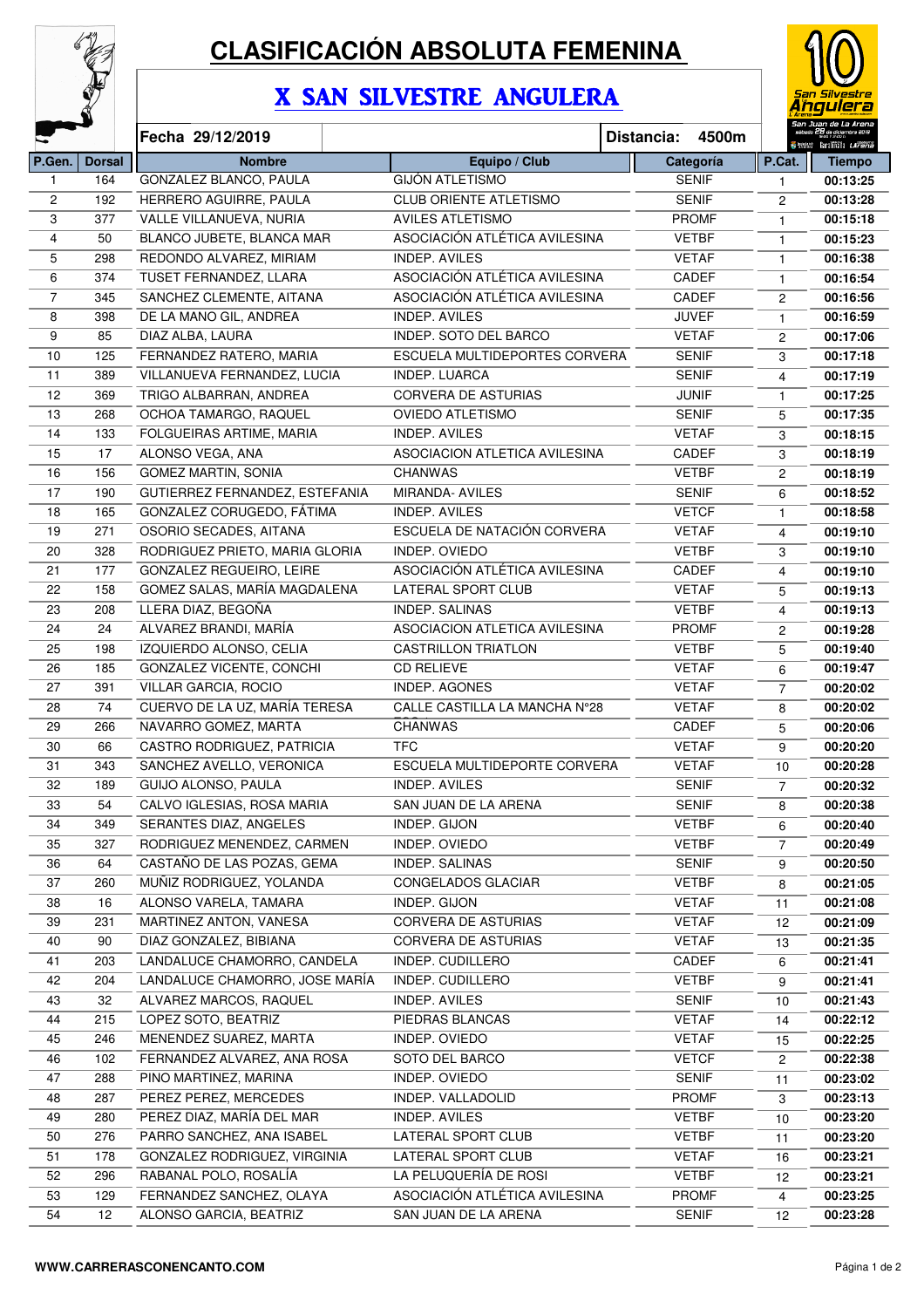

# **CLASIFICACIÓN ABSOLUTA FEMENINA**

## X SAN SILVESTRE ANGULERA



|              |               | Fecha 29/12/2019                                  | 4500m<br>Distancia:                                    |                              |                |          |
|--------------|---------------|---------------------------------------------------|--------------------------------------------------------|------------------------------|----------------|----------|
| P.Gen.       | <b>Dorsal</b> | <b>Nombre</b>                                     | Categoría                                              | P.Cat.                       | <b>Tiempo</b>  |          |
| $\mathbf{1}$ | 164           | GONZALEZ BLANCO, PAULA                            | <b>GIJÓN ATLETISMO</b>                                 | <b>SENIF</b>                 | 1              | 00:13:25 |
| 2            | 192           | HERRERO AGUIRRE, PAULA                            | <b>CLUB ORIENTE ATLETISMO</b>                          | <b>SENIF</b>                 | 2              | 00:13:28 |
| 3            | 377           | VALLE VILLANUEVA, NURIA                           | <b>AVILES ATLETISMO</b>                                | <b>PROMF</b>                 | $\mathbf{1}$   | 00:15:18 |
| 4            | 50            | BLANCO JUBETE, BLANCA MAR                         | ASOCIACIÓN ATLÉTICA AVILESINA                          | <b>VETBF</b>                 | $\mathbf{1}$   | 00:15:23 |
| 5            | 298           | REDONDO ALVAREZ, MIRIAM                           | <b>INDEP. AVILES</b>                                   | <b>VETAF</b>                 | 1              | 00:16:38 |
| 6            | 374           | TUSET FERNANDEZ, LLARA                            | ASOCIACIÓN ATLÉTICA AVILESINA                          | CADEF                        | 1              | 00:16:54 |
| 7            | 345           | SANCHEZ CLEMENTE, AITANA                          | ASOCIACIÓN ATLÉTICA AVILESINA                          | CADEF                        | $\overline{c}$ | 00:16:56 |
| 8            | 398           | DE LA MANO GIL, ANDREA                            | <b>INDEP. AVILES</b>                                   | <b>JUVEF</b>                 | $\mathbf{1}$   | 00:16:59 |
| 9            | 85            | DIAZ ALBA, LAURA                                  | <b>INDEP. SOTO DEL BARCO</b>                           | <b>VETAF</b>                 | $\overline{c}$ | 00:17:06 |
| 10           | 125           | FERNANDEZ RATERO, MARIA                           | ESCUELA MULTIDEPORTES CORVERA                          | <b>SENIF</b>                 | 3              | 00:17:18 |
| 11           | 389           | VILLANUEVA FERNANDEZ, LUCIA                       | INDEP. LUARCA                                          | <b>SENIF</b>                 | 4              | 00:17:19 |
| 12           | 369           | TRIGO ALBARRAN, ANDREA                            | <b>CORVERA DE ASTURIAS</b>                             | <b>JUNIF</b>                 | $\mathbf{1}$   | 00:17:25 |
| 13           | 268           | OCHOA TAMARGO, RAQUEL                             | <b>OVIEDO ATLETISMO</b>                                | <b>SENIF</b>                 | 5              | 00:17:35 |
| 14           | 133           | FOLGUEIRAS ARTIME, MARIA                          | <b>INDEP. AVILES</b>                                   | <b>VETAF</b>                 | 3              | 00:18:15 |
| 15           | 17            | ALONSO VEGA, ANA                                  | <b>ASOCIACION ATLETICA AVILESINA</b>                   | CADEF                        | 3              | 00:18:19 |
| 16           | 156           | <b>GOMEZ MARTIN, SONIA</b>                        | <b>CHANWAS</b>                                         | <b>VETBF</b>                 | $\overline{c}$ | 00:18:19 |
| 17           | 190           | GUTIERREZ FERNANDEZ, ESTEFANIA                    | MIRANDA- AVILES                                        | <b>SENIF</b>                 | 6              | 00:18:52 |
| 18           | 165           | GONZALEZ CORUGEDO, FÁTIMA                         | INDEP. AVILES                                          | <b>VETCF</b>                 | $\mathbf{1}$   | 00:18:58 |
| 19           | 271           | OSORIO SECADES, AITANA                            | ESCUELA DE NATACIÓN CORVERA                            | <b>VETAF</b>                 | 4              | 00:19:10 |
| 20           | 328           | RODRIGUEZ PRIETO, MARIA GLORIA                    | INDEP. OVIEDO                                          | <b>VETBF</b>                 | 3              | 00:19:10 |
| 21           | 177           | GONZALEZ REGUEIRO, LEIRE                          | ASOCIACIÓN ATLÉTICA AVILESINA                          | CADEF                        | 4              | 00:19:10 |
| 22           | 158           | GOMEZ SALAS, MARÍA MAGDALENA                      | LATERAL SPORT CLUB                                     | <b>VETAF</b>                 | 5              | 00:19:13 |
| 23           | 208           | LLERA DIAZ, BEGOÑA                                | <b>INDEP. SALINAS</b>                                  | <b>VETBF</b>                 | 4              | 00:19:13 |
| 24           | 24            | ALVAREZ BRANDI, MARÍA                             | ASOCIACION ATLETICA AVILESINA                          | <b>PROMF</b>                 | $\mathbf{2}$   | 00:19:28 |
| 25           | 198           | IZQUIERDO ALONSO, CELIA                           | <b>CASTRILLON TRIATLON</b>                             | <b>VETBF</b>                 | 5              | 00:19:40 |
| 26           | 185           | GONZALEZ VICENTE, CONCHI                          | <b>CD RELIEVE</b>                                      | <b>VETAF</b>                 | 6              | 00:19:47 |
| 27           | 391           | VILLAR GARCIA, ROCIO                              | INDEP. AGONES                                          | <b>VETAF</b>                 | $\overline{7}$ | 00:20:02 |
| 28           | 74            | CUERVO DE LA UZ, MARÍA TERESA                     | CALLE CASTILLA LA MANCHA N°28                          | <b>VETAF</b>                 | 8              | 00:20:02 |
| 29           | 266           | NAVARRO GOMEZ, MARTA                              | <b>CHANWAS</b>                                         | CADEF                        | 5              | 00:20:06 |
| 30           | 66            | CASTRO RODRIGUEZ, PATRICIA                        | <b>TFC</b>                                             | <b>VETAF</b>                 | 9              | 00:20:20 |
| 31           | 343           | SANCHEZ AVELLO, VERONICA                          | ESCUELA MULTIDEPORTE CORVERA                           | <b>VETAF</b>                 | 10             | 00:20:28 |
| 32           | 189           | GUIJO ALONSO, PAULA                               | <b>INDEP. AVILES</b>                                   | <b>SENIF</b>                 | 7              | 00:20:32 |
| 33           | 54            | CALVO IGLESIAS, ROSA MARIA                        | SAN JUAN DE LA ARENA                                   | <b>SENIF</b>                 | 8              | 00:20:38 |
| 34           | 349           | SERANTES DIAZ, ANGELES                            | INDEP. GIJON                                           | <b>VETBF</b>                 | 6              | 00:20:40 |
| 35           | 327           | RODRIGUEZ MENENDEZ, CARMEN                        | INDEP. OVIEDO                                          | <b>VETBF</b>                 | $\overline{7}$ | 00:20:49 |
| 36           | 64            | CASTAÑO DE LAS POZAS, GEMA                        | INDEP. SALINAS                                         | <b>SENIF</b>                 | 9              | 00:20:50 |
| 37           | 260           | MUÑIZ RODRIGUEZ, YOLANDA                          | CONGELADOS GLACIAR                                     | <b>VETBF</b>                 | 8              | 00:21:05 |
| 38           | 16            | ALONSO VARELA, TAMARA                             | INDEP. GIJON                                           | <b>VETAF</b>                 | 11             | 00:21:08 |
| 39           | 231           | MARTINEZ ANTON, VANESA                            | CORVERA DE ASTURIAS                                    | <b>VETAF</b>                 | 12             | 00:21:09 |
| 40           | 90            | DIAZ GONZALEZ, BIBIANA                            | CORVERA DE ASTURIAS                                    | <b>VETAF</b>                 | 13             | 00:21:35 |
| 41           | 203           | LANDALUCE CHAMORRO, CANDELA                       | INDEP. CUDILLERO                                       | CADEF                        | 6              | 00:21:41 |
| 42           | 204           | LANDALUCE CHAMORRO, JOSE MARÍA                    | INDEP. CUDILLERO                                       | <b>VETBF</b>                 | 9              | 00:21:41 |
| 43           | 32            | ALVAREZ MARCOS, RAQUEL<br>INDEP. AVILES           |                                                        | <b>SENIF</b>                 | 10             | 00:21:43 |
| 44           | 215           | LOPEZ SOTO, BEATRIZ<br>PIEDRAS BLANCAS            |                                                        | <b>VETAF</b>                 | 14             | 00:22:12 |
| 45           | 246           | MENENDEZ SUAREZ, MARTA                            | INDEP. OVIEDO                                          | <b>VETAF</b>                 | 15             | 00:22:25 |
| 46           | 102           | FERNANDEZ ALVAREZ, ANA ROSA                       | SOTO DEL BARCO                                         | <b>VETCF</b>                 | $\overline{2}$ | 00:22:38 |
| 47           | 288           | PINO MARTINEZ, MARINA                             | INDEP. OVIEDO                                          | <b>SENIF</b>                 | 11             | 00:23:02 |
| 48           | 287           | PEREZ PEREZ, MERCEDES                             | INDEP. VALLADOLID                                      | <b>PROMF</b>                 |                | 00:23:13 |
| 49           | 280           | PEREZ DIAZ, MARÍA DEL MAR                         | <b>VETBF</b>                                           | 3                            |                |          |
|              |               |                                                   |                                                        | 10                           | 00:23:20       |          |
| 50           | 276           | PARRO SANCHEZ, ANA ISABEL                         | <b>VETBF</b>                                           | 11                           | 00:23:20       |          |
| 51           | 178           | GONZALEZ RODRIGUEZ, VIRGINIA                      | LATERAL SPORT CLUB                                     | <b>VETAF</b>                 | 16             | 00:23:21 |
| 52           | 296           | RABANAL POLO, ROSALÍA<br>FERNANDEZ SANCHEZ, OLAYA | LA PELUQUERÍA DE ROSI<br>ASOCIACIÓN ATLÉTICA AVILESINA | <b>VETBF</b><br><b>PROMF</b> | 12             | 00:23:21 |
| 53           | 129           |                                                   |                                                        |                              | 4              | 00:23:25 |
| 54           | 12            | ALONSO GARCIA, BEATRIZ                            | SAN JUAN DE LA ARENA                                   | <b>SENIF</b>                 | 12             | 00:23:28 |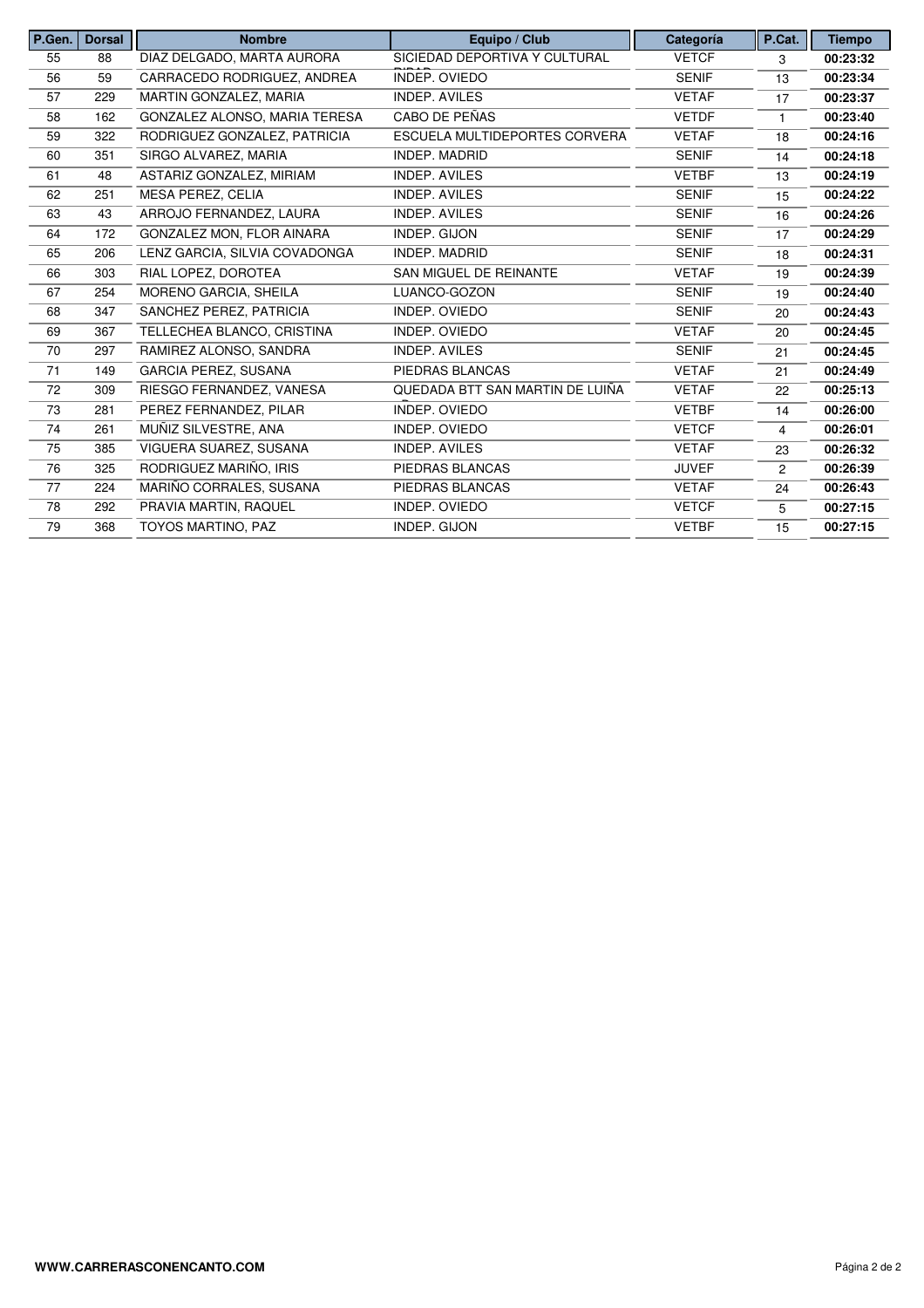| P.Gen. | <b>Dorsal</b> | <b>Nombre</b>                 | Categoría                       | P.Cat.       | <b>Tiempo</b>  |          |
|--------|---------------|-------------------------------|---------------------------------|--------------|----------------|----------|
| 55     | 88            | DIAZ DELGADO, MARTA AURORA    | SICIEDAD DEPORTIVA Y CULTURAL   | <b>VETCF</b> | 3              | 00:23:32 |
| 56     | 59            | CARRACEDO RODRIGUEZ, ANDREA   | INDEP. OVIEDO                   | <b>SENIF</b> | 13             | 00:23:34 |
| 57     | 229           | MARTIN GONZALEZ, MARIA        | <b>INDEP. AVILES</b>            | <b>VETAF</b> | 17             | 00:23:37 |
| 58     | 162           | GONZALEZ ALONSO, MARIA TERESA | CABO DE PEÑAS                   | <b>VETDF</b> |                | 00:23:40 |
| 59     | 322           | RODRIGUEZ GONZALEZ, PATRICIA  | ESCUELA MULTIDEPORTES CORVERA   | <b>VETAF</b> | 18             | 00:24:16 |
| 60     | 351           | SIRGO ALVAREZ, MARIA          | INDEP. MADRID                   | <b>SENIF</b> | 14             | 00:24:18 |
| 61     | 48            | ASTARIZ GONZALEZ, MIRIAM      | <b>INDEP. AVILES</b>            | <b>VETBF</b> | 13             | 00:24:19 |
| 62     | 251           | MESA PEREZ, CELIA             | <b>INDEP. AVILES</b>            | <b>SENIF</b> | 15             | 00:24:22 |
| 63     | 43            | ARROJO FERNANDEZ, LAURA       | <b>INDEP. AVILES</b>            | <b>SENIF</b> | 16             | 00:24:26 |
| 64     | 172           | GONZALEZ MON, FLOR AINARA     | INDEP. GIJON                    | <b>SENIF</b> | 17             | 00:24:29 |
| 65     | 206           | LENZ GARCIA, SILVIA COVADONGA | <b>INDEP. MADRID</b>            | <b>SENIF</b> | 18             | 00:24:31 |
| 66     | 303           | RIAL LOPEZ, DOROTEA           | SAN MIGUEL DE REINANTE          | <b>VETAF</b> | 19             | 00:24:39 |
| 67     | 254           | MORENO GARCIA, SHEILA         | LUANCO-GOZON                    | <b>SENIF</b> | 19             | 00:24:40 |
| 68     | 347           | SANCHEZ PEREZ, PATRICIA       | INDEP. OVIEDO                   | <b>SENIF</b> | 20             | 00:24:43 |
| 69     | 367           | TELLECHEA BLANCO, CRISTINA    | INDEP. OVIEDO                   | <b>VETAF</b> | 20             | 00:24:45 |
| 70     | 297           | RAMIREZ ALONSO, SANDRA        | <b>INDEP. AVILES</b>            | <b>SENIF</b> | 21             | 00:24:45 |
| 71     | 149           | <b>GARCIA PEREZ, SUSANA</b>   | PIEDRAS BLANCAS                 | <b>VETAF</b> | 21             | 00:24:49 |
| 72     | 309           | RIESGO FERNANDEZ, VANESA      | QUEDADA BTT SAN MARTIN DE LUIÑA | <b>VETAF</b> | 22             | 00:25:13 |
| 73     | 281           | PEREZ FERNANDEZ, PILAR        | INDEP. OVIEDO                   | <b>VETBF</b> | 14             | 00:26:00 |
| 74     | 261           | MUÑIZ SILVESTRE, ANA          | INDEP. OVIEDO                   | <b>VETCF</b> | 4              | 00:26:01 |
| 75     | 385           | VIGUERA SUAREZ, SUSANA        | <b>INDEP. AVILES</b>            | <b>VETAF</b> | 23             | 00:26:32 |
| 76     | 325           | RODRIGUEZ MARIÑO. IRIS        | PIEDRAS BLANCAS                 | <b>JUVEF</b> | $\overline{c}$ | 00:26:39 |
| 77     | 224           | MARIÑO CORRALES, SUSANA       | PIEDRAS BLANCAS                 | <b>VETAF</b> | 24             | 00:26:43 |
| 78     | 292           | PRAVIA MARTIN, RAQUEL         | INDEP. OVIEDO                   | <b>VETCF</b> | 5              | 00:27:15 |
| 79     | 368           | TOYOS MARTINO, PAZ            | INDEP. GIJON                    | <b>VETBF</b> | 15             | 00:27:15 |
|        |               |                               |                                 |              |                |          |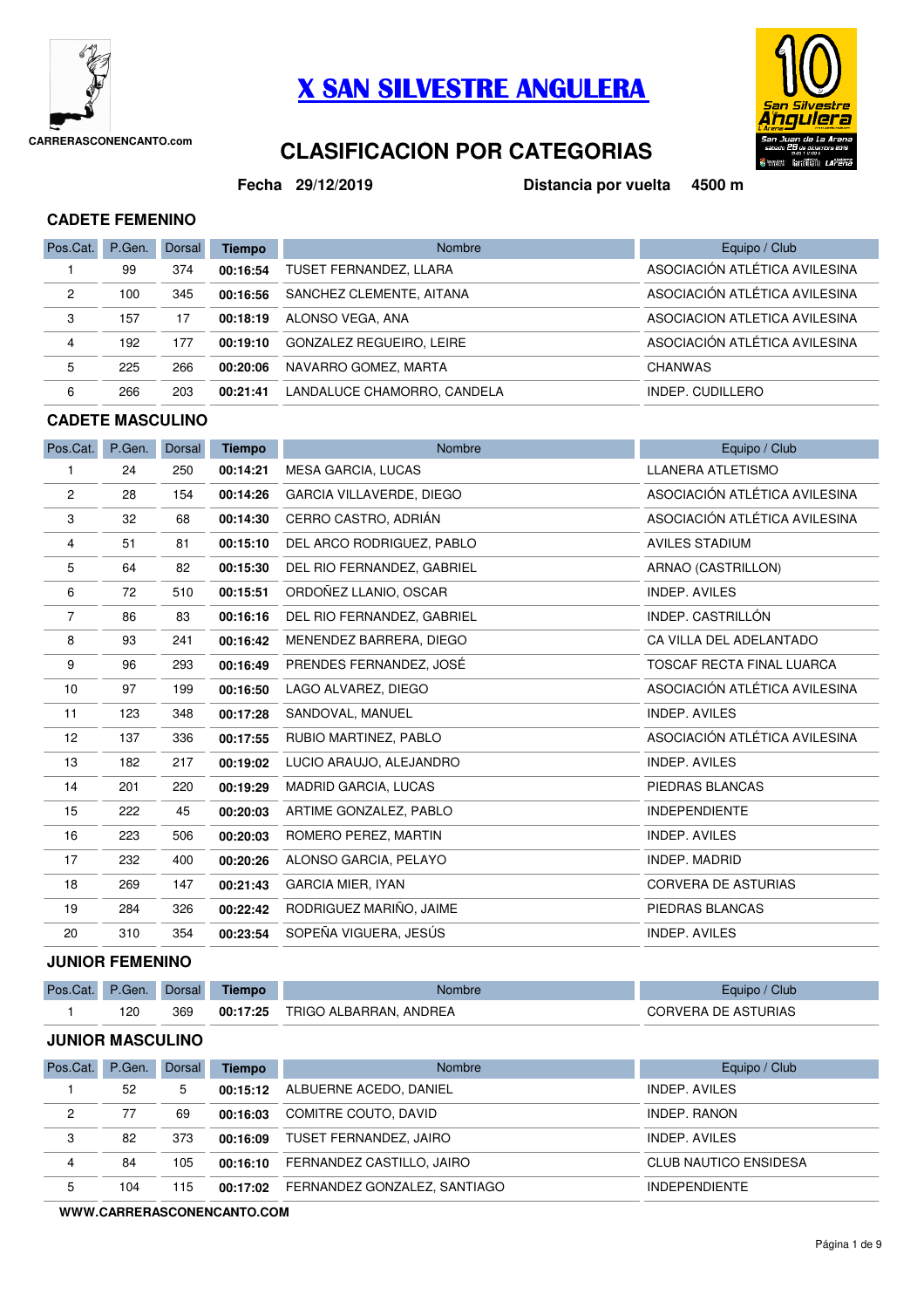

## **X SAN SILVESTRE ANGULERA**



## **CLASIFICACIÓN POR CATEGORIAS**

**Fecha**

**29/12/2019 Distancia por vuelta 4500 m**

#### **CADETE FEMENINO**

| Pos.Cat. | P.Gen. | Dorsal | <b>Tiempo</b> | <b>Nombre</b>                   | Equipo / Club                 |
|----------|--------|--------|---------------|---------------------------------|-------------------------------|
|          | 99     | 374    | 00:16:54      | TUSET FERNANDEZ, LLARA          | ASOCIACIÓN ATLÉTICA AVILESINA |
| 2        | 100    | 345    | 00:16:56      | SANCHEZ CLEMENTE, AITANA        | ASOCIACIÓN ATLÉTICA AVILESINA |
| 3        | 157    | 17     | 00:18:19      | ALONSO VEGA, ANA                | ASOCIACION ATLETICA AVILESINA |
| 4        | 192    | 177    | 00:19:10      | <b>GONZALEZ REGUEIRO. LEIRE</b> | ASOCIACIÓN ATLÉTICA AVILESINA |
| 5        | 225    | 266    | 00:20:06      | NAVARRO GOMEZ, MARTA            | <b>CHANWAS</b>                |
| 6        | 266    | 203    | 00:21:41      | LANDALUCE CHAMORRO, CANDELA     | INDEP. CUDILLERO              |

#### **CADETE MASCULINO**

| Pos.Cat.       | P.Gen. | Dorsal | <b>Tiempo</b> | Nombre                          | Equipo / Club                 |
|----------------|--------|--------|---------------|---------------------------------|-------------------------------|
| 1              | 24     | 250    | 00:14:21      | <b>MESA GARCIA, LUCAS</b>       | <b>LLANERA ATLETISMO</b>      |
| 2              | 28     | 154    | 00:14:26      | <b>GARCIA VILLAVERDE, DIEGO</b> | ASOCIACIÓN ATLÉTICA AVILESINA |
| 3              | 32     | 68     | 00:14:30      | CERRO CASTRO, ADRIÁN            | ASOCIACIÓN ATLÉTICA AVILESINA |
| 4              | 51     | 81     | 00:15:10      | DEL ARCO RODRIGUEZ, PABLO       | <b>AVILES STADIUM</b>         |
| 5              | 64     | 82     | 00:15:30      | DEL RIO FERNANDEZ, GABRIEL      | ARNAO (CASTRILLON)            |
| 6              | 72     | 510    | 00:15:51      | ORDOÑEZ LLANIO, OSCAR           | <b>INDEP. AVILES</b>          |
| $\overline{7}$ | 86     | 83     | 00:16:16      | DEL RIO FERNANDEZ, GABRIEL      | INDEP. CASTRILLÓN             |
| 8              | 93     | 241    | 00:16:42      | MENENDEZ BARRERA, DIEGO         | CA VILLA DEL ADELANTADO       |
| 9              | 96     | 293    | 00:16:49      | PRENDES FERNANDEZ, JOSÉ         | TOSCAF RECTA FINAL LUARCA     |
| 10             | 97     | 199    | 00:16:50      | LAGO ALVAREZ, DIEGO             | ASOCIACIÓN ATLÉTICA AVILESINA |
| 11             | 123    | 348    | 00:17:28      | SANDOVAL, MANUEL                | INDEP. AVILES                 |
| 12             | 137    | 336    | 00:17:55      | RUBIO MARTINEZ, PABLO           | ASOCIACIÓN ATLÉTICA AVILESINA |
| 13             | 182    | 217    | 00:19:02      | LUCIO ARAUJO, ALEJANDRO         | <b>INDEP. AVILES</b>          |
| 14             | 201    | 220    | 00:19:29      | <b>MADRID GARCIA, LUCAS</b>     | PIEDRAS BLANCAS               |
| 15             | 222    | 45     | 00:20:03      | ARTIME GONZALEZ, PABLO          | <b>INDEPENDIENTE</b>          |
| 16             | 223    | 506    | 00:20:03      | ROMERO PEREZ, MARTIN            | <b>INDEP. AVILES</b>          |
| 17             | 232    | 400    | 00:20:26      | ALONSO GARCIA, PELAYO           | <b>INDEP, MADRID</b>          |
| 18             | 269    | 147    | 00:21:43      | <b>GARCIA MIER, IYAN</b>        | <b>CORVERA DE ASTURIAS</b>    |
| 19             | 284    | 326    | 00:22:42      | RODRIGUEZ MARIÑO, JAIME         | PIEDRAS BLANCAS               |
| 20             | 310    | 354    | 00:23:54      | SOPEÑA VIGUERA, JESÚS           | INDEP. AVILES                 |

### **JUNIOR FEMENINO**

| Pos.Cat. P.Gen. |     | <b>Dorsal</b> | Tiempo   | Nombre                 | Equipo / Club              |
|-----------------|-----|---------------|----------|------------------------|----------------------------|
|                 | 120 | 369           | 00:17:25 | TRIGO ALBARRAN. ANDREA | <b>CORVERA DE ASTURIAS</b> |

**JUNIOR MASCULINO**

| Pos.Cat. | P.Gen. | Dorsal | Tiempo   | <b>Nombre</b>                   | Equipo / Club                |
|----------|--------|--------|----------|---------------------------------|------------------------------|
|          | 52     | 5      |          | 00:15:12 ALBUERNE ACEDO, DANIEL | INDEP. AVILES                |
| 2        | 77     | 69     | 00:16:03 | COMITRE COUTO, DAVID            | INDEP, RANON                 |
| 3        | 82     | 373    | 00:16:09 | TUSET FERNANDEZ, JAIRO          | INDEP, AVILES                |
| 4        | 84     | 105    | 00:16:10 | FERNANDEZ CASTILLO, JAIRO       | <b>CLUB NAUTICO ENSIDESA</b> |
| 5        | 104    | 115    | 00:17:02 | FERNANDEZ GONZALEZ, SANTIAGO    | <b>INDEPENDIENTE</b>         |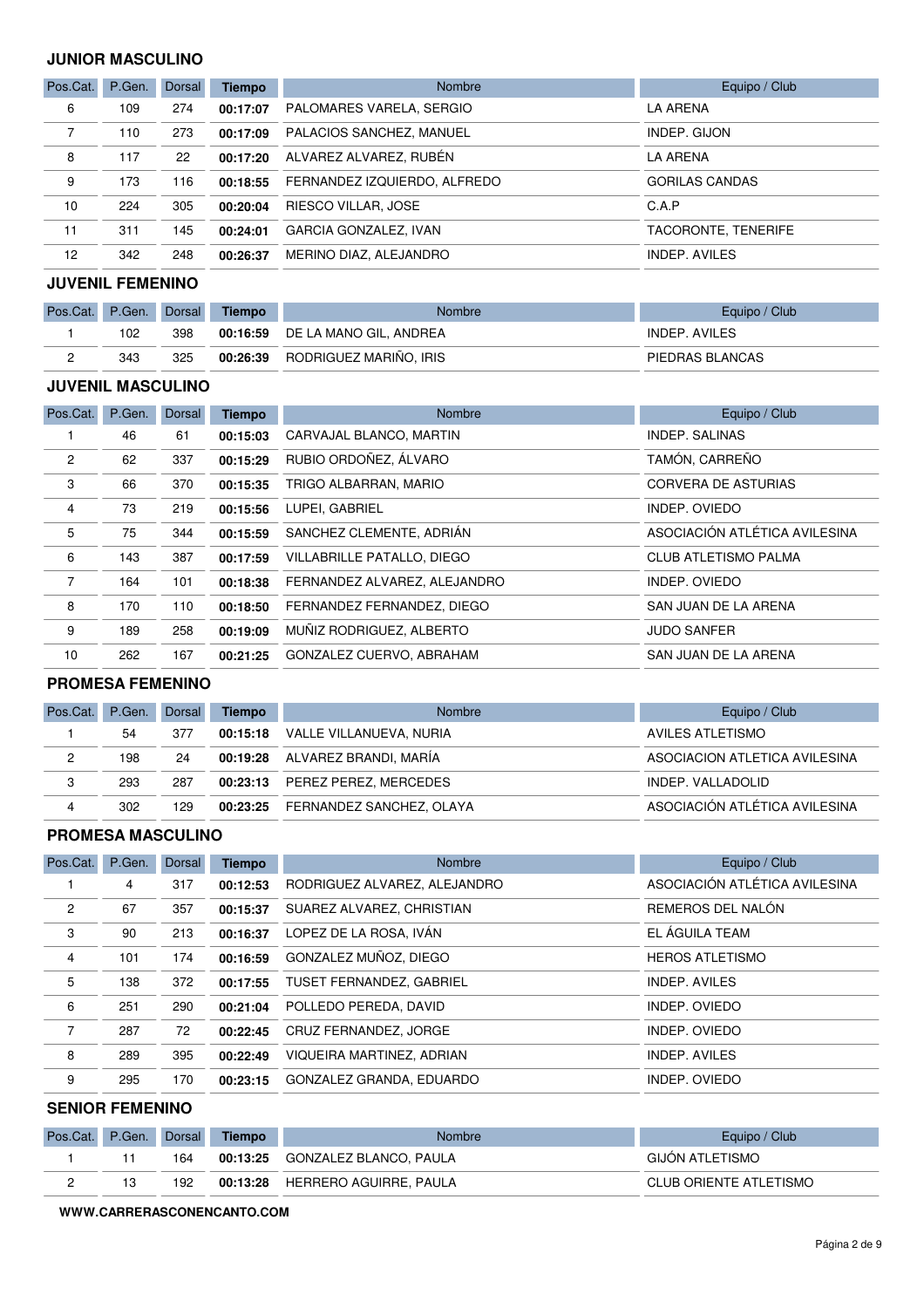#### **JUNIOR MASCULINO**

| Pos.Cat. | P.Gen. | Dorsal | <b>Tiempo</b> | <b>Nombre</b>                | Equipo / Club         |
|----------|--------|--------|---------------|------------------------------|-----------------------|
| 6        | 109    | 274    | 00:17:07      | PALOMARES VARELA, SERGIO     | LA ARENA              |
|          | 110    | 273    | 00:17:09      | PALACIOS SANCHEZ, MANUEL     | INDEP. GIJON          |
| 8        | 117    | 22     | 00:17:20      | ALVAREZ ALVAREZ, RUBÉN       | <b>LA ARENA</b>       |
| 9        | 173    | 116    | 00:18:55      | FERNANDEZ IZQUIERDO, ALFREDO | <b>GORILAS CANDAS</b> |
| 10       | 224    | 305    | 00:20:04      | RIESCO VILLAR, JOSE          | C.A.P                 |
| 11       | 311    | 145    | 00:24:01      | GARCIA GONZALEZ, IVAN        | TACORONTE. TENERIFE   |
| 12       | 342    | 248    | 00:26:37      | MERINO DIAZ, ALEJANDRO       | INDEP. AVILES         |

### **JUVENIL FEMENINO**

| Pos.Cat. | P.Gen. | Dorsal | <b>Tiempo</b> | <b>Nombre</b>                   | Equipo / Club   |
|----------|--------|--------|---------------|---------------------------------|-----------------|
|          | 102    | 398    |               | 00:16:59 DE LA MANO GIL, ANDREA | INDEP. AVILES   |
|          | 343    | 325    | 00:26:39      | RODRIGUEZ MARIÑO. IRIS          | PIEDRAS BLANCAS |

#### **JUVENIL MASCULINO**

| Pos.Cat.       | P.Gen. | Dorsal | <b>Tiempo</b> | <b>Nombre</b>                | Equipo / Club                 |
|----------------|--------|--------|---------------|------------------------------|-------------------------------|
|                | 46     | 61     | 00:15:03      | CARVAJAL BLANCO, MARTIN      | <b>INDEP. SALINAS</b>         |
| $\overline{c}$ | 62     | 337    | 00:15:29      | RUBIO ORDOÑEZ, ÁLVARO        | TAMÓN, CARREÑO                |
| 3              | 66     | 370    | 00:15:35      | TRIGO ALBARRAN, MARIO        | <b>CORVERA DE ASTURIAS</b>    |
| 4              | 73     | 219    | 00:15:56      | LUPEI, GABRIEL               | INDEP. OVIEDO                 |
| 5              | 75     | 344    | 00:15:59      | SANCHEZ CLEMENTE, ADRIÁN     | ASOCIACIÓN ATLÉTICA AVILESINA |
| 6              | 143    | 387    | 00:17:59      | VILLABRILLE PATALLO, DIEGO   | <b>CLUB ATLETISMO PALMA</b>   |
| $\overline{7}$ | 164    | 101    | 00:18:38      | FERNANDEZ ALVAREZ, ALEJANDRO | INDEP. OVIEDO                 |
| 8              | 170    | 110    | 00:18:50      | FERNANDEZ FERNANDEZ, DIEGO   | SAN JUAN DE LA ARENA          |
| 9              | 189    | 258    | 00:19:09      | MUÑIZ RODRIGUEZ, ALBERTO     | <b>JUDO SANFER</b>            |
| 10             | 262    | 167    | 00:21:25      | GONZALEZ CUERVO, ABRAHAM     | SAN JUAN DE LA ARENA          |

#### **PROMESA FEMENINO**

| Pos.Cat.       | P.Gen. | Dorsal | Tiempo | Nombre                            | Equipo / Club                 |
|----------------|--------|--------|--------|-----------------------------------|-------------------------------|
|                | 54     | 377    |        | 00:15:18 VALLE VILLANUEVA, NURIA  | AVILES ATLETISMO              |
| $\overline{c}$ | 198    | 24     |        | 00:19:28 ALVAREZ BRANDI, MARÍA    | ASOCIACION ATLETICA AVILESINA |
| 3              | 293    | 287    |        | 00:23:13 PEREZ PEREZ, MERCEDES    | INDEP. VALLADOLID             |
| 4              | 302    | 129    |        | 00:23:25 FERNANDEZ SANCHEZ, OLAYA | ASOCIACIÓN ATLÉTICA AVILESINA |

#### **PROMESA MASCULINO**

| Pos.Cat.       | P.Gen. | <b>Dorsal</b> | <b>Tiempo</b> | Nombre                       | Equipo / Club                 |
|----------------|--------|---------------|---------------|------------------------------|-------------------------------|
|                | 4      | 317           | 00:12:53      | RODRIGUEZ ALVAREZ, ALEJANDRO | ASOCIACIÓN ATLÉTICA AVILESINA |
| $\overline{2}$ | 67     | 357           | 00:15:37      | SUAREZ ALVAREZ, CHRISTIAN    | REMEROS DEL NALÓN             |
| 3              | 90     | 213           | 00:16:37      | LOPEZ DE LA ROSA, IVÁN       | EL ÁGUILA TEAM                |
| $\overline{4}$ | 101    | 174           | 00:16:59      | GONZALEZ MUÑOZ, DIEGO        | <b>HEROS ATLETISMO</b>        |
| 5              | 138    | 372           | 00:17:55      | TUSET FERNANDEZ, GABRIEL     | INDEP. AVILES                 |
| 6              | 251    | 290           | 00:21:04      | POLLEDO PEREDA, DAVID        | INDEP. OVIEDO                 |
| $\overline{7}$ | 287    | 72            | 00:22:45      | CRUZ FERNANDEZ, JORGE        | INDEP. OVIEDO                 |
| 8              | 289    | 395           | 00:22:49      | VIQUEIRA MARTINEZ, ADRIAN    | INDEP. AVILES                 |
| 9              | 295    | 170           | 00:23:15      | GONZALEZ GRANDA, EDUARDO     | INDEP. OVIEDO                 |

#### **SENIOR FEMENINO**

| Pos.Cat. | P.Gen. Dorsal |     | Tiempo   | <b>Nombre</b>                   | Equipo / Club          |
|----------|---------------|-----|----------|---------------------------------|------------------------|
|          |               | 164 |          | 00:13:25 GONZALEZ BLANCO, PAULA | <b>GIJON ATLETISMO</b> |
|          |               | 192 | 00:13:28 | HERRERO AGUIRRE. PAULA          | CLUB ORIENTE ATLETISMO |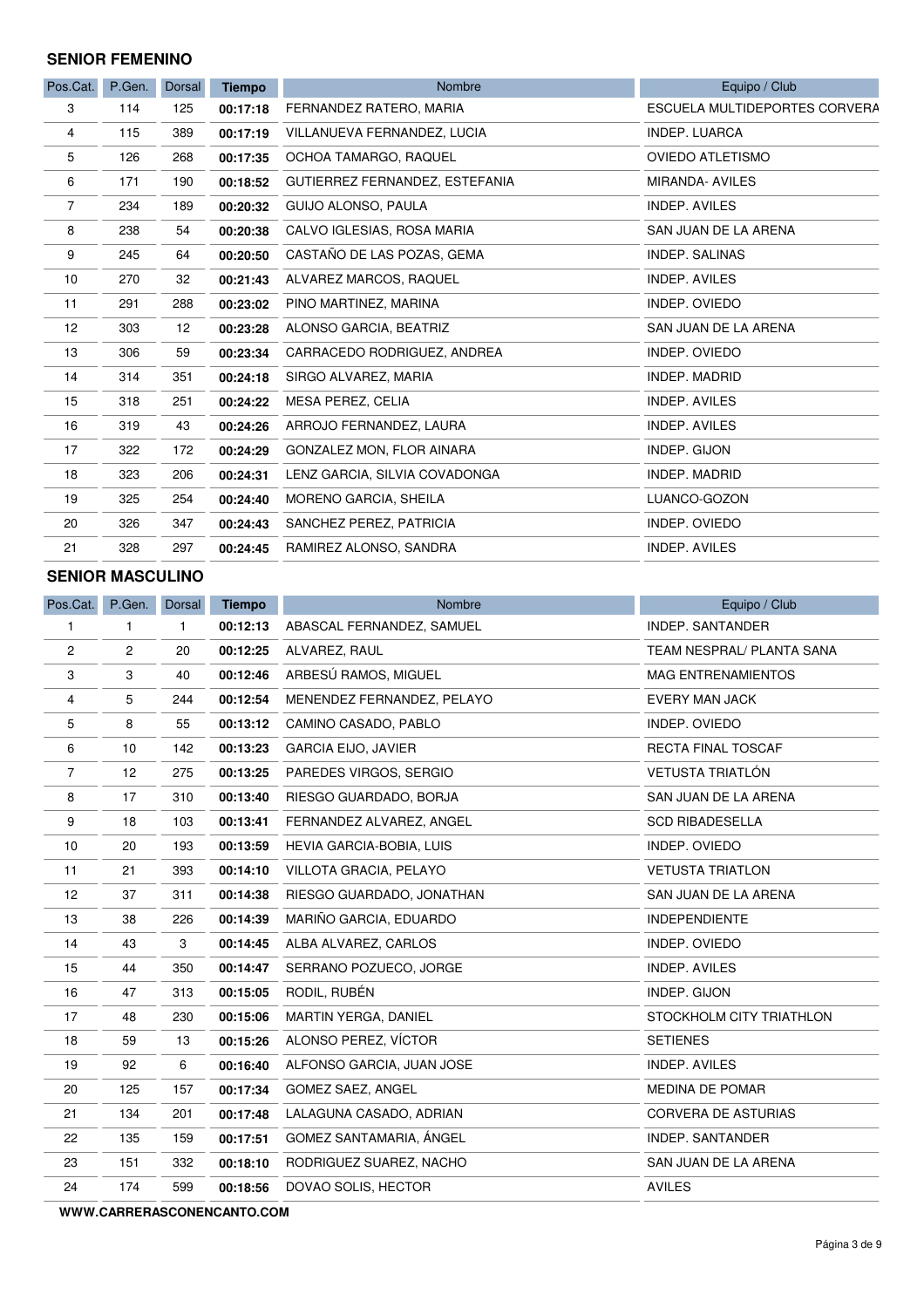#### **SENIOR FEMENINO**

| Pos.Cat. | P.Gen. | <b>Dorsal</b> | <b>Tiempo</b> | Nombre                         | Equipo / Club                        |
|----------|--------|---------------|---------------|--------------------------------|--------------------------------------|
| 3        | 114    | 125           | 00:17:18      | FERNANDEZ RATERO, MARIA        | <b>ESCUELA MULTIDEPORTES CORVERA</b> |
| 4        | 115    | 389           | 00:17:19      | VILLANUEVA FERNANDEZ, LUCIA    | <b>INDEP. LUARCA</b>                 |
| 5        | 126    | 268           | 00:17:35      | OCHOA TAMARGO, RAQUEL          | <b>OVIEDO ATLETISMO</b>              |
| 6        | 171    | 190           | 00:18:52      | GUTIERREZ FERNANDEZ, ESTEFANIA | MIRANDA- AVILES                      |
| 7        | 234    | 189           | 00:20:32      | GUIJO ALONSO, PAULA            | <b>INDEP. AVILES</b>                 |
| 8        | 238    | 54            | 00:20:38      | CALVO IGLESIAS, ROSA MARIA     | SAN JUAN DE LA ARENA                 |
| 9        | 245    | 64            | 00:20:50      | CASTAÑO DE LAS POZAS, GEMA     | <b>INDEP. SALINAS</b>                |
| 10       | 270    | 32            | 00:21:43      | ALVAREZ MARCOS, RAQUEL         | <b>INDEP. AVILES</b>                 |
| 11       | 291    | 288           | 00:23:02      | PINO MARTINEZ, MARINA          | INDEP. OVIEDO                        |
| 12       | 303    | 12            | 00:23:28      | ALONSO GARCIA, BEATRIZ         | SAN JUAN DE LA ARENA                 |
| 13       | 306    | 59            | 00:23:34      | CARRACEDO RODRIGUEZ, ANDREA    | INDEP. OVIEDO                        |
| 14       | 314    | 351           | 00:24:18      | SIRGO ALVAREZ, MARIA           | <b>INDEP. MADRID</b>                 |
| 15       | 318    | 251           | 00:24:22      | MESA PEREZ, CELIA              | <b>INDEP. AVILES</b>                 |
| 16       | 319    | 43            | 00:24:26      | ARROJO FERNANDEZ, LAURA        | <b>INDEP. AVILES</b>                 |
| 17       | 322    | 172           | 00:24:29      | GONZALEZ MON, FLOR AINARA      | INDEP. GIJON                         |
| 18       | 323    | 206           | 00:24:31      | LENZ GARCIA, SILVIA COVADONGA  | <b>INDEP. MADRID</b>                 |
| 19       | 325    | 254           | 00:24:40      | MORENO GARCIA, SHEILA          | LUANCO-GOZON                         |
| 20       | 326    | 347           | 00:24:43      | SANCHEZ PEREZ, PATRICIA        | <b>INDEP. OVIEDO</b>                 |
| 21       | 328    | 297           | 00:24:45      | RAMIREZ ALONSO, SANDRA         | <b>INDEP. AVILES</b>                 |

#### **SENIOR MASCULINO**

| Pos.Cat.       | P.Gen. | Dorsal       | <b>Tiempo</b> | Nombre                     | Equipo / Club              |
|----------------|--------|--------------|---------------|----------------------------|----------------------------|
| $\mathbf{1}$   | 1      | $\mathbf{1}$ | 00:12:13      | ABASCAL FERNANDEZ, SAMUEL  | <b>INDEP. SANTANDER</b>    |
| $\overline{c}$ | 2      | 20           | 00:12:25      | ALVAREZ, RAUL              | TEAM NESPRAL/ PLANTA SANA  |
| 3              | 3      | 40           | 00:12:46      | ARBESÚ RAMOS, MIGUEL       | <b>MAG ENTRENAMIENTOS</b>  |
| 4              | 5      | 244          | 00:12:54      | MENENDEZ FERNANDEZ, PELAYO | <b>EVERY MAN JACK</b>      |
| 5              | 8      | 55           | 00:13:12      | CAMINO CASADO, PABLO       | INDEP. OVIEDO              |
| 6              | 10     | 142          | 00:13:23      | <b>GARCIA EIJO, JAVIER</b> | RECTA FINAL TOSCAF         |
| $\overline{7}$ | 12     | 275          | 00:13:25      | PAREDES VIRGOS, SERGIO     | <b>VETUSTA TRIATLÓN</b>    |
| 8              | 17     | 310          | 00:13:40      | RIESGO GUARDADO, BORJA     | SAN JUAN DE LA ARENA       |
| 9              | 18     | 103          | 00:13:41      | FERNANDEZ ALVAREZ, ANGEL   | <b>SCD RIBADESELLA</b>     |
| 10             | 20     | 193          | 00:13:59      | HEVIA GARCIA-BOBIA, LUIS   | INDEP. OVIEDO              |
| 11             | 21     | 393          | 00:14:10      | VILLOTA GRACIA, PELAYO     | <b>VETUSTA TRIATLON</b>    |
| 12             | 37     | 311          | 00:14:38      | RIESGO GUARDADO, JONATHAN  | SAN JUAN DE LA ARENA       |
| 13             | 38     | 226          | 00:14:39      | MARIÑO GARCIA, EDUARDO     | <b>INDEPENDIENTE</b>       |
| 14             | 43     | 3            | 00:14:45      | ALBA ALVAREZ, CARLOS       | INDEP. OVIEDO              |
| 15             | 44     | 350          | 00:14:47      | SERRANO POZUECO, JORGE     | <b>INDEP. AVILES</b>       |
| 16             | 47     | 313          | 00:15:05      | RODIL, RUBÉN               | INDEP. GIJON               |
| 17             | 48     | 230          | 00:15:06      | MARTIN YERGA, DANIEL       | STOCKHOLM CITY TRIATHLON   |
| 18             | 59     | 13           | 00:15:26      | ALONSO PEREZ, VÍCTOR       | <b>SETIENES</b>            |
| 19             | 92     | 6            | 00:16:40      | ALFONSO GARCIA, JUAN JOSE  | INDEP. AVILES              |
| 20             | 125    | 157          | 00:17:34      | <b>GOMEZ SAEZ, ANGEL</b>   | MEDINA DE POMAR            |
| 21             | 134    | 201          | 00:17:48      | LALAGUNA CASADO, ADRIAN    | <b>CORVERA DE ASTURIAS</b> |
| 22             | 135    | 159          | 00:17:51      | GOMEZ SANTAMARIA, ÁNGEL    | INDEP. SANTANDER           |
| 23             | 151    | 332          | 00:18:10      | RODRIGUEZ SUAREZ, NACHO    | SAN JUAN DE LA ARENA       |
| 24             | 174    | 599          | 00:18:56      | DOVAO SOLIS, HECTOR        | <b>AVILES</b>              |
|                |        |              |               |                            |                            |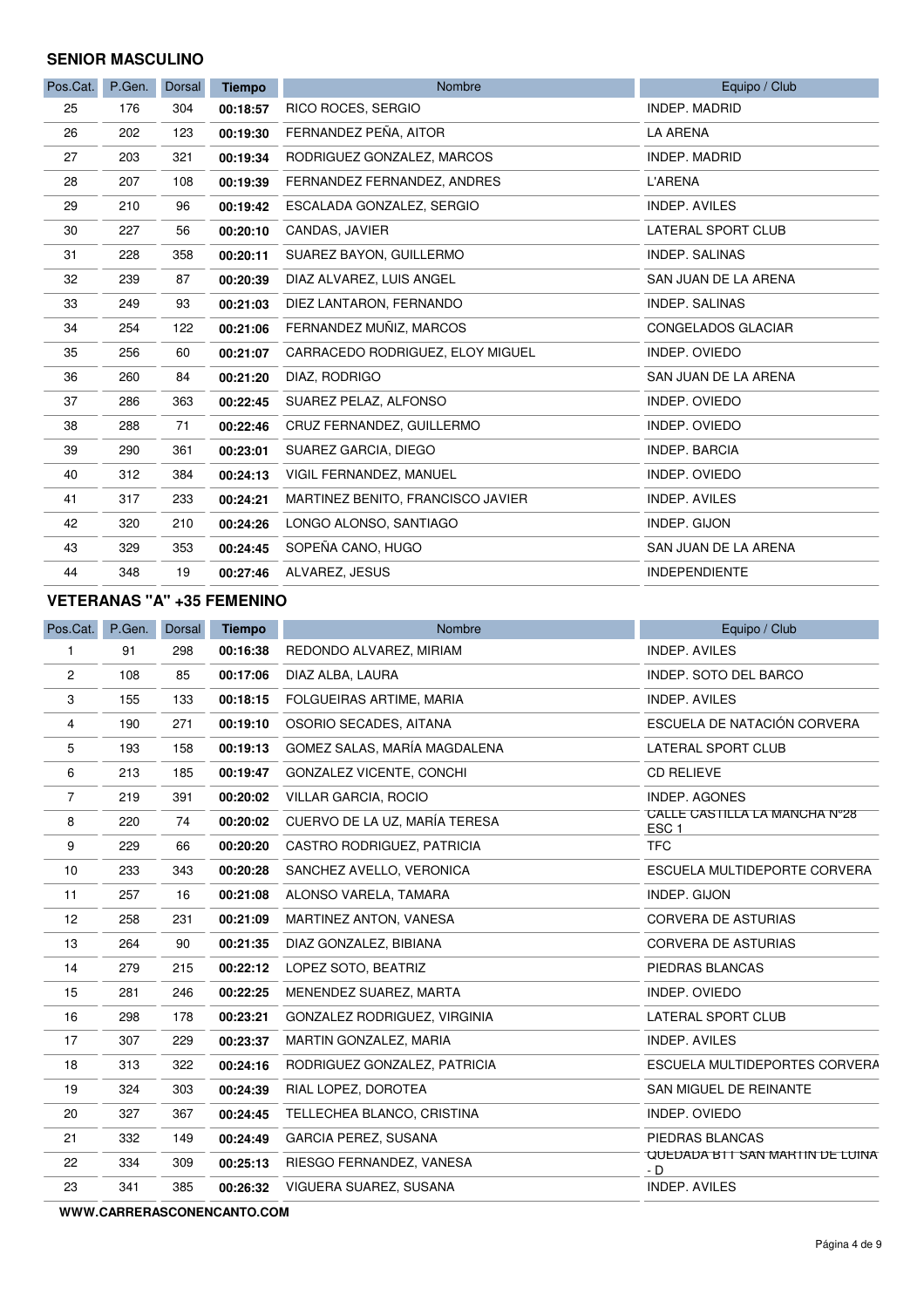#### **SENIOR MASCULINO**

| Pos.Cat. | P.Gen. | <b>Dorsal</b> | <b>Tiempo</b> | Nombre                            | Equipo / Club         |
|----------|--------|---------------|---------------|-----------------------------------|-----------------------|
| 25       | 176    | 304           | 00:18:57      | RICO ROCES, SERGIO                | <b>INDEP. MADRID</b>  |
| 26       | 202    | 123           | 00:19:30      | FERNANDEZ PEÑA, AITOR             | <b>LA ARENA</b>       |
| 27       | 203    | 321           | 00:19:34      | RODRIGUEZ GONZALEZ, MARCOS        | <b>INDEP. MADRID</b>  |
| 28       | 207    | 108           | 00:19:39      | FERNANDEZ FERNANDEZ, ANDRES       | L'ARENA               |
| 29       | 210    | 96            | 00:19:42      | ESCALADA GONZALEZ, SERGIO         | INDEP. AVILES         |
| 30       | 227    | 56            | 00:20:10      | CANDAS, JAVIER                    | LATERAL SPORT CLUB    |
| 31       | 228    | 358           | 00:20:11      | SUAREZ BAYON, GUILLERMO           | <b>INDEP. SALINAS</b> |
| 32       | 239    | 87            | 00:20:39      | DIAZ ALVAREZ, LUIS ANGEL          | SAN JUAN DE LA ARENA  |
| 33       | 249    | 93            | 00:21:03      | DIEZ LANTARON, FERNANDO           | <b>INDEP. SALINAS</b> |
| 34       | 254    | 122           | 00:21:06      | FERNANDEZ MUÑIZ, MARCOS           | CONGELADOS GLACIAR    |
| 35       | 256    | 60            | 00:21:07      | CARRACEDO RODRIGUEZ, ELOY MIGUEL  | INDEP. OVIEDO         |
| 36       | 260    | 84            | 00:21:20      | DIAZ, RODRIGO                     | SAN JUAN DE LA ARENA  |
| 37       | 286    | 363           | 00:22:45      | SUAREZ PELAZ, ALFONSO             | INDEP. OVIEDO         |
| 38       | 288    | 71            | 00:22:46      | CRUZ FERNANDEZ, GUILLERMO         | <b>INDEP. OVIEDO</b>  |
| 39       | 290    | 361           | 00:23:01      | SUAREZ GARCIA, DIEGO              | <b>INDEP, BARCIA</b>  |
| 40       | 312    | 384           | 00:24:13      | VIGIL FERNANDEZ, MANUEL           | <b>INDEP. OVIEDO</b>  |
| 41       | 317    | 233           | 00:24:21      | MARTINEZ BENITO, FRANCISCO JAVIER | <b>INDEP. AVILES</b>  |
| 42       | 320    | 210           | 00:24:26      | LONGO ALONSO, SANTIAGO            | INDEP. GIJON          |
| 43       | 329    | 353           | 00:24:45      | SOPEÑA CANO, HUGO                 | SAN JUAN DE LA ARENA  |
| 44       | 348    | 19            | 00:27:46      | ALVAREZ, JESUS                    | <b>INDEPENDIENTE</b>  |

#### **VETERANAS "A" +35 FEMENINO**

| Pos.Cat.       | P.Gen. | Dorsal | <b>Tiempo</b> | <b>Nombre</b>                   | Equipo / Club                                     |
|----------------|--------|--------|---------------|---------------------------------|---------------------------------------------------|
| 1              | 91     | 298    | 00:16:38      | REDONDO ALVAREZ, MIRIAM         | <b>INDEP. AVILES</b>                              |
| $\overline{c}$ | 108    | 85     | 00:17:06      | DIAZ ALBA, LAURA                | INDEP. SOTO DEL BARCO                             |
| 3              | 155    | 133    | 00:18:15      | FOLGUEIRAS ARTIME, MARIA        | <b>INDEP. AVILES</b>                              |
| 4              | 190    | 271    | 00:19:10      | OSORIO SECADES, AITANA          | ESCUELA DE NATACIÓN CORVERA                       |
| 5              | 193    | 158    | 00:19:13      | GOMEZ SALAS, MARÍA MAGDALENA    | LATERAL SPORT CLUB                                |
| 6              | 213    | 185    | 00:19:47      | <b>GONZALEZ VICENTE, CONCHI</b> | <b>CD RELIEVE</b>                                 |
| $\overline{7}$ | 219    | 391    | 00:20:02      | VILLAR GARCIA, ROCIO            | <b>INDEP. AGONES</b>                              |
| 8              | 220    | 74     | 00:20:02      | CUERVO DE LA UZ, MARÍA TERESA   | CALLE CASTILLA LA MANCHA N°28<br>ESC <sub>1</sub> |
| 9              | 229    | 66     | 00:20:20      | CASTRO RODRIGUEZ, PATRICIA      | <b>TFC</b>                                        |
| 10             | 233    | 343    | 00:20:28      | SANCHEZ AVELLO, VERONICA        | ESCUELA MULTIDEPORTE CORVERA                      |
| 11             | 257    | 16     | 00:21:08      | ALONSO VARELA, TAMARA           | INDEP. GIJON                                      |
| 12             | 258    | 231    | 00:21:09      | MARTINEZ ANTON, VANESA          | CORVERA DE ASTURIAS                               |
| 13             | 264    | 90     | 00:21:35      | DIAZ GONZALEZ, BIBIANA          | <b>CORVERA DE ASTURIAS</b>                        |
| 14             | 279    | 215    | 00:22:12      | LOPEZ SOTO, BEATRIZ             | PIEDRAS BLANCAS                                   |
| 15             | 281    | 246    | 00:22:25      | MENENDEZ SUAREZ, MARTA          | INDEP. OVIEDO                                     |
| 16             | 298    | 178    | 00:23:21      | GONZALEZ RODRIGUEZ, VIRGINIA    | LATERAL SPORT CLUB                                |
| 17             | 307    | 229    | 00:23:37      | MARTIN GONZALEZ, MARIA          | INDEP. AVILES                                     |
| 18             | 313    | 322    | 00:24:16      | RODRIGUEZ GONZALEZ, PATRICIA    | ESCUELA MULTIDEPORTES CORVERA                     |
| 19             | 324    | 303    | 00:24:39      | RIAL LOPEZ, DOROTEA             | SAN MIGUEL DE REINANTE                            |
| 20             | 327    | 367    | 00:24:45      | TELLECHEA BLANCO, CRISTINA      | INDEP. OVIEDO                                     |
| 21             | 332    | 149    | 00:24:49      | <b>GARCIA PEREZ, SUSANA</b>     | PIEDRAS BLANCAS                                   |
| 22             | 334    | 309    | 00:25:13      | RIESGO FERNANDEZ, VANESA        | QUEDADA BTT SAN MARTIN DE LUINA<br>- D            |
| 23             | 341    | 385    | 00:26:32      | VIGUERA SUAREZ, SUSANA          | INDEP. AVILES                                     |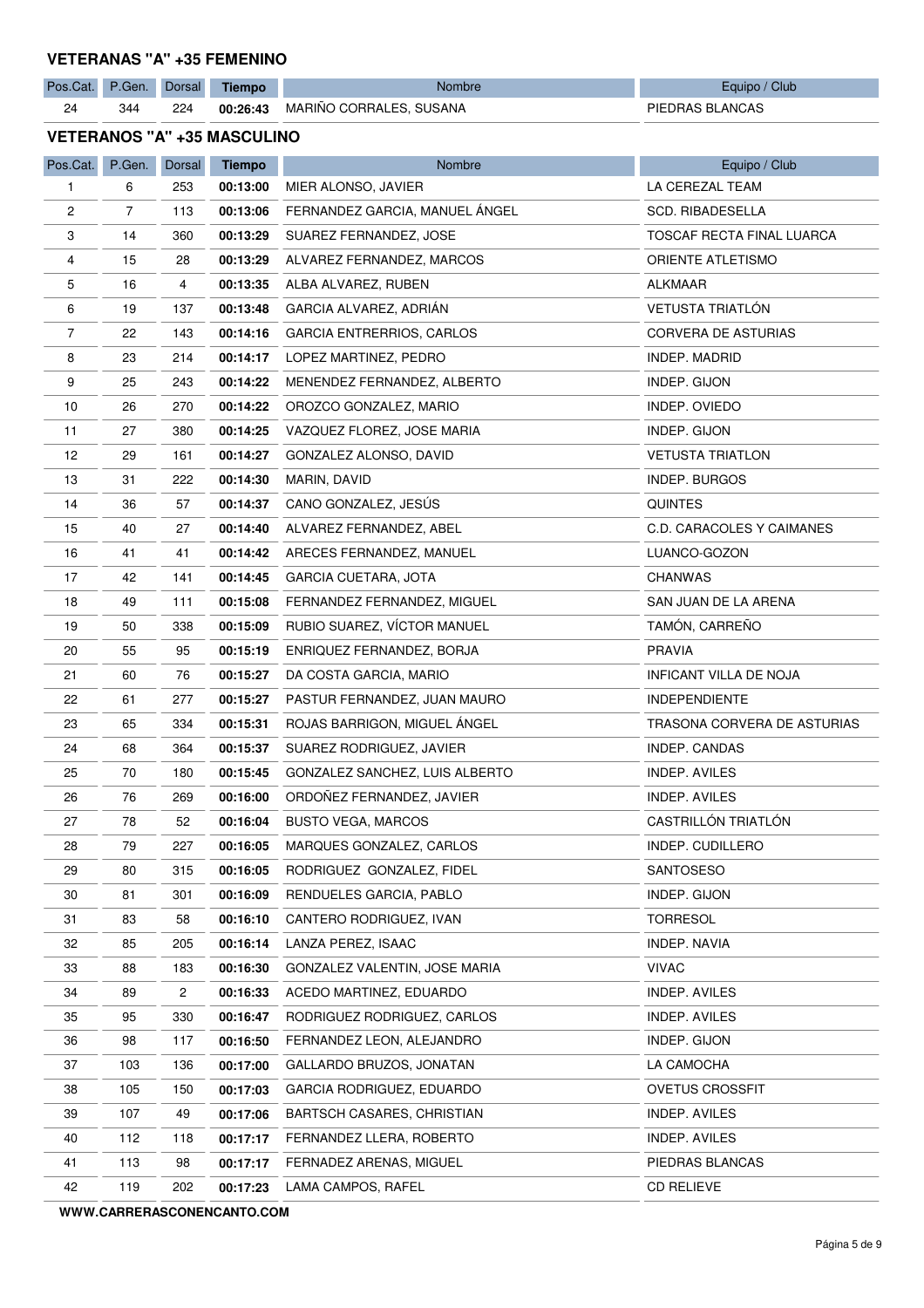#### **VETERANAS "A" +35 FEMENINO**

| Pos.Cat.                           | P.Gen. | Dorsal | <b>Tiempo</b> | Nombre                           | Equipo / Club               |  |  |  |
|------------------------------------|--------|--------|---------------|----------------------------------|-----------------------------|--|--|--|
| 24                                 | 344    | 224    | 00:26:43      | MARIÑO CORRALES, SUSANA          | PIEDRAS BLANCAS             |  |  |  |
| <b>VETERANOS "A" +35 MASCULINO</b> |        |        |               |                                  |                             |  |  |  |
| Pos.Cat.                           | P.Gen. | Dorsal | <b>Tiempo</b> | Nombre                           | Equipo / Club               |  |  |  |
| 1                                  | 6      | 253    | 00:13:00      | MIER ALONSO, JAVIER              | LA CEREZAL TEAM             |  |  |  |
| 2                                  | 7      | 113    | 00:13:06      | FERNANDEZ GARCIA, MANUEL ANGEL   | <b>SCD. RIBADESELLA</b>     |  |  |  |
| 3                                  | 14     | 360    | 00:13:29      | SUAREZ FERNANDEZ, JOSE           | TOSCAF RECTA FINAL LUARCA   |  |  |  |
| 4                                  | 15     | 28     | 00:13:29      | ALVAREZ FERNANDEZ, MARCOS        | <b>ORIENTE ATLETISMO</b>    |  |  |  |
| 5                                  | 16     | 4      | 00:13:35      | ALBA ALVAREZ, RUBEN              | ALKMAAR                     |  |  |  |
| 6                                  | 19     | 137    | 00:13:48      | GARCIA ALVAREZ, ADRIAN           | <b>VETUSTA TRIATLÓN</b>     |  |  |  |
| $\overline{7}$                     | 22     | 143    | 00:14:16      | <b>GARCIA ENTRERRIOS, CARLOS</b> | CORVERA DE ASTURIAS         |  |  |  |
| 8                                  | 23     | 214    | 00:14:17      | LOPEZ MARTINEZ, PEDRO            | INDEP. MADRID               |  |  |  |
| 9                                  | 25     | 243    | 00:14:22      | MENENDEZ FERNANDEZ, ALBERTO      | INDEP. GIJON                |  |  |  |
| 10                                 | 26     | 270    | 00:14:22      | OROZCO GONZALEZ, MARIO           | INDEP. OVIEDO               |  |  |  |
| 11                                 | 27     | 380    | 00:14:25      | VAZQUEZ FLOREZ, JOSE MARIA       | INDEP. GIJON                |  |  |  |
| 12                                 | 29     | 161    | 00:14:27      | GONZALEZ ALONSO, DAVID           | <b>VETUSTA TRIATLON</b>     |  |  |  |
| 13                                 | 31     | 222    | 00:14:30      | MARIN, DAVID                     | INDEP. BURGOS               |  |  |  |
| 14                                 | 36     | 57     | 00:14:37      | CANO GONZALEZ, JESÚS             | <b>QUINTES</b>              |  |  |  |
| 15                                 | 40     | 27     | 00:14:40      | ALVAREZ FERNANDEZ, ABEL          | C.D. CARACOLES Y CAIMANES   |  |  |  |
| 16                                 | 41     | 41     | 00:14:42      | ARECES FERNANDEZ, MANUEL         | LUANCO-GOZON                |  |  |  |
| 17                                 | 42     | 141    | 00:14:45      | <b>GARCIA CUETARA, JOTA</b>      | <b>CHANWAS</b>              |  |  |  |
| 18                                 | 49     | 111    | 00:15:08      | FERNANDEZ FERNANDEZ, MIGUEL      | SAN JUAN DE LA ARENA        |  |  |  |
| 19                                 | 50     | 338    | 00:15:09      | RUBIO SUAREZ, VÍCTOR MANUEL      | TAMÓN, CARREÑO              |  |  |  |
| 20                                 | 55     | 95     | 00:15:19      | ENRIQUEZ FERNANDEZ, BORJA        | <b>PRAVIA</b>               |  |  |  |
| 21                                 | 60     | 76     | 00:15:27      | DA COSTA GARCIA, MARIO           | INFICANT VILLA DE NOJA      |  |  |  |
| 22                                 | 61     | 277    | 00:15:27      | PASTUR FERNANDEZ, JUAN MAURO     | <b>INDEPENDIENTE</b>        |  |  |  |
| 23                                 | 65     | 334    | 00:15:31      | ROJAS BARRIGON, MIGUEL ÁNGEL     | TRASONA CORVERA DE ASTURIAS |  |  |  |
| 24                                 | 68     | 364    | 00:15:37      | SUAREZ RODRIGUEZ, JAVIER         | INDEP. CANDAS               |  |  |  |
| 25                                 | 70     | 180    | 00:15:45      | GONZALEZ SANCHEZ, LUIS ALBERTO   | INDEP. AVILES               |  |  |  |
| 26                                 | 76     | 269    | 00:16:00      | ORDOÑEZ FERNANDEZ, JAVIER        | INDEP. AVILES               |  |  |  |
| 27                                 | 78     | 52     | 00:16:04      | <b>BUSTO VEGA, MARCOS</b>        | CASTRILLÓN TRIATLÓN         |  |  |  |
| 28                                 | 79     | 227    | 00:16:05      | MARQUES GONZALEZ, CARLOS         | INDEP. CUDILLERO            |  |  |  |
| 29                                 | 80     | 315    | 00:16:05      | RODRIGUEZ GONZALEZ, FIDEL        | SANTOSESO                   |  |  |  |
| 30                                 | 81     | 301    | 00:16:09      | RENDUELES GARCIA, PABLO          | INDEP. GIJON                |  |  |  |
| 31                                 | 83     | 58     | 00:16:10      | CANTERO RODRIGUEZ, IVAN          | <b>TORRESOL</b>             |  |  |  |
| 32                                 | 85     | 205    | 00:16:14      | LANZA PEREZ, ISAAC               | INDEP. NAVIA                |  |  |  |
| 33                                 | 88     | 183    | 00:16:30      | GONZALEZ VALENTIN, JOSE MARIA    | <b>VIVAC</b>                |  |  |  |
| 34                                 | 89     | 2      | 00:16:33      | ACEDO MARTINEZ, EDUARDO          | INDEP. AVILES               |  |  |  |
| 35                                 | 95     | 330    | 00:16:47      | RODRIGUEZ RODRIGUEZ, CARLOS      | INDEP. AVILES               |  |  |  |
| 36                                 | 98     | 117    | 00:16:50      | FERNANDEZ LEON, ALEJANDRO        | INDEP. GIJON                |  |  |  |
| 37                                 | 103    | 136    | 00:17:00      | GALLARDO BRUZOS, JONATAN         | LA CAMOCHA                  |  |  |  |
| 38                                 | 105    | 150    | 00:17:03      | <b>GARCIA RODRIGUEZ, EDUARDO</b> | <b>OVETUS CROSSFIT</b>      |  |  |  |
| 39                                 | 107    | 49     | 00:17:06      | BARTSCH CASARES, CHRISTIAN       | INDEP. AVILES               |  |  |  |
| 40                                 | 112    | 118    | 00:17:17      | FERNANDEZ LLERA, ROBERTO         | INDEP. AVILES               |  |  |  |
| 41                                 | 113    | 98     | 00:17:17      | FERNADEZ ARENAS, MIGUEL          | PIEDRAS BLANCAS             |  |  |  |
| 42                                 | 119    | 202    | 00:17:23      | LAMA CAMPOS, RAFEL               | <b>CD RELIEVE</b>           |  |  |  |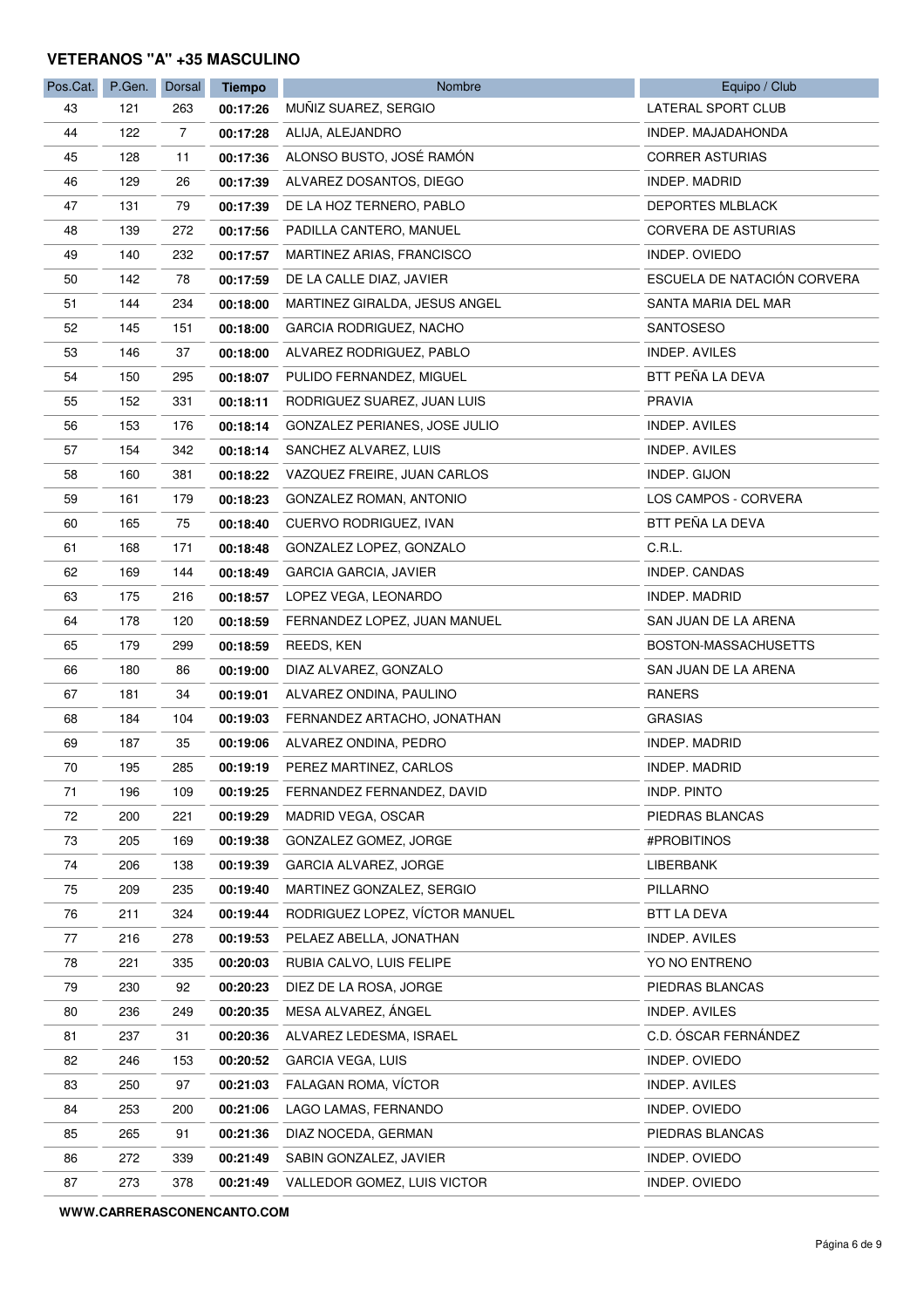#### **VETERANOS "A" +35 MASCULINO**

| Pos.Cat. | P.Gen. | Dorsal | <b>Tiempo</b> | Nombre                         | Equipo / Club               |
|----------|--------|--------|---------------|--------------------------------|-----------------------------|
| 43       | 121    | 263    | 00:17:26      | MUÑIZ SUAREZ, SERGIO           | LATERAL SPORT CLUB          |
| 44       | 122    | 7      | 00:17:28      | ALIJA, ALEJANDRO               | INDEP. MAJADAHONDA          |
| 45       | 128    | 11     | 00:17:36      | ALONSO BUSTO, JOSÉ RAMÓN       | <b>CORRER ASTURIAS</b>      |
| 46       | 129    | 26     | 00:17:39      | ALVAREZ DOSANTOS, DIEGO        | INDEP. MADRID               |
| 47       | 131    | 79     | 00:17:39      | DE LA HOZ TERNERO, PABLO       | DEPORTES MLBLACK            |
| 48       | 139    | 272    | 00:17:56      | PADILLA CANTERO, MANUEL        | <b>CORVERA DE ASTURIAS</b>  |
| 49       | 140    | 232    | 00:17:57      | MARTINEZ ARIAS, FRANCISCO      | INDEP. OVIEDO               |
| 50       | 142    | 78     | 00:17:59      | DE LA CALLE DIAZ, JAVIER       | ESCUELA DE NATACIÓN CORVERA |
| 51       | 144    | 234    | 00:18:00      | MARTINEZ GIRALDA, JESUS ANGEL  | SANTA MARIA DEL MAR         |
| 52       | 145    | 151    | 00:18:00      | GARCIA RODRIGUEZ, NACHO        | SANTOSESO                   |
| 53       | 146    | 37     | 00:18:00      | ALVAREZ RODRIGUEZ, PABLO       | INDEP. AVILES               |
| 54       | 150    | 295    | 00:18:07      | PULIDO FERNANDEZ, MIGUEL       | BTT PEÑA LA DEVA            |
| 55       | 152    | 331    | 00:18:11      | RODRIGUEZ SUAREZ, JUAN LUIS    | PRAVIA                      |
| 56       | 153    | 176    | 00:18:14      | GONZALEZ PERIANES, JOSE JULIO  | INDEP. AVILES               |
| 57       | 154    | 342    | 00:18:14      | SANCHEZ ALVAREZ, LUIS          | INDEP. AVILES               |
| 58       | 160    | 381    | 00:18:22      | VAZQUEZ FREIRE, JUAN CARLOS    | INDEP. GIJON                |
| 59       | 161    | 179    | 00:18:23      | GONZALEZ ROMAN, ANTONIO        | LOS CAMPOS - CORVERA        |
| 60       | 165    | 75     | 00:18:40      | CUERVO RODRIGUEZ, IVAN         | BTT PEÑA LA DEVA            |
| 61       | 168    | 171    | 00:18:48      | GONZALEZ LOPEZ, GONZALO        | C.R.L.                      |
| 62       | 169    | 144    | 00:18:49      | GARCIA GARCIA, JAVIER          | INDEP. CANDAS               |
| 63       | 175    | 216    | 00:18:57      | LOPEZ VEGA, LEONARDO           | INDEP. MADRID               |
| 64       | 178    | 120    | 00:18:59      | FERNANDEZ LOPEZ, JUAN MANUEL   | SAN JUAN DE LA ARENA        |
| 65       | 179    | 299    | 00:18:59      | REEDS, KEN                     | BOSTON-MASSACHUSETTS        |
| 66       | 180    | 86     | 00:19:00      | DIAZ ALVAREZ, GONZALO          | SAN JUAN DE LA ARENA        |
| 67       | 181    | 34     | 00:19:01      | ALVAREZ ONDINA, PAULINO        | <b>RANERS</b>               |
| 68       | 184    | 104    | 00:19:03      | FERNANDEZ ARTACHO, JONATHAN    | <b>GRASIAS</b>              |
| 69       | 187    | 35     | 00:19:06      | ALVAREZ ONDINA, PEDRO          | INDEP. MADRID               |
| 70       | 195    | 285    | 00:19:19      | PEREZ MARTINEZ, CARLOS         | INDEP. MADRID               |
| 71       | 196    | 109    | 00:19:25      | FERNANDEZ FERNANDEZ, DAVID     | <b>INDP. PINTO</b>          |
| 72       | 200    | 221    | 00:19:29      | MADRID VEGA, OSCAR             | PIEDRAS BLANCAS             |
| 73       | 205    | 169    | 00:19:38      | GONZALEZ GOMEZ, JORGE          | #PROBITINOS                 |
| 74       | 206    | 138    | 00:19:39      | GARCIA ALVAREZ, JORGE          | LIBERBANK                   |
| 75       | 209    | 235    | 00:19:40      | MARTINEZ GONZALEZ, SERGIO      | PILLARNO                    |
| 76       | 211    | 324    | 00:19:44      | RODRIGUEZ LOPEZ, VÍCTOR MANUEL | BTT LA DEVA                 |
| 77       | 216    | 278    | 00:19:53      | PELAEZ ABELLA, JONATHAN        | INDEP. AVILES               |
| 78       | 221    | 335    | 00:20:03      | RUBIA CALVO, LUIS FELIPE       | YO NO ENTRENO               |
| 79       | 230    | 92     | 00:20:23      | DIEZ DE LA ROSA, JORGE         | PIEDRAS BLANCAS             |
| 80       | 236    | 249    | 00:20:35      | MESA ALVAREZ, ÁNGEL            | INDEP. AVILES               |
| 81       | 237    | 31     | 00:20:36      | ALVAREZ LEDESMA, ISRAEL        | C.D. ÓSCAR FERNÁNDEZ        |
| 82       | 246    | 153    | 00:20:52      | GARCIA VEGA, LUIS              | INDEP. OVIEDO               |
| 83       | 250    | 97     | 00:21:03      | FALAGAN ROMA, VICTOR           | INDEP. AVILES               |
| 84       | 253    | 200    | 00:21:06      | LAGO LAMAS, FERNANDO           | INDEP. OVIEDO               |
| 85       | 265    | 91     | 00:21:36      | DIAZ NOCEDA, GERMAN            | PIEDRAS BLANCAS             |
| 86       | 272    | 339    | 00:21:49      | SABIN GONZALEZ, JAVIER         | INDEP. OVIEDO               |
| 87       | 273    | 378    | 00:21:49      | VALLEDOR GOMEZ, LUIS VICTOR    | INDEP. OVIEDO               |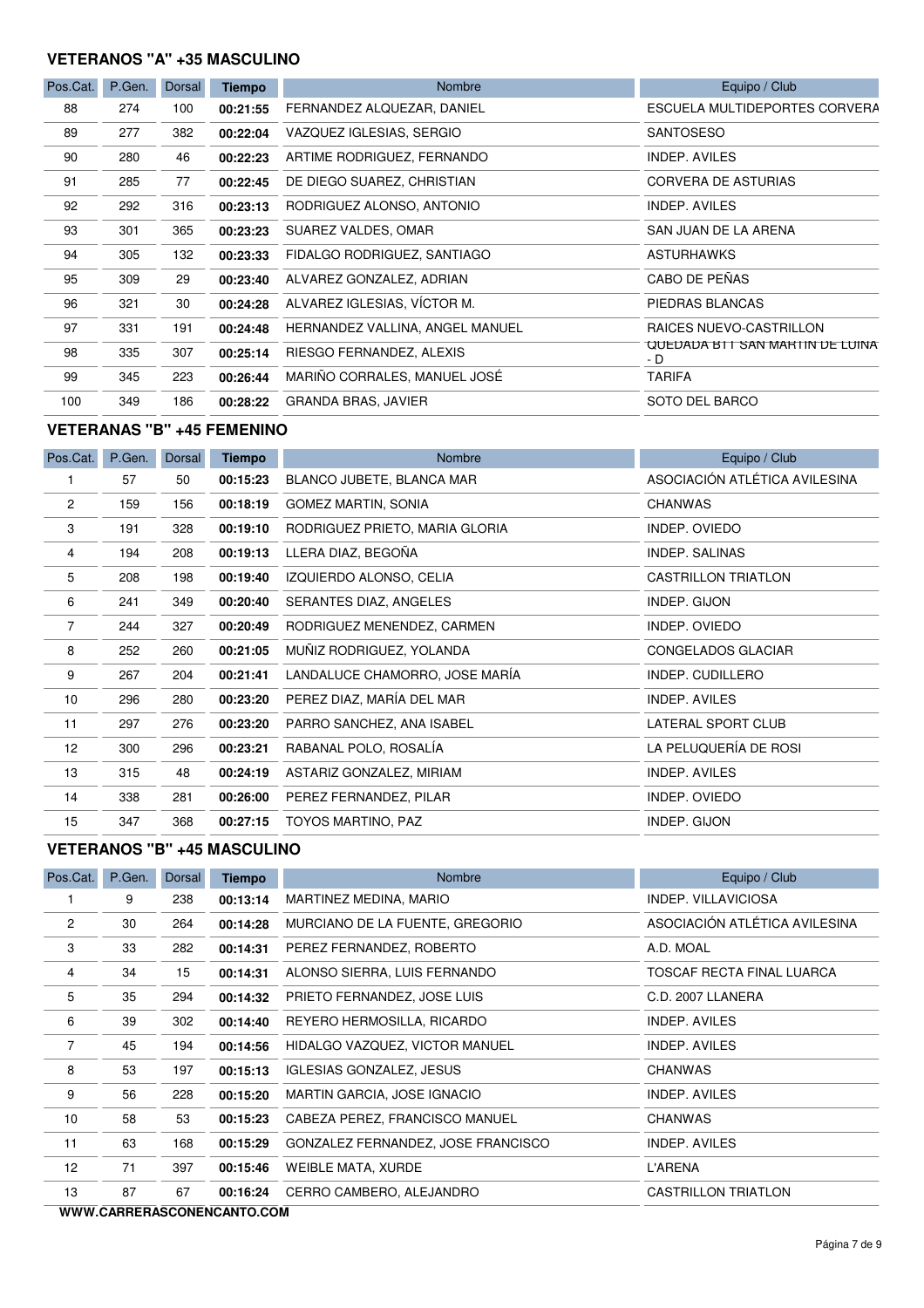#### **VETERANOS "A" +35 MASCULINO**

| Pos.Cat. | P.Gen. | Dorsal | <b>Tiempo</b> | <b>Nombre</b>                   | Equipo / Club                          |
|----------|--------|--------|---------------|---------------------------------|----------------------------------------|
| 88       | 274    | 100    | 00:21:55      | FERNANDEZ ALQUEZAR, DANIEL      | ESCUELA MULTIDEPORTES CORVERA          |
| 89       | 277    | 382    | 00:22:04      | VAZQUEZ IGLESIAS, SERGIO        | <b>SANTOSESO</b>                       |
| 90       | 280    | 46     | 00:22:23      | ARTIME RODRIGUEZ, FERNANDO      | <b>INDEP. AVILES</b>                   |
| 91       | 285    | 77     | 00:22:45      | DE DIEGO SUAREZ, CHRISTIAN      | CORVERA DE ASTURIAS                    |
| 92       | 292    | 316    | 00:23:13      | RODRIGUEZ ALONSO, ANTONIO       | INDEP. AVILES                          |
| 93       | 301    | 365    | 00:23:23      | SUAREZ VALDES, OMAR             | SAN JUAN DE LA ARENA                   |
| 94       | 305    | 132    | 00:23:33      | FIDALGO RODRIGUEZ, SANTIAGO     | <b>ASTURHAWKS</b>                      |
| 95       | 309    | 29     | 00:23:40      | ALVAREZ GONZALEZ, ADRIAN        | CABO DE PEÑAS                          |
| 96       | 321    | 30     | 00:24:28      | ALVAREZ IGLESIAS, VÍCTOR M.     | PIEDRAS BLANCAS                        |
| 97       | 331    | 191    | 00:24:48      | HERNANDEZ VALLINA, ANGEL MANUEL | RAICES NUEVO-CASTRILLON                |
| 98       | 335    | 307    | 00:25:14      | RIESGO FERNANDEZ, ALEXIS        | QUEDADA BTT SAN MARTIN DE LUINA<br>- D |
| 99       | 345    | 223    | 00:26:44      | MARIÑO CORRALES, MANUEL JOSÉ    | <b>TARIFA</b>                          |
| 100      | 349    | 186    | 00:28:22      | <b>GRANDA BRAS, JAVIER</b>      | SOTO DEL BARCO                         |

#### **VETERANAS "B" +45 FEMENINO**

| Pos.Cat.       | P.Gen. | Dorsal | <b>Tiempo</b> | Nombre                         | Equipo / Club                 |
|----------------|--------|--------|---------------|--------------------------------|-------------------------------|
|                | 57     | 50     | 00:15:23      | BLANCO JUBETE, BLANCA MAR      | ASOCIACIÓN ATLÉTICA AVILESINA |
| $\overline{c}$ | 159    | 156    | 00:18:19      | <b>GOMEZ MARTIN, SONIA</b>     | <b>CHANWAS</b>                |
| 3              | 191    | 328    | 00:19:10      | RODRIGUEZ PRIETO, MARIA GLORIA | INDEP. OVIEDO                 |
| 4              | 194    | 208    | 00:19:13      | LLERA DIAZ, BEGOÑA             | <b>INDEP. SALINAS</b>         |
| 5              | 208    | 198    | 00:19:40      | IZQUIERDO ALONSO, CELIA        | <b>CASTRILLON TRIATLON</b>    |
| 6              | 241    | 349    | 00:20:40      | SERANTES DIAZ, ANGELES         | INDEP. GIJON                  |
| $\overline{7}$ | 244    | 327    | 00:20:49      | RODRIGUEZ MENENDEZ, CARMEN     | INDEP. OVIEDO                 |
| 8              | 252    | 260    | 00:21:05      | MUÑIZ RODRIGUEZ, YOLANDA       | CONGELADOS GLACIAR            |
| 9              | 267    | 204    | 00:21:41      | LANDALUCE CHAMORRO, JOSE MARÍA | INDEP. CUDILLERO              |
| 10             | 296    | 280    | 00:23:20      | PEREZ DIAZ, MARÍA DEL MAR      | INDEP. AVILES                 |
| 11             | 297    | 276    | 00:23:20      | PARRO SANCHEZ, ANA ISABEL      | LATERAL SPORT CLUB            |
| 12             | 300    | 296    | 00:23:21      | RABANAL POLO, ROSALIA          | LA PELUQUERÍA DE ROSI         |
| 13             | 315    | 48     | 00:24:19      | ASTARIZ GONZALEZ, MIRIAM       | INDEP. AVILES                 |
| 14             | 338    | 281    | 00:26:00      | PEREZ FERNANDEZ, PILAR         | INDEP. OVIEDO                 |
| 15             | 347    | 368    | 00:27:15      | TOYOS MARTINO, PAZ             | INDEP. GIJON                  |

### **VETERANOS "B" +45 MASCULINO**

| Pos.Cat.                   | P.Gen. | Dorsal | <b>Tiempo</b> | Nombre                             | Equipo / Club                 |  |
|----------------------------|--------|--------|---------------|------------------------------------|-------------------------------|--|
|                            | 9      | 238    | 00:13:14      | MARTINEZ MEDINA, MARIO             | <b>INDEP. VILLAVICIOSA</b>    |  |
| $\overline{2}$             | 30     | 264    | 00:14:28      | MURCIANO DE LA FUENTE, GREGORIO    | ASOCIACIÓN ATLÉTICA AVILESINA |  |
| 3                          | 33     | 282    | 00:14:31      | PEREZ FERNANDEZ, ROBERTO           | A.D. MOAL                     |  |
| 4                          | 34     | 15     | 00:14:31      | ALONSO SIERRA, LUIS FERNANDO       | TOSCAF RECTA FINAL LUARCA     |  |
| 5                          | 35     | 294    | 00:14:32      | PRIETO FERNANDEZ, JOSE LUIS        | C.D. 2007 LLANERA             |  |
| 6                          | 39     | 302    | 00:14:40      | REYERO HERMOSILLA, RICARDO         | INDEP. AVILES                 |  |
| $\overline{7}$             | 45     | 194    | 00:14:56      | HIDALGO VAZQUEZ, VICTOR MANUEL     | <b>INDEP. AVILES</b>          |  |
| 8                          | 53     | 197    | 00:15:13      | IGLESIAS GONZALEZ, JESUS           | <b>CHANWAS</b>                |  |
| 9                          | 56     | 228    | 00:15:20      | MARTIN GARCIA, JOSE IGNACIO        | <b>INDEP. AVILES</b>          |  |
| 10                         | 58     | 53     | 00:15:23      | CABEZA PEREZ, FRANCISCO MANUEL     | <b>CHANWAS</b>                |  |
| 11                         | 63     | 168    | 00:15:29      | GONZALEZ FERNANDEZ, JOSE FRANCISCO | <b>INDEP. AVILES</b>          |  |
| 12                         | 71     | 397    | 00:15:46      | <b>WEIBLE MATA, XURDE</b>          | <b>L'ARENA</b>                |  |
| 13                         | 87     | 67     | 00:16:24      | CERRO CAMBERO, ALEJANDRO           | CASTRILLON TRIATLON           |  |
| WWW.CARRERASCONENCANTO.COM |        |        |               |                                    |                               |  |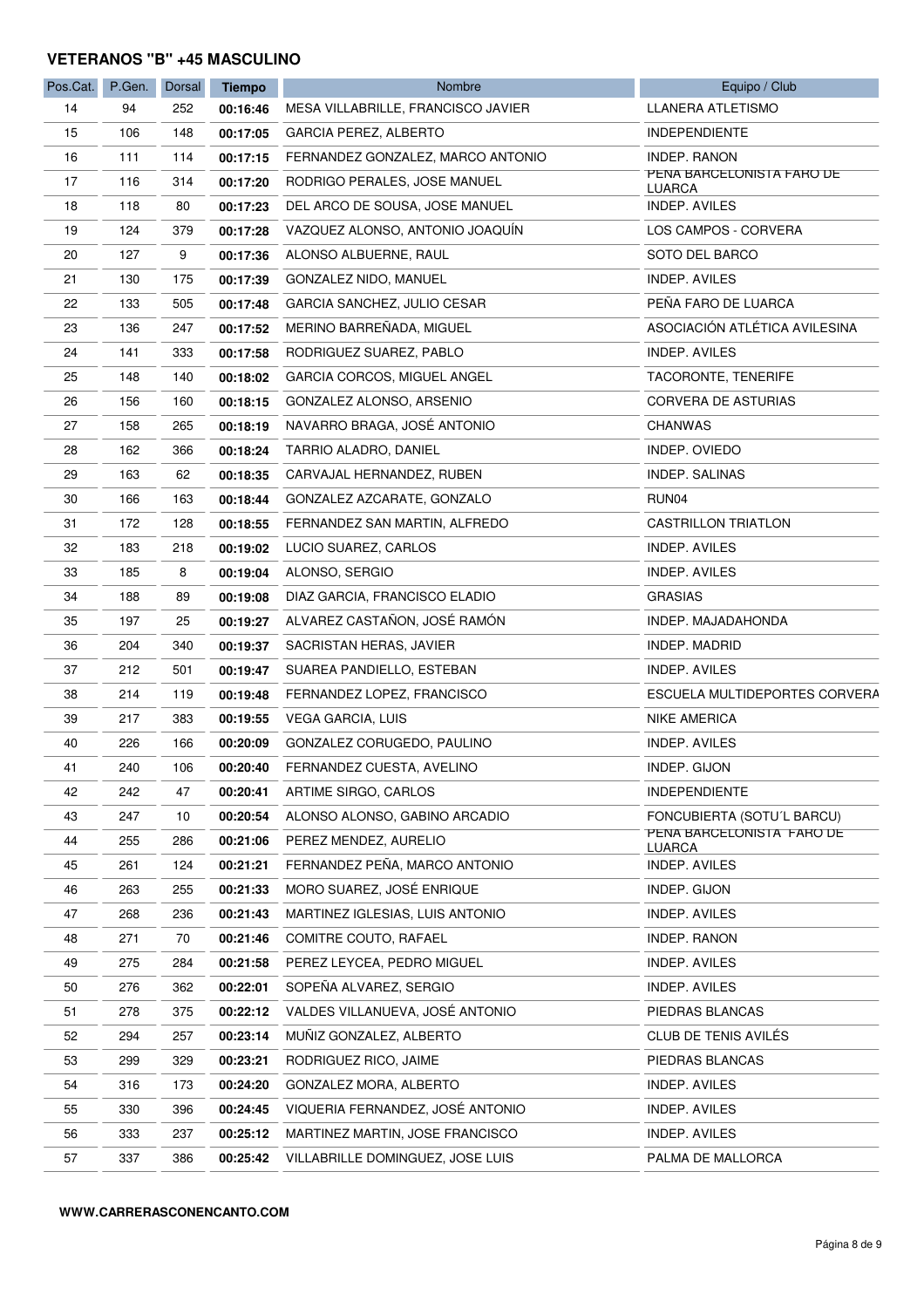#### **VETERANOS "B" +45 MASCULINO**

| Pos.Cat. | P.Gen. | Dorsal | <b>Tiempo</b> | Nombre                             | Equipo / Club                              |
|----------|--------|--------|---------------|------------------------------------|--------------------------------------------|
| 14       | 94     | 252    | 00:16:46      | MESA VILLABRILLE, FRANCISCO JAVIER | LLANERA ATLETISMO                          |
| 15       | 106    | 148    | 00:17:05      | GARCIA PEREZ, ALBERTO              | <b>INDEPENDIENTE</b>                       |
| 16       | 111    | 114    | 00:17:15      | FERNANDEZ GONZALEZ, MARCO ANTONIO  | INDEP. RANON                               |
| 17       | 116    | 314    | 00:17:20      | RODRIGO PERALES, JOSE MANUEL       | PENA BARCELONISTA FARO DE<br>LUARCA        |
| 18       | 118    | 80     | 00:17:23      | DEL ARCO DE SOUSA, JOSE MANUEL     | <b>INDEP. AVILES</b>                       |
| 19       | 124    | 379    | 00:17:28      | VAZQUEZ ALONSO, ANTONIO JOAQUÍN    | LOS CAMPOS - CORVERA                       |
| 20       | 127    | 9      | 00:17:36      | ALONSO ALBUERNE, RAUL              | SOTO DEL BARCO                             |
| 21       | 130    | 175    | 00:17:39      | GONZALEZ NIDO, MANUEL              | <b>INDEP. AVILES</b>                       |
| 22       | 133    | 505    | 00:17:48      | GARCIA SANCHEZ, JULIO CESAR        | PEÑA FARO DE LUARCA                        |
| 23       | 136    | 247    | 00:17:52      | MERINO BARREÑADA, MIGUEL           | ASOCIACIÓN ATLÉTICA AVILESINA              |
| 24       | 141    | 333    | 00:17:58      | RODRIGUEZ SUAREZ, PABLO            | INDEP. AVILES                              |
| 25       | 148    | 140    | 00:18:02      | GARCIA CORCOS, MIGUEL ANGEL        | TACORONTE, TENERIFE                        |
| 26       | 156    | 160    | 00:18:15      | GONZALEZ ALONSO, ARSENIO           | CORVERA DE ASTURIAS                        |
| 27       | 158    | 265    | 00:18:19      | NAVARRO BRAGA, JOSÉ ANTONIO        | <b>CHANWAS</b>                             |
| 28       | 162    | 366    | 00:18:24      | TARRIO ALADRO, DANIEL              | INDEP. OVIEDO                              |
| 29       | 163    | 62     | 00:18:35      | CARVAJAL HERNANDEZ, RUBEN          | INDEP. SALINAS                             |
| 30       | 166    | 163    | 00:18:44      | GONZALEZ AZCARATE, GONZALO         | RUN04                                      |
| 31       | 172    | 128    | 00:18:55      | FERNANDEZ SAN MARTIN, ALFREDO      | <b>CASTRILLON TRIATLON</b>                 |
| 32       | 183    | 218    | 00:19:02      | LUCIO SUAREZ, CARLOS               | INDEP. AVILES                              |
| 33       | 185    | 8      | 00:19:04      | ALONSO, SERGIO                     | <b>INDEP. AVILES</b>                       |
| 34       | 188    | 89     | 00:19:08      | DIAZ GARCIA, FRANCISCO ELADIO      | <b>GRASIAS</b>                             |
| 35       | 197    | 25     | 00:19:27      | ALVAREZ CASTAÑON, JOSÉ RAMÓN       | INDEP. MAJADAHONDA                         |
| 36       | 204    | 340    | 00:19:37      | SACRISTAN HERAS, JAVIER            | INDEP. MADRID                              |
| 37       | 212    | 501    | 00:19:47      | SUAREA PANDIELLO, ESTEBAN          | INDEP. AVILES                              |
| 38       | 214    | 119    | 00:19:48      | FERNANDEZ LOPEZ, FRANCISCO         | ESCUELA MULTIDEPORTES CORVERA              |
| 39       | 217    | 383    | 00:19:55      | <b>VEGA GARCIA, LUIS</b>           | <b>NIKE AMERICA</b>                        |
| 40       | 226    | 166    | 00:20:09      | GONZALEZ CORUGEDO, PAULINO         | INDEP. AVILES                              |
| 41       | 240    | 106    | 00:20:40      | FERNANDEZ CUESTA, AVELINO          | INDEP. GIJON                               |
| 42       | 242    | 47     | 00:20:41      | ARTIME SIRGO, CARLOS               | <b>INDEPENDIENTE</b>                       |
| 43       | 247    | 10     | 00:20:54      | ALONSO ALONSO, GABINO ARCADIO      | FONCUBIERTA (SOTU'L BARCU)                 |
| 44       | 255    | 286    | 00:21:06      | PEREZ MENDEZ, AURELIO              | PENA BARCELONISTA FARO DE<br><b>LUARCA</b> |
| 45       | 261    | 124    | 00:21:21      | FERNANDEZ PEÑA, MARCO ANTONIO      | INDEP. AVILES                              |
| 46       | 263    | 255    | 00:21:33      | MORO SUAREZ, JOSÉ ENRIQUE          | INDEP. GIJON                               |
| 47       | 268    | 236    | 00:21:43      | MARTINEZ IGLESIAS, LUIS ANTONIO    | INDEP. AVILES                              |
| 48       | 271    | 70     | 00:21:46      | COMITRE COUTO, RAFAEL              | INDEP. RANON                               |
| 49       | 275    | 284    | 00:21:58      | PEREZ LEYCEA, PEDRO MIGUEL         | INDEP. AVILES                              |
| 50       | 276    | 362    | 00:22:01      | SOPEÑA ALVAREZ, SERGIO             | INDEP. AVILES                              |
| 51       | 278    | 375    | 00:22:12      | VALDES VILLANUEVA, JOSÉ ANTONIO    | PIEDRAS BLANCAS                            |
| 52       | 294    | 257    | 00:23:14      | MUÑIZ GONZALEZ, ALBERTO            | CLUB DE TENIS AVILÉS                       |
| 53       | 299    | 329    | 00:23:21      | RODRIGUEZ RICO, JAIME              | PIEDRAS BLANCAS                            |
| 54       | 316    | 173    | 00:24:20      | GONZALEZ MORA, ALBERTO             | <b>INDEP. AVILES</b>                       |
| 55       | 330    | 396    | 00:24:45      | VIQUERIA FERNANDEZ, JOSÉ ANTONIO   | INDEP. AVILES                              |
| 56       | 333    | 237    | 00:25:12      | MARTINEZ MARTIN, JOSE FRANCISCO    | INDEP. AVILES                              |
| 57       | 337    | 386    | 00:25:42      | VILLABRILLE DOMINGUEZ, JOSE LUIS   | PALMA DE MALLORCA                          |